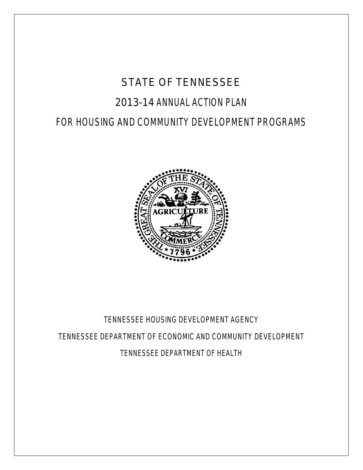# STATE OF TENNESSEE

# 2013-14 ANNUAL ACTION PLAN

# FOR HOUSING AND COMMUNITY DEVELOPMENT PROGRAMS



# TENNESSEE HOUSING DEVELOPMENT AGENCY TENNESSEE DEPARTMENT OF ECONOMIC AND COMMUNITY DEVELOPMENT TENNESSEE DEPARTMENT OF HEALTH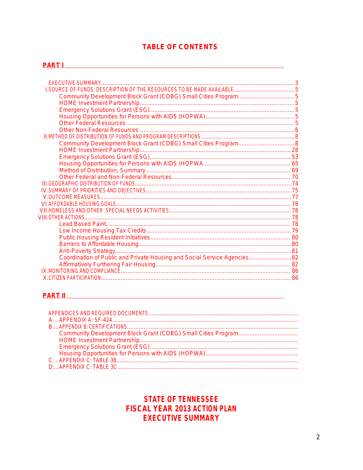## **TABLE OF CONTENTS**

## **PART I** <u>DART I EXPERIMENT I ANNO 1999 I PART I EXPERIMENT I PART I EXPERIMENT I PART I EXPERIMENT I PART I EXPERIMENT I PART I EXPERIMENT I EXPERIMENT I EXPERIMENT I EXPERIMENT I EXPERIMENT I EXPERIMENT I EXPERIMENT I EX</u>

| Community Development Block Grant (CDBG) Small Cities Program 8           |  |
|---------------------------------------------------------------------------|--|
|                                                                           |  |
|                                                                           |  |
|                                                                           |  |
|                                                                           |  |
|                                                                           |  |
|                                                                           |  |
|                                                                           |  |
|                                                                           |  |
|                                                                           |  |
|                                                                           |  |
|                                                                           |  |
|                                                                           |  |
|                                                                           |  |
|                                                                           |  |
|                                                                           |  |
|                                                                           |  |
| Coordination of Public and Private Housing and Social Service Agencies 82 |  |
|                                                                           |  |
|                                                                           |  |
|                                                                           |  |

# 

# **STATE OF TENNESSEE FISCAL YEAR 2013 ACTION PLAN EXECUTIVE SUMMARY**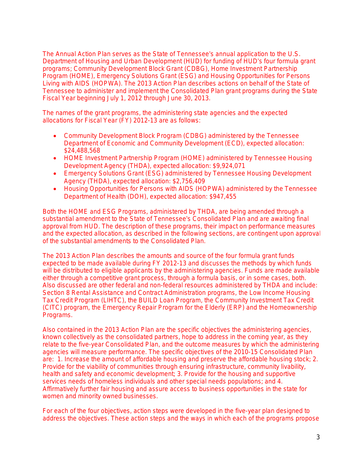The Annual Action Plan serves as the State of Tennessee's annual application to the U.S. Department of Housing and Urban Development (HUD) for funding of HUD's four formula grant programs; Community Development Block Grant (CDBG), Home Investment Partnership Program (HOME), Emergency Solutions Grant (ESG) and Housing Opportunities for Persons Living with AIDS (HOPWA). The 2013 Action Plan describes actions on behalf of the State of Tennessee to administer and implement the Consolidated Plan grant programs during the State Fiscal Year beginning July 1, 2012 through June 30, 2013.

The names of the grant programs, the administering state agencies and the expected allocations for Fiscal Year (FY) 2012-13 are as follows:

- Community Development Block Program (CDBG) administered by the Tennessee Department of Economic and Community Development (ECD), expected allocation: \$24,488,568
- HOME Investment Partnership Program (HOME) administered by Tennessee Housing Development Agency (THDA), expected allocation: \$9,924,071
- Emergency Solutions Grant (ESG) administered by Tennessee Housing Development Agency (THDA), expected allocation: \$2,756,409
- Housing Opportunities for Persons with AIDS (HOPWA) administered by the Tennessee Department of Health (DOH), expected allocation: \$947,455

Both the HOME and ESG Programs, administered by THDA, are being amended through a substantial amendment to the State of Tennessee's Consolidated Plan and are awaiting final approval from HUD. The description of these programs, their impact on performance measures and the expected allocation, as described in the following sections, are contingent upon approval of the substantial amendments to the Consolidated Plan.

The 2013 Action Plan describes the amounts and source of the four formula grant funds expected to be made available during FY 2012-13 and discusses the methods by which funds will be distributed to eligible applicants by the administering agencies. Funds are made available either through a competitive grant process, through a formula basis, or in some cases, both. Also discussed are other federal and non-federal resources administered by THDA and include: Section 8 Rental Assistance and Contract Administration programs, the Low Income Housing Tax Credit Program (LIHTC), the BUILD Loan Program, the Community Investment Tax Credit (CITC) program, the Emergency Repair Program for the Elderly (ERP) and the Homeownership Programs.

Also contained in the 2013 Action Plan are the specific objectives the administering agencies, known collectively as the consolidated partners, hope to address in the coming year, as they relate to the five-year Consolidated Plan, and the outcome measures by which the administering agencies will measure performance. The specific objectives of the 2010-15 Consolidated Plan are: 1. Increase the amount of affordable housing and preserve the affordable housing stock; 2. Provide for the viability of communities through ensuring infrastructure, community livability, health and safety and economic development; 3. Provide for the housing and supportive services needs of homeless individuals and other special needs populations; and 4. Affirmatively further fair housing and assure access to business opportunities in the state for women and minority owned businesses.

For each of the four objectives, action steps were developed in the five-year plan designed to address the objectives. These action steps and the ways in which each of the programs propose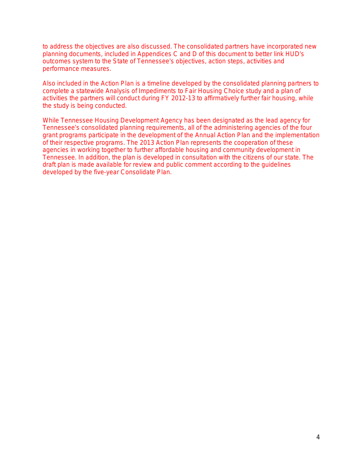to address the objectives are also discussed. The consolidated partners have incorporated new planning documents, included in Appendices C and D of this document to better link HUD's outcomes system to the State of Tennessee's objectives, action steps, activities and performance measures.

Also included in the Action Plan is a timeline developed by the consolidated planning partners to complete a statewide Analysis of Impediments to Fair Housing Choice study and a plan of activities the partners will conduct during FY 2012-13 to affirmatively further fair housing, while the study is being conducted.

While Tennessee Housing Development Agency has been designated as the lead agency for Tennessee's consolidated planning requirements, all of the administering agencies of the four grant programs participate in the development of the Annual Action Plan and the implementation of their respective programs. The 2013 Action Plan represents the cooperation of these agencies in working together to further affordable housing and community development in Tennessee. In addition, the plan is developed in consultation with the citizens of our state. The draft plan is made available for review and public comment according to the guidelines developed by the five-year Consolidate Plan.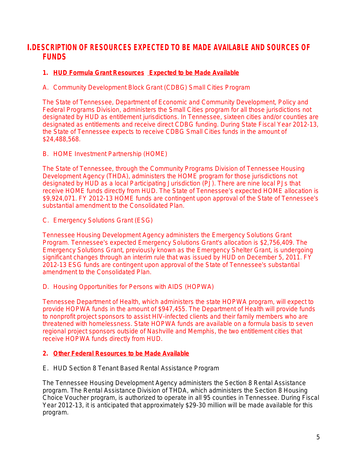# **I.DESCRIPTION OF RESOURCES EXPECTED TO BE MADE AVAILABLE AND SOURCES OF FUNDS**

### **1. HUD Formula Grant Resources Expected to be Made Available**

A. Community Development Block Grant (CDBG) Small Cities Program

The State of Tennessee, Department of Economic and Community Development, Policy and Federal Programs Division, administers the Small Cities program for all those jurisdictions not designated by HUD as entitlement jurisdictions. In Tennessee, sixteen cities and/or counties are designated as entitlements and receive direct CDBG funding. During State Fiscal Year 2012-13, the State of Tennessee expects to receive CDBG Small Cities funds in the amount of \$24,488,568.

B. HOME Investment Partnership (HOME)

The State of Tennessee, through the Community Programs Division of Tennessee Housing Development Agency (THDA), administers the HOME program for those jurisdictions not designated by HUD as a local Participating Jurisdiction (PJ). There are nine local PJs that receive HOME funds directly from HUD. The State of Tennessee's expected HOME allocation is \$9,924,071. FY 2012-13 HOME funds are contingent upon approval of the State of Tennessee's substantial amendment to the Consolidated Plan.

C. Emergency Solutions Grant (ESG)

Tennessee Housing Development Agency administers the Emergency Solutions Grant Program. Tennessee's expected Emergency Solutions Grant's allocation is \$2,756,409. The Emergency Solutions Grant, previously known as the Emergency Shelter Grant, is undergoing significant changes through an interim rule that was issued by HUD on December 5, 2011. FY 2012-13 ESG funds are contingent upon approval of the State of Tennessee's substantial amendment to the Consolidated Plan.

D. Housing Opportunities for Persons with AIDS (HOPWA)

Tennessee Department of Health, which administers the state HOPWA program, will expect to provide HOPWA funds in the amount of \$947,455. The Department of Health will provide funds to nonprofit project sponsors to assist HIV-infected clients and their family members who are threatened with homelessness. State HOPWA funds are available on a formula basis to seven regional project sponsors outside of Nashville and Memphis, the two entitlement cities that receive HOPWA funds directly from HUD.

#### **2. Other Federal Resources to be Made Available**

E. HUD Section 8 Tenant Based Rental Assistance Program

The Tennessee Housing Development Agency administers the Section 8 Rental Assistance program. The Rental Assistance Division of THDA, which administers the Section 8 Housing Choice Voucher program, is authorized to operate in all 95 counties in Tennessee. During Fiscal Year 2012-13, it is anticipated that approximately \$29-30 million will be made available for this program.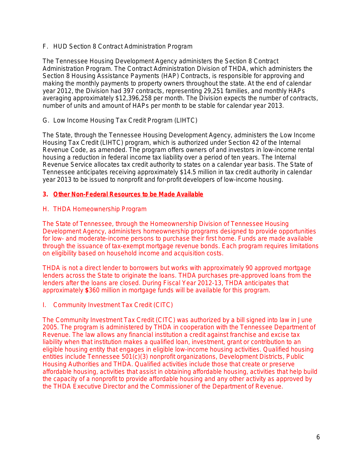F. HUD Section 8 Contract Administration Program

The Tennessee Housing Development Agency administers the Section 8 Contract Administration Program. The Contract Administration Division of THDA, which administers the Section 8 Housing Assistance Payments (HAP) Contracts, is responsible for approving and making the monthly payments to property owners throughout the state. At the end of calendar year 2012, the Division had 397 contracts, representing 29,251 families, and monthly HAPs averaging approximately \$12,396,258 per month. The Division expects the number of contracts, number of units and amount of HAPs per month to be stable for calendar year 2013.

#### G. Low Income Housing Tax Credit Program (LIHTC)

The State, through the Tennessee Housing Development Agency, administers the Low Income Housing Tax Credit (LIHTC) program, which is authorized under Section 42 of the Internal Revenue Code, as amended. The program offers owners of and investors in low-income rental housing a reduction in federal income tax liability over a period of ten years. The Internal Revenue Service allocates tax credit authority to states on a calendar year basis. The State of Tennessee anticipates receiving approximately \$14.5 million in tax credit authority in calendar year 2013 to be issued to nonprofit and for-profit developers of low-income housing.

#### **3. Other Non-Federal Resources to be Made Available**

#### H. THDA Homeownership Program

The State of Tennessee, through the Homeownership Division of Tennessee Housing Development Agency, administers homeownership programs designed to provide opportunities for low- and moderate-income persons to purchase their first home. Funds are made available through the issuance of tax-exempt mortgage revenue bonds. Each program requires limitations on eligibility based on household income and acquisition costs.

THDA is not a direct lender to borrowers but works with approximately 90 approved mortgage lenders across the State to originate the loans. THDA purchases pre-approved loans from the lenders after the loans are closed. During Fiscal Year 2012-13, THDA anticipates that approximately **\$**360 million in mortgage funds will be available for this program.

#### I. Community Investment Tax Credit (CITC)

The Community Investment Tax Credit (CITC) was authorized by a bill signed into law in June 2005. The program is administered by THDA in cooperation with the Tennessee Department of Revenue. The law allows any financial institution a credit against franchise and excise tax liability when that institution makes a qualified loan, investment, grant or contribution to an eligible housing entity that engages in eligible low-income housing activities. Qualified housing entities include Tennessee 501(c)(3) nonprofit organizations, Development Districts, Public Housing Authorities and THDA. Qualified activities include those that create or preserve affordable housing, activities that assist in obtaining affordable housing, activities that help build the capacity of a nonprofit to provide affordable housing and any other activity as approved by the THDA Executive Director and the Commissioner of the Department of Revenue.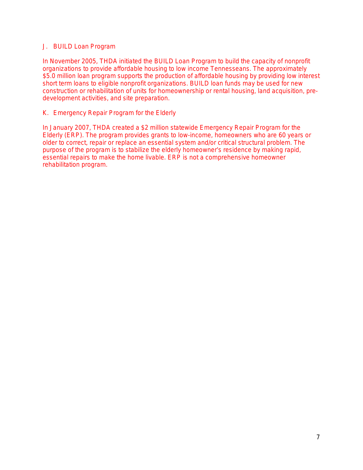#### J. BUILD Loan Program

In November 2005, THDA initiated the BUILD Loan Program to build the capacity of nonprofit organizations to provide affordable housing to low income Tennesseans. The approximately \$5.0 million loan program supports the production of affordable housing by providing low interest short term loans to eligible nonprofit organizations. BUILD loan funds may be used for new construction or rehabilitation of units for homeownership or rental housing, land acquisition, predevelopment activities, and site preparation.

#### K. Emergency Repair Program for the Elderly

In January 2007, THDA created a \$2 million statewide Emergency Repair Program for the Elderly (ERP). The program provides grants to low-income, homeowners who are 60 years or older to correct, repair or replace an essential system and/or critical structural problem. The purpose of the program is to stabilize the elderly homeowner's residence by making rapid, essential repairs to make the home livable. ERP is not a comprehensive homeowner rehabilitation program.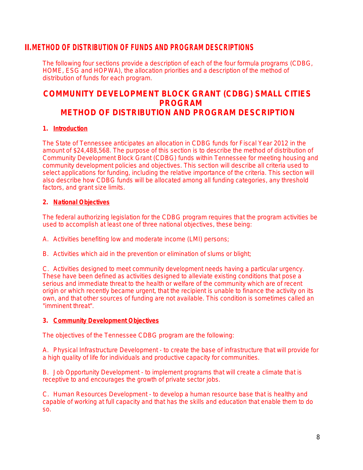## **II.METHOD OF DISTRIBUTION OF FUNDS AND PROGRAM DESCRIPTIONS**

The following four sections provide a description of each of the four formula programs (CDBG, HOME, ESG and HOPWA), the allocation priorities and a description of the method of distribution of funds for each program.

# **COMMUNITY DEVELOPMENT BLOCK GRANT (CDBG) SMALL CITIES PROGRAM METHOD OF DISTRIBUTION AND PROGRAM DESCRIPTION**

#### **1. Introduction**

The State of Tennessee anticipates an allocation in CDBG funds for Fiscal Year 2012 in the amount of \$24,488,568. The purpose of this section is to describe the method of distribution of Community Development Block Grant (CDBG) funds within Tennessee for meeting housing and community development policies and objectives. This section will describe all criteria used to select applications for funding, including the relative importance of the criteria. This section will also describe how CDBG funds will be allocated among all funding categories, any threshold factors, and grant size limits.

#### **2. National Objectives**

The federal authorizing legislation for the CDBG program requires that the program activities be used to accomplish at least one of three national objectives, these being:

A. Activities benefiting low and moderate income (LMI) persons;

B. Activities which aid in the prevention or elimination of slums or blight;

C. Activities designed to meet community development needs having a particular urgency. These have been defined as activities designed to alleviate existing conditions that pose a serious and immediate threat to the health or welfare of the community which are of recent origin or which recently became urgent, that the recipient is unable to finance the activity on its own, and that other sources of funding are not available. This condition is sometimes called an "imminent threat".

#### **3. Community Development Objectives**

The objectives of the Tennessee CDBG program are the following:

A. Physical Infrastructure Development - to create the base of infrastructure that will provide for a high quality of life for individuals and productive capacity for communities.

B. Job Opportunity Development - to implement programs that will create a climate that is receptive to and encourages the growth of private sector jobs.

C. Human Resources Development - to develop a human resource base that is healthy and capable of working at full capacity and that has the skills and education that enable them to do so.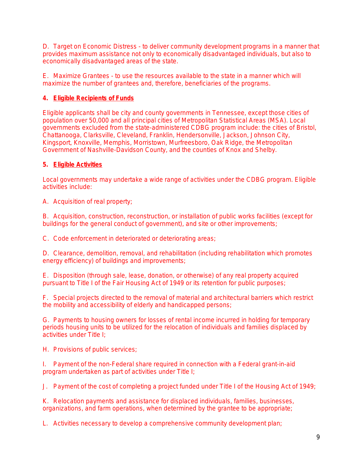D. Target on Economic Distress - to deliver community development programs in a manner that provides maximum assistance not only to economically disadvantaged individuals, but also to economically disadvantaged areas of the state.

E. Maximize Grantees - to use the resources available to the state in a manner which will maximize the number of grantees and, therefore, beneficiaries of the programs.

#### **4. Eligible Recipients of Funds**

Eligible applicants shall be city and county governments in Tennessee, except those cities of population over 50,000 and all principal cities of Metropolitan Statistical Areas (MSA). Local governments excluded from the state-administered CDBG program include: the cities of Bristol, Chattanooga, Clarksville, Cleveland, Franklin, Hendersonville, Jackson, Johnson City, Kingsport, Knoxville, Memphis, Morristown, Murfreesboro, Oak Ridge, the Metropolitan Government of Nashville-Davidson County, and the counties of Knox and Shelby.

#### **5. Eligible Activities**

Local governments may undertake a wide range of activities under the CDBG program. Eligible activities include:

A. Acquisition of real property;

B. Acquisition, construction, reconstruction, or installation of public works facilities (except for buildings for the general conduct of government), and site or other improvements;

C. Code enforcement in deteriorated or deteriorating areas;

D. Clearance, demolition, removal, and rehabilitation (including rehabilitation which promotes energy efficiency) of buildings and improvements;

E. Disposition (through sale, lease, donation, or otherwise) of any real property acquired pursuant to Title I of the Fair Housing Act of 1949 or its retention for public purposes;

F. Special projects directed to the removal of material and architectural barriers which restrict the mobility and accessibility of elderly and handicapped persons;

G. Payments to housing owners for losses of rental income incurred in holding for temporary periods housing units to be utilized for the relocation of individuals and families displaced by activities under Title I;

H. Provisions of public services;

I. Payment of the non-Federal share required in connection with a Federal grant-in-aid program undertaken as part of activities under Title I;

J. Payment of the cost of completing a project funded under Title I of the Housing Act of 1949;

K. Relocation payments and assistance for displaced individuals, families, businesses, organizations, and farm operations, when determined by the grantee to be appropriate;

L. Activities necessary to develop a comprehensive community development plan;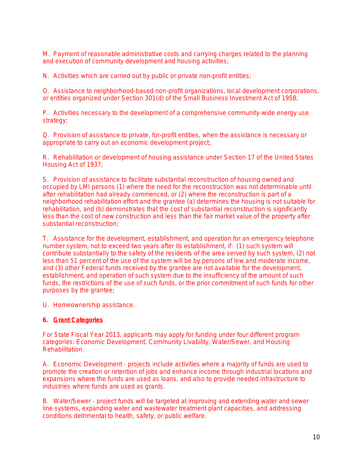M. Payment of reasonable administrative costs and carrying charges related to the planning and execution of community development and housing activities;

N. Activities which are carried out by public or private non-profit entities;

O. Assistance to neighborhood-based non-profit organizations, local development corporations, or entities organized under Section 301(d) of the Small Business Investment Act of 1958;

P. Activities necessary to the development of a comprehensive community-wide energy use strategy;

Q. Provision of assistance to private, for-profit entities, when the assistance is necessary or appropriate to carry out an economic development project;

R. Rehabilitation or development of housing assistance under Section 17 of the United States Housing Act of 1937;

S. Provision of assistance to facilitate substantial reconstruction of housing owned and occupied by LMI persons (1) where the need for the reconstruction was not determinable until after rehabilitation had already commenced, or (2) where the reconstruction is part of a neighborhood rehabilitation effort and the grantee (a) determines the housing is not suitable for rehabilitation, and (b) demonstrates that the cost of substantial reconstruction is significantly less than the cost of new construction and less than the fair market value of the property after substantial reconstruction;

T. Assistance for the development, establishment, and operation for an emergency telephone number system, not to exceed two years after its establishment, if: (1) such system will contribute substantially to the safety of the residents of the area served by such system, (2) not less than 51 percent of the use of the system will be by persons of low and moderate income, and (3) other Federal funds received by the grantee are not available for the development, establishment, and operation of such system due to the insufficiency of the amount of such funds, the restrictions of the use of such funds, or the prior commitment of such funds for other purposes by the grantee;

U. Homeownership assistance.

#### **6. Grant Categories**

For State Fiscal Year 2013, applicants may apply for funding under four different program categories: Economic Development, Community Livability, Water/Sewer, and Housing Rehabilitation.

A. Economic Development - projects include activities where a majority of funds are used to promote the creation or retention of jobs and enhance income through industrial locations and expansions where the funds are used as loans, and also to provide needed infrastructure to industries where funds are used as grants.

B. Water/Sewer - project funds will be targeted at improving and extending water and sewer line systems, expanding water and wastewater treatment plant capacities, and addressing conditions detrimental to health, safety, or public welfare.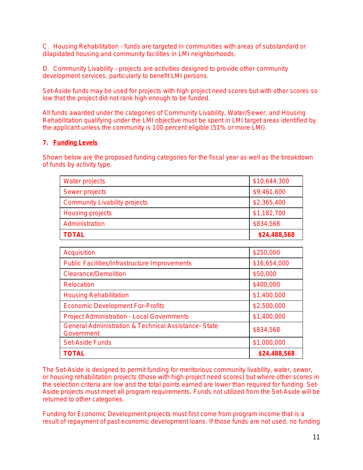C. Housing Rehabilitation - funds are targeted in communities with areas of substandard or dilapidated housing and community facilities in LMI neighborhoods.

D. Community Livability - projects are activities designed to provide other community development services, particularly to benefit LMI persons.

Set-Aside funds may be used for projects with high project need scores but with other scores so low that the project did not rank high enough to be funded.

All funds awarded under the categories of Community Livability, Water/Sewer, and Housing Rehabilitation qualifying under the LMI objective must be spent in LMI target areas identified by the applicant unless the community is 100 percent eligible (51% or more LMI).

#### **7. Funding Levels**

Shown below are the proposed funding categories for the fiscal year as well as the breakdown of funds by activity type.

| Water projects                       | \$10,644,300 |
|--------------------------------------|--------------|
| Sewer projects                       | \$9,461,600  |
| <b>Community Livability projects</b> | \$2,365,400  |
| Housing projects                     | \$1,182,700  |
| Administration                       | \$834,568    |
| <b>TOTAL</b>                         | \$24,488,568 |

| Acquisition                                                                   | \$250,000    |
|-------------------------------------------------------------------------------|--------------|
| <b>Public Facilities/Infrastructure Improvements</b>                          | \$16,654,000 |
| <b>Clearance/Demolition</b>                                                   | \$50,000     |
| Relocation                                                                    | \$400,000    |
| <b>Housing Rehabilitation</b>                                                 | \$1,400,000  |
| <b>Economic Development For-Profits</b>                                       | \$2,500,000  |
| Project Administration - Local Governments                                    | \$1,400,000  |
| <b>General Administration &amp; Technical Assistance- State</b><br>Government | \$834,568    |
| <b>Set-Aside Funds</b>                                                        | \$1,000,000  |
| <b>TOTAL</b>                                                                  | \$24,488,568 |

The Set-Aside is designed to permit funding for meritorious community livability, water, sewer, or housing rehabilitation projects (those with high project need scores) but where other scores in the selection criteria are low and the total points earned are lower than required for funding. Set-Aside projects must meet all program requirements. Funds not utilized from the Set-Aside will be returned to other categories.

Funding for Economic Development projects must first come from program income that is a result of repayment of past economic development loans. If those funds are not used, no funding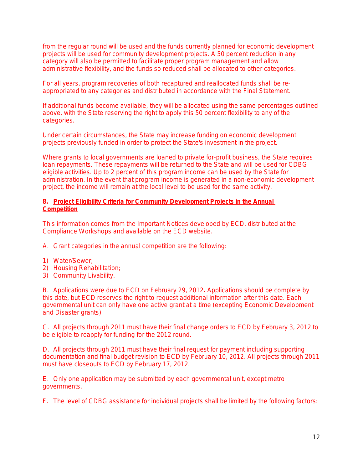from the regular round will be used and the funds currently planned for economic development projects will be used for community development projects. A 50 percent reduction in any category will also be permitted to facilitate proper program management and allow administrative flexibility, and the funds so reduced shall be allocated to other categories.

For all years, program recoveries of both recaptured and reallocated funds shall be reappropriated to any categories and distributed in accordance with the Final Statement.

If additional funds become available, they will be allocated using the same percentages outlined above, with the State reserving the right to apply this 50 percent flexibility to any of the categories.

Under certain circumstances, the State may increase funding on economic development projects previously funded in order to protect the State's investment in the project.

Where grants to local governments are loaned to private for-profit business, the State requires loan repayments. These repayments will be returned to the State and will be used for CDBG eligible activities. Up to 2 percent of this program income can be used by the State for administration. In the event that program income is generated in a non-economic development project, the income will remain at the local level to be used for the same activity.

#### **8. Project Eligibility Criteria for Community Development Projects in the Annual Competition**

This information comes from the Important Notices developed by ECD, distributed at the Compliance Workshops and available on the ECD website.

A. Grant categories in the annual competition are the following:

- 1) Water/Sewer;
- 2) Housing Rehabilitation;
- 3) Community Livability.

B. Applications were due to ECD on February 29, 2012**.** Applications should be complete by this date, but ECD reserves the right to request additional information after this date. Each governmental unit can only have one active grant at a time (excepting Economic Development and Disaster grants)

C. All projects through 2011 must have their final change orders to ECD by February 3, 2012 to be eligible to reapply for funding for the 2012 round.

D. All projects through 2011 must have their final request for payment including supporting documentation and final budget revision to ECD by February 10, 2012. All projects through 2011 must have closeouts to ECD by February 17, 2012.

E. Only one application may be submitted by each governmental unit, except metro governments.

F. The level of CDBG assistance for individual projects shall be limited by the following factors: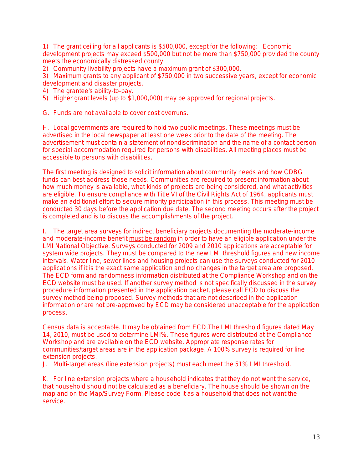1) The grant ceiling for all applicants is \$500,000, except for the following: Economic development projects may exceed \$500,000 but not be more than \$750,000 provided the county meets the economically distressed county.

2) Community livability projects have a maximum grant of \$300,000.

3) Maximum grants to any applicant of \$750,000 in two successive years, except for economic development and disaster projects.

- 4) The grantee's ability-to-pay.
- 5) Higher grant levels (up to \$1,000,000) may be approved for regional projects.

G. Funds are not available to cover cost overruns.

H. Local governments are required to hold two public meetings. These meetings must be advertised in the local newspaper at least one week prior to the date of the meeting. The advertisement must contain a statement of nondiscrimination and the name of a contact person for special accommodation required for persons with disabilities. All meeting places must be accessible to persons with disabilities.

The first meeting is designed to solicit information about community needs and how CDBG funds can best address those needs. Communities are required to present information about how much money is available, what kinds of projects are being considered, and what activities are eligible. To ensure compliance with Title VI of the Civil Rights Act of 1964, applicants must make an additional effort to secure minority participation in this process. This meeting must be conducted 30 days before the application due date. The second meeting occurs after the project is completed and is to discuss the accomplishments of the project.

I. The target area surveys for indirect beneficiary projects documenting the moderate-income and moderate-income benefit must be random in order to have an eligible application under the LMI National Objective. Surveys conducted for 2009 and 2010 applications are acceptable for system wide projects. They must be compared to the new LMI threshold figures and new income intervals. Water line, sewer lines and housing projects can use the surveys conducted for 2010 applications if it is the exact same application and no changes in the target area are proposed. The ECD form and randomness information distributed at the Compliance Workshop and on the ECD website must be used. If another survey method is not specifically discussed in the survey procedure information presented in the application packet, please call ECD to discuss the survey method being proposed. Survey methods that are not described in the application information or are not pre-approved by ECD may be considered unacceptable for the application process.

Census data is acceptable. It may be obtained from ECD.The LMI threshold figures dated May 14, 2010, must be used to determine LMI%. These figures were distributed at the Compliance Workshop and are available on the ECD website. Appropriate response rates for communities/target areas are in the application package. A 100% survey is required for line extension projects.

J. Multi-target areas (line extension projects) must each meet the 51% LMI threshold.

K. For line extension projects where a household indicates that they do not want the service, that household should not be calculated as a beneficiary. The house should be shown on the map and on the Map/Survey Form. Please code it as a household that does not want the service.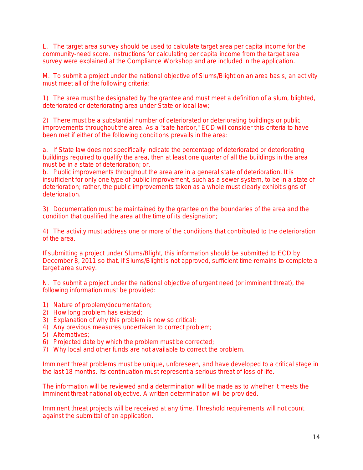L. The target area survey should be used to calculate target area per capita income for the community-need score. Instructions for calculating per capita income from the target area survey were explained at the Compliance Workshop and are included in the application.

M. To submit a project under the national objective of Slums/Blight on an area basis, an activity must meet all of the following criteria:

1) The area must be designated by the grantee and must meet a definition of a slum, blighted, deteriorated or deteriorating area under State or local law;

2) There must be a substantial number of deteriorated or deteriorating buildings or public improvements throughout the area. As a "safe harbor," ECD will consider this criteria to have been met if either of the following conditions prevails in the area:

a. If State law does not specifically indicate the percentage of deteriorated or deteriorating buildings required to qualify the area, then at least one quarter of all the buildings in the area must be in a state of deterioration; or,

b. Public improvements throughout the area are in a general state of deterioration. It is insufficient for only one type of public improvement, such as a sewer system, to be in a state of deterioration; rather, the public improvements taken as a whole must clearly exhibit signs of deterioration.

3) Documentation must be maintained by the grantee on the boundaries of the area and the condition that qualified the area at the time of its designation;

4) The activity must address one or more of the conditions that contributed to the deterioration of the area.

If submitting a project under Slums/Blight, this information should be submitted to ECD by December 8, 2011 so that, if Slums/Blight is not approved, sufficient time remains to complete a target area survey.

N. To submit a project under the national objective of urgent need (or imminent threat), the following information must be provided:

- 1) Nature of problem/documentation;
- 2) How long problem has existed;
- 3) Explanation of why this problem is now so critical;
- 4) Any previous measures undertaken to correct problem;
- 5) Alternatives;
- 6) Projected date by which the problem must be corrected;
- 7) Why local and other funds are not available to correct the problem.

Imminent threat problems must be unique, unforeseen, and have developed to a critical stage in the last 18 months. Its continuation must represent a serious threat of loss of life.

The information will be reviewed and a determination will be made as to whether it meets the imminent threat national objective. A written determination will be provided.

Imminent threat projects will be received at any time. Threshold requirements will not count against the submittal of an application.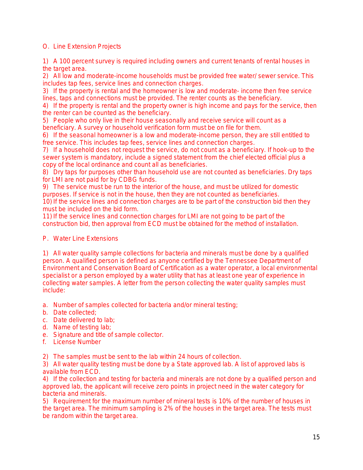#### O. Line Extension Projects

1) A 100 percent survey is required including owners and current tenants of rental houses in the target area.

2) All low and moderate-income households must be provided free water/ sewer service. This includes tap fees, service lines and connection charges.

3) If the property is rental and the homeowner is low and moderate- income then free service lines, taps and connections must be provided. The renter counts as the beneficiary.

4) If the property is rental and the property owner is high income and pays for the service, then the renter can be counted as the beneficiary.

5) People who only live in their house seasonally and receive service will count as a beneficiary. A survey or household verification form must be on file for them.

6) If the seasonal homeowner is a low and moderate-income person, they are still entitled to free service. This includes tap fees, service lines and connection charges.

7) If a household does not request the service, do not count as a beneficiary. If hook-up to the sewer system is mandatory, include a signed statement from the chief elected official plus a copy of the local ordinance and count all as beneficiaries.

8) Dry taps for purposes other than household use are not counted as beneficiaries. Dry taps for LMI are not paid for by CDBG funds.

9) The service must be run to the interior of the house, and must be utilized for domestic purposes. If service is not in the house, then they are not counted as beneficiaries. 10) If the service lines and connection charges are to be part of the construction bid then they must be included on the bid form.

11) If the service lines and connection charges for LMI are not going to be part of the construction bid, then approval from ECD must be obtained for the method of installation.

#### P. Water Line Extensions

1) All water quality sample collections for bacteria and minerals must be done by a qualified person. A qualified person is defined as anyone certified by the Tennessee Department of Environment and Conservation Board of Certification as a water operator, a local environmental specialist or a person employed by a water utility that has at least one year of experience in collecting water samples. A letter from the person collecting the water quality samples must include:

- a. Number of samples collected for bacteria and/or mineral testing;
- b. Date collected;
- c. Date delivered to lab;
- d. Name of testing lab;
- e. Signature and title of sample collector.
- f. License Number

2) The samples must be sent to the lab within 24 hours of collection.

3) All water quality testing must be done by a State approved lab. A list of approved labs is available from ECD.

4) If the collection and testing for bacteria and minerals are not done by a qualified person and approved lab, the applicant will receive zero points in project need in the water category for bacteria and minerals.

5) Requirement for the maximum number of mineral tests is 10% of the number of houses in the target area. The minimum sampling is 2% of the houses in the target area. The tests must be random within the target area.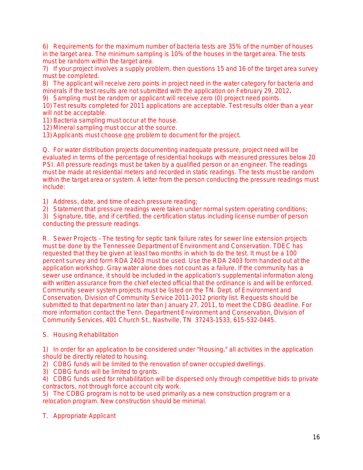6) Requirements for the maximum number of bacteria tests are 35% of the number of houses in the target area. The minimum sampling is 10% of the houses in the target area. The tests must be random within the target area.

7) If your project involves a supply problem, then questions 15 and 16 of the target area survey must be completed.

8) The applicant will receive zero points in project need in the water category for bacteria and minerals if the test results are not submitted with the application on February 29, 2012**.**

9) Sampling must be random or applicant will receive zero (0) project need points.

10) Test results completed for 2011 applications are acceptable. Test results older than a year will not be acceptable.

11) Bacteria sampling must occur at the house.

12) Mineral sampling must occur at the source.

13) Applicants must choose one problem to document for the project.

Q. For water distribution projects documenting inadequate pressure, project need will be evaluated in terms of the percentage of residential hookups with measured pressures below 20 PSI. All pressure readings must be taken by a qualified person or an engineer. The readings must be made at residential meters and recorded in static readings. The tests must be random within the target area or system. A letter from the person conducting the pressure readings must include:

1) Address, date, and time of each pressure reading;

2) Statement that pressure readings were taken under normal system operating conditions;

3) Signature, title, and if certified, the certification status including license number of person conducting the pressure readings.

R. Sewer Projects – The testing for septic tank failure rates for sewer line extension projects must be done by the Tennessee Department of Environment and Conservation. TDEC has requested that they be given at least two months in which to do the test. It must be a 100 percent survey and form RDA 2403 must be used. Use the RDA 2403 form handed out at the application workshop. Gray water alone does not count as a failure. If the community has a sewer use ordinance, it should be included in the application's supplemental information along with written assurance from the chief elected official that the ordinance is and will be enforced. Community sewer system projects must be listed on the TN. Dept. of Environment and Conservation, Division of Community Service 2011-2012 priority list. Requests should be submitted to that department no later than January 27, 2011, to meet the CDBG deadline. For more information contact the Tenn. Department Environment and Conservation, Division of Community Services, 401 Church St., Nashville, TN 37243-1533, 615-532-0445.

S. Housing Rehabilitation

1) In order for an application to be considered under "Housing," all activities in the application should be directly related to housing.

2) CDBG funds will be limited to the renovation of owner occupied dwellings.

3) CDBG funds will be limited to grants.

4) CDBG funds used for rehabilitation will be dispersed only through competitive bids to private contractors, not through force account city work.

5) The CDBG program is not to be used primarily as a new construction program or a relocation program. New construction should be minimal.

T. Appropriate Applicant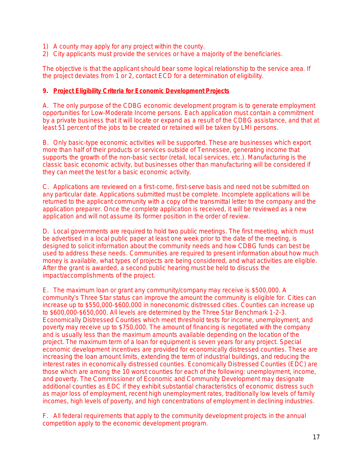- 1) A county may apply for any project within the county.
- 2) City applicants must provide the services or have a majority of the beneficiaries.

The objective is that the applicant should bear some logical relationship to the service area. If the project deviates from 1 or 2, contact ECD for a determination of eligibility.

#### **9. Project Eligibility Criteria for Economic Development Projects**

A. The only purpose of the CDBG economic development program is to generate employment opportunities for Low-Moderate Income persons. Each application must contain a commitment by a private business that it will locate or expand as a result of the CDBG assistance, and that at least 51 percent of the jobs to be created or retained will be taken by LMI persons.

B. Only basic-type economic activities will be supported. These are businesses which export more than half of their products or services outside of Tennessee, generating income that supports the growth of the non-basic sector (retail, local services, etc.). Manufacturing is the classic basic economic activity, but businesses other than manufacturing will be considered if they can meet the test for a basic economic activity.

C. Applications are reviewed on a first-come, first-serve basis and need not be submitted on any particular date. *Applications submitted must be complete.* Incomplete applications will be returned to the applicant community with a copy of the transmittal letter to the company and the application preparer. Once the complete application is received, it will be reviewed as a new application and will not assume its former position in the order of review.

D. Local governments are required to hold two public meetings. The first meeting, which must be advertised in a local public paper at least one week prior to the date of the meeting, is designed to solicit information about the community needs and how CDBG funds can best be used to address these needs. Communities are required to present information about how much money is available, what types of projects are being considered, and what activities are eligible. After the grant is awarded, a second public hearing must be held to discuss the impact/accomplishments of the project.

E. The maximum loan or grant any community/company may receive is \$500,000. A community's Three Star status can improve the amount the community is eligible for. Cities can increase up to \$550,000-\$600,000 in noneconomic distressed cities. Counties can increase up to \$600,000-\$650,000. All levels are determined by the Three Star Benchmark 1-2-3. Economically Distressed Counties which meet threshold tests for income, unemployment, and poverty may receive up to \$750,000. The amount of financing is negotiated with the company and is usually less than the maximum amounts available depending on the location of the project. The maximum term of a loan for equipment is seven years for any project. Special economic development incentives are provided for economically distressed counties. These are increasing the loan amount limits, extending the term of industrial buildings, and reducing the interest rates in economically distressed counties. Economically Distressed Counties (EDC) are those which are among the 10 worst counties for each of the following: unemployment, income, and poverty. The Commissioner of Economic and Community Development may designate additional counties as EDC if they exhibit substantial characteristics of economic distress such as major loss of employment, recent high unemployment rates, traditionally low levels of family incomes, high levels of poverty, and high concentrations of employment in declining industries.

F. All federal requirements that apply to the community development projects in the annual competition apply to the economic development program.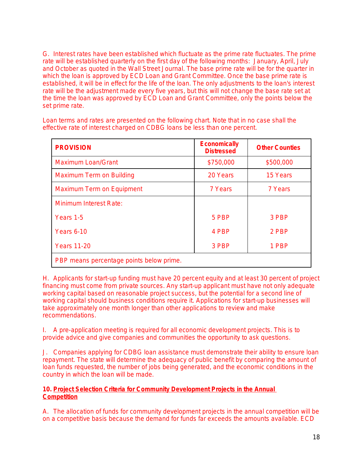G. Interest rates have been established which fluctuate as the prime rate fluctuates. The prime rate will be established quarterly on the first day of the following months: January, April, July and October as quoted in the Wall Street Journal. The base prime rate will be for the quarter in which the loan is approved by ECD Loan and Grant Committee. Once the base prime rate is established, it will be in effect for the life of the loan. The only adjustments to the loan's interest rate will be the adjustment made every five years, but this will not change the base rate set at the time the loan was approved by ECD Loan and Grant Committee, only the points below the set prime rate.

Loan terms and rates are presented on the following chart. Note that in no case shall the effective rate of interest charged on CDBG loans be less than one percent.

| <b>PROVISION</b>                         | <b>Economically</b><br><b>Distressed</b> | <b>Other Counties</b> |
|------------------------------------------|------------------------------------------|-----------------------|
| <b>Maximum Loan/Grant</b>                | \$750,000                                | \$500,000             |
| Maximum Term on Building                 | 20 Years                                 | 15 Years              |
| Maximum Term on Equipment                | 7 Years                                  | 7 Years               |
| <b>Minimum Interest Rate:</b>            |                                          |                       |
| Years 1-5                                | 5 PBP                                    | 3 PBP                 |
| <b>Years 6-10</b>                        | 4 PBP                                    | 2 PBP                 |
| <b>Years 11-20</b>                       | 3 PBP                                    | 1 PBP                 |
| PBP means percentage points below prime. |                                          |                       |

H. Applicants for start-up funding must have 20 percent equity and at least 30 percent of project financing must come from private sources. Any start-up applicant must have not only adequate working capital based on reasonable project success, but the potential for a second line of working capital should business conditions require it. Applications for start-up businesses will take approximately one month longer than other applications to review and make recommendations.

I. A pre-application meeting is required for all economic development projects. This is to provide advice and give companies and communities the opportunity to ask questions.

J. Companies applying for CDBG loan assistance must demonstrate their ability to ensure loan repayment. The state will determine the adequacy of public benefit by comparing the amount of loan funds requested, the number of jobs being generated, and the economic conditions in the country in which the loan will be made.

#### **10. Project Selection Criteria for Community Development Projects in the Annual Competition**

A. The allocation of funds for community development projects in the annual competition will be on a competitive basis because the demand for funds far exceeds the amounts available. ECD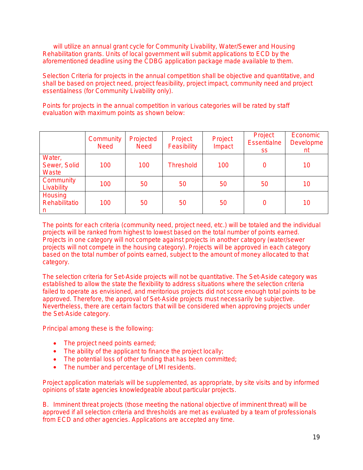will utilize an annual grant cycle for Community Livability, Water/Sewer and Housing Rehabilitation grants. Units of local government will submit applications to ECD by the aforementioned deadline using the CDBG application package made available to them.

Selection Criteria for projects in the annual competition shall be objective and quantitative, and shall be based on project need, project feasibility, project impact, community need and project essentialness (for Community Livability only).

Points for projects in the annual competition in various categories will be rated by staff evaluation with maximum points as shown below:

|                                      | Community<br><b>Need</b> | Projected<br><b>Need</b> | Project<br>Feasibility | Project<br>Impact | Project<br><b>Essentialne</b><br><b>SS</b> | Economic<br>Developme<br>nt |
|--------------------------------------|--------------------------|--------------------------|------------------------|-------------------|--------------------------------------------|-----------------------------|
| Water,<br>Sewer, Solid<br>Waste      | 100                      | 100                      | <b>Threshold</b>       | 100               | 0                                          | 10                          |
| Community<br>Livability              | 100                      | 50                       | 50                     | 50                | 50                                         | 10                          |
| <b>Housing</b><br>Rehabilitatio<br>n | 100                      | 50                       | 50                     | 50                | 0                                          | 10                          |

The points for each criteria (community need, project need, etc.) will be totaled and the individual projects will be ranked from highest to lowest based on the total number of points earned. Projects in one category will not compete against projects in another category (water/sewer projects will not compete in the housing category). Projects will be approved in each category based on the total number of points earned, subject to the amount of money allocated to that category.

The selection criteria for Set-Aside projects will not be quantitative. The Set-Aside category was established to allow the state the flexibility to address situations where the selection criteria failed to operate as envisioned, and meritorious projects did not score enough total points to be approved. Therefore, the approval of Set-Aside projects must necessarily be subjective. Nevertheless, there are certain factors that will be considered when approving projects under the Set-Aside category.

Principal among these is the following:

- The project need points earned;
- The ability of the applicant to finance the project locally;
- The potential loss of other funding that has been committed;
- The number and percentage of LMI residents.

Project application materials will be supplemented, as appropriate, by site visits and by informed opinions of state agencies knowledgeable about particular projects.

B. Imminent threat projects (those meeting the national objective of imminent threat) will be approved if all selection criteria and thresholds are met as evaluated by a team of professionals from ECD and other agencies. Applications are accepted any time.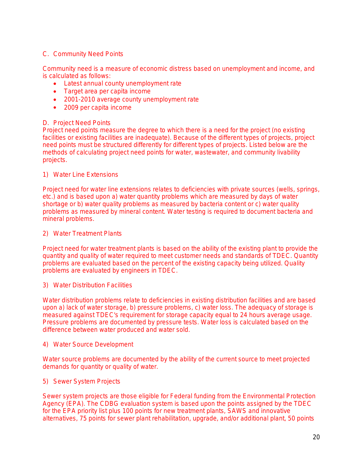#### C. Community Need Points

Community need is a measure of economic distress based on unemployment and income, and is calculated as follows:

- Latest annual county unemployment rate
- Target area per capita income
- 2001-2010 average county unemployment rate
- 2009 per capita income

#### D. Project Need Points

Project need points measure the degree to which there is a need for the project (no existing facilities or existing facilities are inadequate). Because of the different types of projects, project need points must be structured differently for different types of projects. Listed below are the methods of calculating project need points for water, wastewater, and community livability projects.

#### 1) Water Line Extensions

Project need for water line extensions relates to deficiencies with private sources (wells, springs, etc.) and is based upon a) water quantity problems which are measured by days of water shortage or b) water quality problems as measured by bacteria content or c) water quality problems as measured by mineral content. Water testing is required to document bacteria and mineral problems.

#### 2) Water Treatment Plants

Project need for water treatment plants is based on the ability of the existing plant to provide the quantity and quality of water required to meet customer needs and standards of TDEC. Quantity problems are evaluated based on the percent of the existing capacity being utilized. Quality problems are evaluated by engineers in TDEC.

#### 3) Water Distribution Facilities

Water distribution problems relate to deficiencies in existing distribution facilities and are based upon a) lack of water storage, b) pressure problems, c) water loss. The adequacy of storage is measured against TDEC's requirement for storage capacity equal to 24 hours average usage. Pressure problems are documented by pressure tests. Water loss is calculated based on the difference between water produced and water sold.

#### 4) Water Source Development

Water source problems are documented by the ability of the current source to meet projected demands for quantity or quality of water.

#### 5) Sewer System Projects

Sewer system projects are those eligible for Federal funding from the Environmental Protection Agency (EPA). The CDBG evaluation system is based upon the points assigned by the TDEC for the EPA priority list plus 100 points for new treatment plants, SAWS and innovative alternatives, 75 points for sewer plant rehabilitation, upgrade, and/or additional plant, 50 points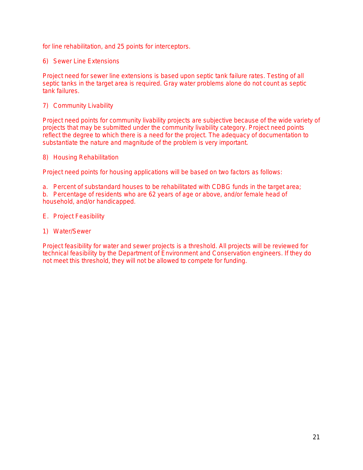for line rehabilitation, and 25 points for interceptors.

6) Sewer Line Extensions

Project need for sewer line extensions is based upon septic tank failure rates. Testing of all septic tanks in the target area is required. Gray water problems alone do not count as septic tank failures.

7) Community Livability

Project need points for community livability projects are subjective because of the wide variety of projects that may be submitted under the community livability category. Project need points reflect the degree to which there is a need for the project. The adequacy of documentation to substantiate the nature and magnitude of the problem is very important.

8) Housing Rehabilitation

Project need points for housing applications will be based on two factors as follows:

a. Percent of substandard houses to be rehabilitated with CDBG funds in the target area; b. Percentage of residents who are 62 years of age or above, and/or female head of household, and/or handicapped.

- E. Project Feasibility
- 1) Water/Sewer

Project feasibility for water and sewer projects is a threshold. All projects will be reviewed for technical feasibility by the Department of Environment and Conservation engineers. If they do not meet this threshold, they will not be allowed to compete for funding.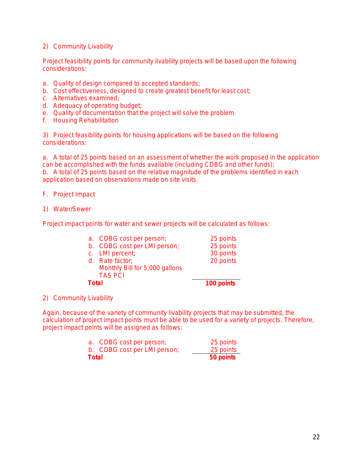#### 2) Community Livability

Project feasibility points for community livability projects will be based upon the following considerations:

- a. Quality of design compared to accepted standards;
- b. Cost effectiveness, designed to create greatest benefit for least cost;
- c. Alternatives examined;
- d. Adequacy of operating budget;
- e. Quality of documentation that the project will solve the problem.
- f. Housing Rehabilitation

3) Project feasibility points for housing applications will be based on the following considerations:

a. A total of 25 points based on an assessment of whether the work proposed in the application can be accomplished with the funds available (including CDBG and other funds); b. A total of 25 points based on the relative magnitude of the problems identified in each application based on observations made on site visits.

#### F. Project Impact

1) Water/Sewer

Project impact points for water and sewer projects will be calculated as follows:

|              | a. CDBG cost per person;       | 25 points  |
|--------------|--------------------------------|------------|
|              | b. CDBG cost per LMI person;   | 25 points  |
|              | c. LMI percent;                | 30 points  |
|              | d. Rate factor;                | 20 points  |
|              | Monthly Bill for 5,000 gallons |            |
|              | <b>TAS PCI</b>                 |            |
| <b>Total</b> |                                | 100 points |

2) Community Livability

Again, because of the variety of community livability projects that may be submitted, the calculation of project impact points must be able to be used for a variety of projects. Therefore, project impact points will be assigned as follows:

| Total |                              | 50 points |
|-------|------------------------------|-----------|
|       | b. CDBG cost per LMI person; | 25 points |
|       | a. CDBG cost per person;     | 25 points |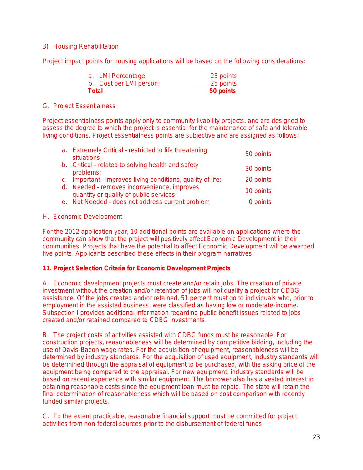#### 3) Housing Rehabilitation

Project impact points for housing applications will be based on the following considerations:

| a. LMI Percentage;      | 25 points |
|-------------------------|-----------|
| b. Cost per LMI person; | 25 points |
| Total                   | 50 points |

#### G. Project Essentialness

Project essentialness points apply only to community livability projects, and are designed to assess the degree to which the project is essential for the maintenance of safe and tolerable living conditions. Project essentialness points are subjective and are assigned as follows:

| a. Extremely Critical - restricted to life threatening<br>situations;                  | 50 points |
|----------------------------------------------------------------------------------------|-----------|
| b. Critical - related to solving health and safety<br>problems;                        | 30 points |
| c. Important - improves living conditions, quality of life;                            | 20 points |
| d. Needed - removes inconvenience, improves<br>quantity or quality of public services; | 10 points |
| e. Not Needed - does not address current problem                                       | 0 points  |

#### H. Economic Development

For the 2012 application year, 10 additional points are available on applications where the community can show that the project will positively affect Economic Development in their communities. Projects that have the potential to affect Economic Development will be awarded five points. Applicants described these effects in their program narratives.

#### **11. Project Selection Criteria for Economic Development Projects**

A. Economic development projects must create and/or retain jobs. The creation of private investment without the creation and/or retention of jobs will not qualify a project for CDBG assistance. Of the jobs created and/or retained, 51 percent must go to individuals who, prior to employment in the assisted business, were classified as having low or moderate-income. Subsection I provides additional information regarding public benefit issues related to jobs created and/or retained compared to CDBG investments.

B. The project costs of activities assisted with CDBG funds must be reasonable. For construction projects, reasonableness will be determined by competitive bidding, including the use of Davis-Bacon wage rates. For the acquisition of equipment, reasonableness will be determined by industry standards. For the acquisition of used equipment, industry standards will be determined through the appraisal of equipment to be purchased, with the asking price of the equipment being compared to the appraisal. For new equipment, industry standards will be based on recent experience with similar equipment. The borrower also has a vested interest in obtaining reasonable costs since the equipment loan must be repaid. The state will retain the final determination of reasonableness which will be based on cost comparison with recently funded similar projects.

C. To the extent practicable, reasonable financial support must be committed for project activities from non-federal sources prior to the disbursement of federal funds.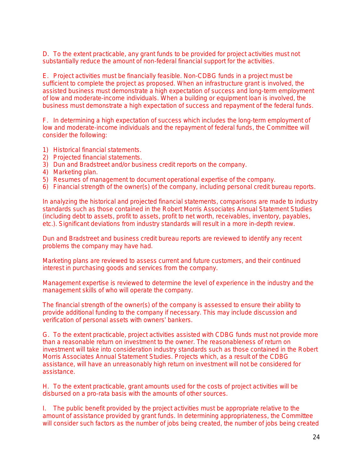D. To the extent practicable, any grant funds to be provided for project activities must not substantially reduce the amount of non-federal financial support for the activities.

E. Project activities must be financially feasible. Non-CDBG funds in a project must be sufficient to complete the project as proposed. When an infrastructure grant is involved, the assisted business must demonstrate a high expectation of success and long-term employment of low and moderate-income individuals. When a building or equipment loan is involved, the business must demonstrate a high expectation of success and repayment of the federal funds.

F. In determining a high expectation of success which includes the long-term employment of low and moderate-income individuals and the repayment of federal funds, the Committee will consider the following:

- 1) Historical financial statements.
- 2) Projected financial statements.
- 3) Dun and Bradstreet and/or business credit reports on the company.
- 4) Marketing plan.
- 5) Resumes of management to document operational expertise of the company.
- 6) Financial strength of the owner(s) of the company, including personal credit bureau reports.

In analyzing the historical and projected financial statements, comparisons are made to industry standards such as those contained in the Robert Morris Associates Annual Statement Studies (including debt to assets, profit to assets, profit to net worth, receivables, inventory, payables, etc.). Significant deviations from industry standards will result in a more in-depth review.

Dun and Bradstreet and business credit bureau reports are reviewed to identify any recent problems the company may have had.

Marketing plans are reviewed to assess current and future customers, and their continued interest in purchasing goods and services from the company.

Management expertise is reviewed to determine the level of experience in the industry and the management skills of who will operate the company.

The financial strength of the owner(s) of the company is assessed to ensure their ability to provide additional funding to the company if necessary. This may include discussion and verification of personal assets with owners' bankers.

G. To the extent practicable, project activities assisted with CDBG funds must not provide more than a reasonable return on investment to the owner. The reasonableness of return on investment will take into consideration industry standards such as those contained in the Robert Morris Associates Annual Statement Studies. Projects which, as a result of the CDBG assistance, will have an unreasonably high return on investment will not be considered for assistance.

H. To the extent practicable, grant amounts used for the costs of project activities will be disbursed on a pro-rata basis with the amounts of other sources.

I. The public benefit provided by the project activities must be appropriate relative to the amount of assistance provided by grant funds. In determining appropriateness, the Committee will consider such factors as the number of jobs being created, the number of jobs being created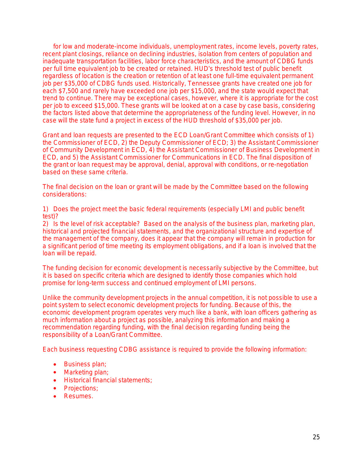for low and moderate-income individuals, unemployment rates, income levels, poverty rates, recent plant closings, reliance on declining industries, isolation from centers of population and inadequate transportation facilities, labor force characteristics, and the amount of CDBG funds per full time equivalent job to be created or retained. HUD's threshold test of public benefit regardless of location is the creation or retention of at least one full-time equivalent permanent job per \$35,000 of CDBG funds used. Historically, Tennessee grants have created one job for each \$7,500 and rarely have exceeded one job per \$15,000, and the state would expect that trend to continue. There may be exceptional cases, however, where it is appropriate for the cost per job to exceed \$15,000. These grants will be looked at on a case by case basis, considering the factors listed above that determine the appropriateness of the funding level. However, in no case will the state fund a project in excess of the HUD threshold of \$35,000 per job.

Grant and loan requests are presented to the ECD Loan/Grant Committee which consists of 1) the Commissioner of ECD, 2) the Deputy Commissioner of ECD; 3) the Assistant Commissioner of Community Development in ECD, 4) the Assistant Commissioner of Business Development in ECD, and 5) the Assistant Commissioner for Communications in ECD. The final disposition of the grant or loan request may be approval, denial, approval with conditions, or re-negotiation based on these same criteria.

The final decision on the loan or grant will be made by the Committee based on the following considerations:

1) Does the project meet the basic federal requirements (especially LMI and public benefit test)?

2) Is the level of risk acceptable? Based on the analysis of the business plan, marketing plan, historical and projected financial statements, and the organizational structure and expertise of the management of the company, does it appear that the company will remain in production for a significant period of time meeting its employment obligations, and if a loan is involved that the loan will be repaid.

The funding decision for economic development is necessarily subjective by the Committee, but it is based on specific criteria which are designed to identify those companies which hold promise for long-term success and continued employment of LMI persons.

Unlike the community development projects in the annual competition, it is not possible to use a point system to select economic development projects for funding. Because of this, the economic development program operates very much like a bank, with loan officers gathering as much information about a project as possible, analyzing this information and making a recommendation regarding funding, with the final decision regarding funding being the responsibility of a Loan/Grant Committee.

Each business requesting CDBG assistance is required to provide the following information:

- Business plan;
- Marketing plan;
- **•** Historical financial statements;
- Projections;
- Resumes.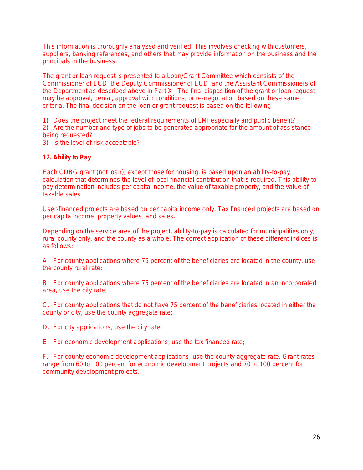This information is thoroughly analyzed and verified. This involves checking with customers, suppliers, banking references, and others that may provide information on the business and the principals in the business.

The grant or loan request is presented to a Loan/Grant Committee which consists of the Commissioner of ECD, the Deputy Commissioner of ECD, and the Assistant Commissioners of the Department as described above in Part XI. The final disposition of the grant or loan request may be approval, denial, approval with conditions, or re-negotiation based on these same criteria. The final decision on the loan or grant request is based on the following:

1) Does the project meet the federal requirements of LMI especially and public benefit? 2) Are the number and type of jobs to be generated appropriate for the amount of assistance

- being requested?
- 3) Is the level of risk acceptable?

#### **12. Ability to Pay**

Each CDBG grant (not loan), except those for housing, is based upon an ability-to-pay calculation that determines the level of local financial contribution that is required. This ability-topay determination includes per capita income, the value of taxable property, and the value of taxable sales.

User-financed projects are based on per capita income only. Tax financed projects are based on per capita income, property values, and sales.

Depending on the service area of the project, ability-to-pay is calculated for municipalities only, rural county only, and the county as a whole. The correct application of these different indices is as follows:

A. For county applications where 75 percent of the beneficiaries are located in the county, use the county rural rate;

B. For county applications where 75 percent of the beneficiaries are located in an incorporated area, use the city rate;

C. For county applications that do not have 75 percent of the beneficiaries located in either the county or city, use the county aggregate rate;

D. For city applications, use the city rate;

E. For economic development applications, use the tax financed rate;

F. For county economic development applications, use the county aggregate rate. Grant rates range from 60 to 100 percent for economic development projects and 70 to 100 percent for community development projects.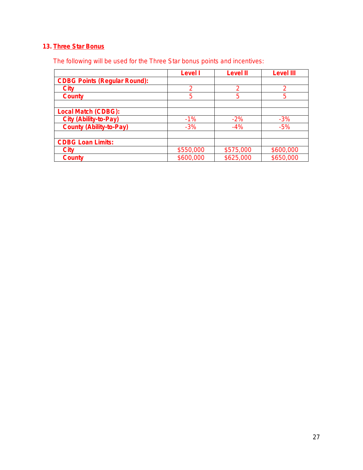# **13. Three Star Bonus**

The following will be used for the Three Star bonus points and incentives:

|                                     | Level I   | Level II  | Level III |
|-------------------------------------|-----------|-----------|-----------|
| <b>CDBG Points (Regular Round):</b> |           |           |           |
| <b>City</b>                         | 2         | 2         | っ         |
| <b>County</b>                       | 5         | 5         | 5         |
|                                     |           |           |           |
| <b>Local Match (CDBG):</b>          |           |           |           |
| <b>City (Ability-to-Pay)</b>        | $-1%$     | $-2%$     | $-3%$     |
| <b>County (Ability-to-Pay)</b>      | $-3%$     | $-4%$     | $-5%$     |
|                                     |           |           |           |
| <b>CDBG Loan Limits:</b>            |           |           |           |
| <b>City</b>                         | \$550,000 | \$575,000 | \$600,000 |
| <b>County</b>                       | \$600,000 | \$625,000 | \$650,000 |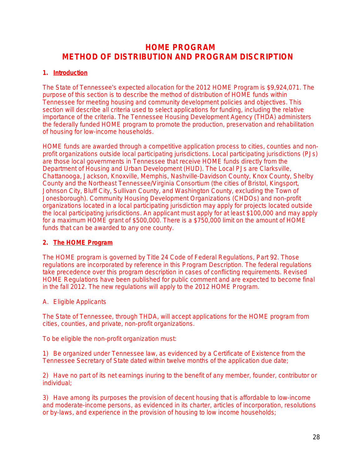# **HOME PROGRAM METHOD OF DISTRIBUTION AND PROGRAM DISCRIPTION**

#### **1. Introduction**

The State of Tennessee's expected allocation for the 2012 HOME Program is \$9,924,071. The purpose of this section is to describe the method of distribution of HOME funds within Tennessee for meeting housing and community development policies and objectives. This section will describe all criteria used to select applications for funding, including the relative importance of the criteria. The Tennessee Housing Development Agency (THDA) administers the federally funded HOME program to promote the production, preservation and rehabilitation of housing for low-income households.

HOME funds are awarded through a competitive application process to cities, counties and nonprofit organizations outside local participating jurisdictions. Local participating jurisdictions (PJs) are those local governments in Tennessee that receive HOME funds directly from the Department of Housing and Urban Development (HUD). The Local PJs are Clarksville, Chattanooga, Jackson, Knoxville, Memphis, Nashville-Davidson County, Knox County, Shelby County and the Northeast Tennessee/Virginia Consortium (the cities of Bristol, Kingsport, Johnson City, Bluff City, Sullivan County, and Washington County, excluding the Town of Jonesborough). Community Housing Development Organizations (CHDOs) and non-profit organizations located in a local participating jurisdiction may apply for projects located outside the local participating jurisdictions. An applicant must apply for at least \$100,000 and may apply for a maximum HOME grant of \$500,000. There is a \$750,000 limit on the amount of HOME funds that can be awarded to any one county.

#### **2. The HOME Program**

The HOME program is governed by Title 24 Code of Federal Regulations, Part 92. Those regulations are incorporated by reference in this Program Description. The federal regulations take precedence over this program description in cases of conflicting requirements. Revised HOME Regulations have been published for public comment and are expected to become final in the fall 2012. The new regulations will apply to the 2012 HOME Program.

#### A. Eligible Applicants

The State of Tennessee, through THDA, will accept applications for the HOME program from cities, counties, and private, non-profit organizations.

To be eligible the non-profit organization must:

1) Be organized under Tennessee law, as evidenced by a Certificate of Existence from the Tennessee Secretary of State dated within twelve months of the application due date;

2) Have no part of its net earnings inuring to the benefit of any member, founder, contributor or individual;

3) Have among its purposes the provision of decent housing that is affordable to low-income and moderate-income persons, as evidenced in its charter, articles of incorporation, resolutions or by-laws, and experience in the provision of housing to low income households;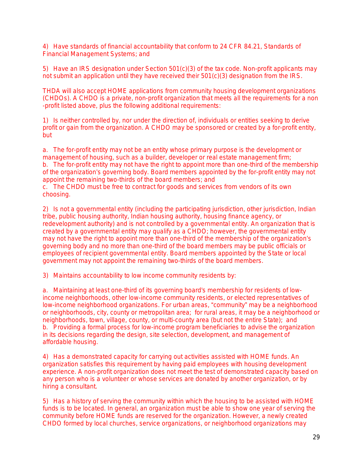4) Have standards of financial accountability that conform to 24 CFR 84.21, *Standards of Financial Management Systems*; and

5) Have an IRS designation under Section 501(c)(3) of the tax code. *Non-profit applicants may not submit an application until they have received their 501(c)(3) designation from the IRS.*

THDA will also accept HOME applications from community housing development organizations (CHDOs). A CHDO is a private, non-profit organization that meets all the requirements for a non -profit listed above, plus the following additional requirements:

1) Is neither controlled by, nor under the direction of, individuals or entities seeking to derive profit or gain from the organization. A CHDO may be sponsored or created by a for-profit entity, but

a. The for-profit entity may not be an entity whose primary purpose is the development or management of housing, such as a builder, developer or real estate management firm; b. The for-profit entity may not have the right to appoint more than one-third of the membership of the organization's governing body. Board members appointed by the for-profit entity may not appoint the remaining two-thirds of the board members; and

c. The CHDO must be free to contract for goods and services from vendors of its own choosing.

2) Is not a governmental entity (including the participating jurisdiction, other jurisdiction, Indian tribe, public housing authority, Indian housing authority, housing finance agency, or redevelopment authority) and is not controlled by a governmental entity. An organization that is created by a governmental entity may qualify as a CHDO; however, the governmental entity may not have the right to appoint more than one-third of the membership of the organization's governing body and no more than one-third of the board members may be public officials or employees of recipient governmental entity. Board members appointed by the State or local government may not appoint the remaining two-thirds of the board members.

3) Maintains accountability to low income community residents by:

a. Maintaining at least one-third of its governing board's membership for residents of lowincome neighborhoods, other low-income community residents, or elected representatives of low-income neighborhood organizations. For urban areas, "community" may be a neighborhood or neighborhoods, city, county or metropolitan area; for rural areas, it may be a neighborhood or neighborhoods, town, village, county, or multi-county area (but not the entire State); and b. Providing a formal process for low-income program beneficiaries to advise the organization in its decisions regarding the design, site selection, development, and management of affordable housing.

4) Has a demonstrated capacity for carrying out activities assisted with HOME funds. An organization satisfies this requirement by having paid employees with housing development experience. A non-profit organization does not meet the test of demonstrated capacity based on any person who is a volunteer or whose services are donated by another organization, or by hiring a consultant.

5) Has a history of serving the community within which the housing to be assisted with HOME funds is to be located. In general, an organization must be able to show one year of serving the community before HOME funds are reserved for the organization. However, a newly created CHDO formed by local churches, service organizations, or neighborhood organizations may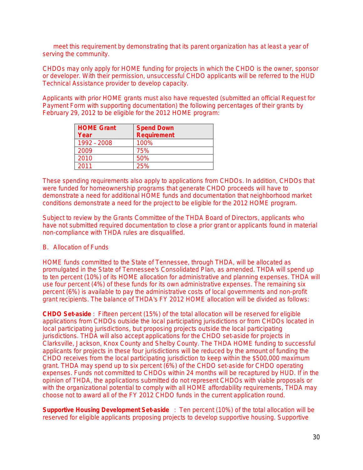meet this requirement by demonstrating that its parent organization has at least a year of serving the community.

CHDOs may only apply for HOME funding for projects in which the CHDO is the owner, sponsor or developer. With their permission, unsuccessful CHDO applicants will be referred to the HUD Technical Assistance provider to develop capacity.

Applicants with prior HOME grants must also have *requested* (submitted an official Request for Payment Form with supporting documentation) the following percentages of their grants by February 29, 2012 to be eligible for the 2012 HOME program:

| <b>HOME Grant</b><br>Year | <b>Spend Down</b><br><b>Requirement</b> |
|---------------------------|-----------------------------------------|
| 1992 - 2008               | 100%                                    |
| 2009                      | 75%                                     |
| 2010                      | 50%                                     |
| 2011                      | 25%                                     |

These spending requirements also apply to applications from CHDOs. In addition, CHDOs that were funded for homeownership programs that generate CHDO proceeds will have to demonstrate a need for additional HOME funds and documentation that neighborhood market conditions demonstrate a need for the project to be eligible for the 2012 HOME program.

Subject to review by the Grants Committee of the THDA Board of Directors, applicants who have not submitted required documentation to close a prior grant or applicants found in material non-compliance with THDA rules are disqualified.

#### B. Allocation of Funds

HOME funds committed to the State of Tennessee, through THDA, will be allocated as promulgated in the State of Tennessee's Consolidated Plan, as amended. THDA will spend up to ten percent (10%) of its HOME allocation for administrative and planning expenses. THDA will use four percent (4%) of these funds for its own administrative expenses. The remaining six percent (6%) is available to pay the administrative costs of local governments and non-profit grant recipients. The balance of THDA's FY 2012 HOME allocation will be divided as follows:

*CHDO Set-aside :* Fifteen percent (15%) of the total allocation will be reserved for eligible applications from CHDOs outside the local participating jurisdictions or from CHDOs located in local participating jurisdictions, but proposing projects outside the local participating jurisdictions. THDA will also accept applications for the CHDO set-aside for projects in Clarksville, Jackson, Knox County and Shelby County. The THDA HOME funding to successful applicants for projects in these four jurisdictions will be reduced by the amount of funding the CHDO receives from the local participating jurisdiction to keep within the \$500,000 maximum grant. THDA may spend up to six percent (6%) of the CHDO set-aside for CHDO operating expenses. Funds not committed to CHDOs within 24 months will be recaptured by HUD. If in the opinion of THDA, the applications submitted do not represent CHDOs with viable proposals or with the organizational potential to comply with all HOME affordability requirements, THDA may choose not to award all of the FY 2012 CHDO funds in the current application round.

*Supportive Housing Development Set-aside :* Ten percent (10%) of the total allocation will be reserved for eligible applicants proposing projects to develop supportive housing. *Supportive*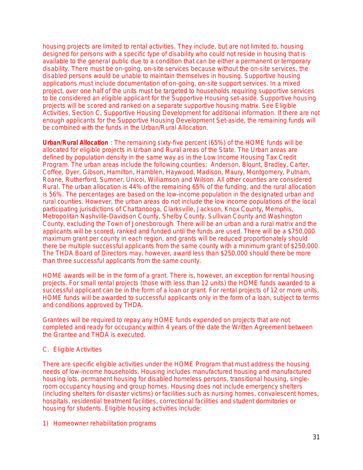*housing projects are limited to rental activities*. They include, but are not limited to, housing designed for persons with a specific type of disability who could not reside in housing that is available to the general public due to a condition that can be either a permanent or temporary disability. There must be on-going, on-site services because without the on-site services, the disabled persons would be unable to maintain themselves in housing. *Supportive housing*  applications must include documentation of on-going, on-site support services. In a mixed project, over one half of the units must be targeted to households requiring supportive services to be considered an eligible applicant for the Supportive Housing set-aside. Supportive housing projects will be scored and ranked on a separate supportive housing matrix. See *Eligible Activities, Section C, Supportive Housing Development* for additional information. If there are not enough applicants for the Supportive Housing Development Set-aside, the remaining funds will be combined with the funds in the Urban/Rural Allocation.

*Urban/Rural Allocation :* The remaining sixty-five percent (65%) of the HOME funds will be allocated for eligible projects in Urban and Rural areas of the State. The Urban areas are defined by population density in the same way as in the Low Income Housing Tax Credit Program. The urban areas include the following counties: Anderson, Blount, Bradley, Carter, Coffee, Dyer, Gibson, Hamilton, Hamblen, Haywood, Madison, Maury, Montgomery, Putnam, Roane, Rutherford, Sumner, Unicoi, Williamson and Wilson. All other counties are considered Rural. The urban allocation is 44% of the remaining 65% of the funding, and the rural allocation is 56%. The percentages are based on the low-income population in the designated urban and rural counties. However, the urban areas do not include the low income populations of the local participating jurisdictions of Chattanooga, Clarksville, Jackson, Knox County, Memphis, Metropolitan Nashville-Davidson County, Shelby County, Sullivan County and Washington County, excluding the Town of Jonesborough. There will be an urban and a rural matrix and the applicants will be scored, ranked and funded until the funds are used. There will be a \$750,000 maximum grant per county in each region, and grants will be reduced proportionately should there be multiple successful applicants from the same county with a minimum grant of \$250,000. The THDA Board of Directors may, however, award less than \$250,000 should there be more than three successful applicants from the same county.

HOME awards will be in the form of a grant. There is, however, an exception for rental housing projects. For small rental projects (those with less than 12 units) the HOME funds awarded to a successful applicant can be in the form of a loan or grant. For rental projects of 12 or more units, HOME funds will be awarded to successful applicants only in the form of a loan, subject to terms and conditions approved by THDA.

Grantees will be required to repay any HOME funds expended on projects that are not completed and ready for occupancy within 4 years of the date the Written Agreement between the Grantee and THDA is executed.

#### C. Eligible Activities

There are specific eligible activities under the HOME Program that must address the housing needs of low-income households. Housing includes manufactured housing and manufactured housing lots, permanent housing for disabled homeless persons, transitional housing, singleroom occupancy housing and group homes. Housing does not include emergency shelters (including shelters for disaster victims) or facilities such as nursing homes, convalescent homes, hospitals, residential treatment facilities, correctional facilities and student dormitories or housing for students. Eligible housing activities include:

1) Homeowner rehabilitation programs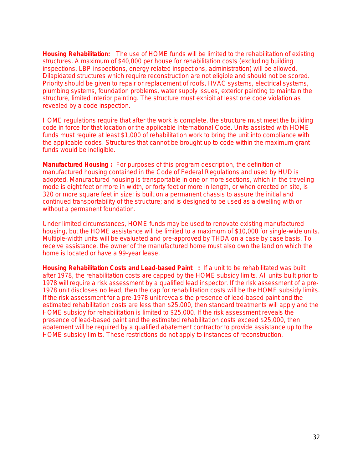*Housing Rehabilitation:* The use of HOME funds will be limited to the rehabilitation of existing structures. A maximum of \$40,000 per house for rehabilitation costs (excluding building inspections, LBP inspections, energy related inspections, administration) will be allowed. Dilapidated structures which require reconstruction are not eligible and should not be scored. Priority should be given to repair or replacement of roofs, HVAC systems, electrical systems, plumbing systems, foundation problems, water supply issues, exterior painting to maintain the structure, limited interior painting. The structure must exhibit at least one code violation as revealed by a code inspection.

HOME regulations require that after the work is complete, the structure must meet the building code in force for that location or the applicable International Code. Units assisted with HOME funds must require at least \$1,000 of rehabilitation work to bring the unit into compliance with the applicable codes. Structures that cannot be brought up to code within the maximum grant funds would be ineligible.

*Manufactured Housing* **:** For purposes of this program description, the definition of manufactured housing contained in the Code of Federal Regulations and used by HUD is adopted. Manufactured housing is transportable in one or more sections, which in the traveling mode is eight feet or more in width, or forty feet or more in length, or when erected on site, is 320 or more square feet in size; is built on a permanent chassis to assure the initial and continued transportability of the structure; and is designed to be used as a dwelling with or without a permanent foundation.

Under limited circumstances, HOME funds may be used to renovate existing manufactured housing, but the HOME assistance will be limited to a maximum of \$10,000 for single-wide units. Multiple-width units will be evaluated and pre-approved by THDA on a case by case basis. To receive assistance, the owner of the manufactured home must also own the land on which the home is located or have a 99-year lease.

*Housing Rehabilitation Costs and Lead-based Paint* **:** If a unit to be rehabilitated was built after 1978, the rehabilitation costs are capped by the HOME subsidy limits. *All units built prior to*  1978 will require a risk assessment by a qualified lead inspector. If the risk assessment of a pre-1978 unit discloses no lead, then the cap for rehabilitation costs will be the HOME subsidy limits. If the risk assessment for a pre-1978 unit reveals the presence of lead-based paint and the estimated rehabilitation costs are less than \$25,000, then standard treatments will apply and the HOME subsidy for rehabilitation is limited to \$25,000. If the risk assessment reveals the presence of lead-based paint and the estimated rehabilitation costs exceed \$25,000, then abatement will be required by a qualified abatement contractor to provide assistance up to the HOME subsidy limits. These restrictions do not apply to instances of reconstruction.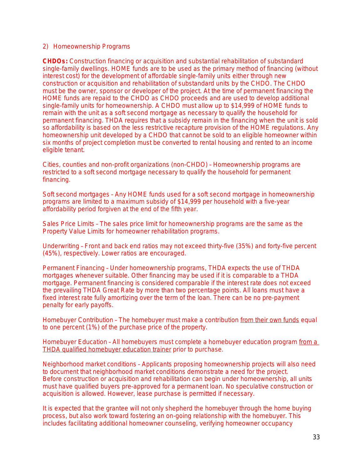#### 2) Homeownership Programs

*CHDOs***:** Construction financing or acquisition and substantial rehabilitation of substandard single-family dwellings. HOME funds *are to be used as the primary method of financing* (without interest cost) for *the development of affordable single-family units* either through new construction or acquisition and rehabilitation of substandard units by the CHDO. The CHDO must be the owner, sponsor or developer of the project. At the time of permanent financing the HOME funds are repaid to the CHDO as CHDO proceeds and are used to develop additional single-family units for homeownership. A CHDO must allow up to \$14,999 of HOME funds to remain with the unit as a soft second mortgage as necessary to qualify the household for permanent financing. THDA requires that a subsidy remain in the financing when the unit is sold so affordability is based on the less restrictive recapture provision of the HOME regulations. Any homeownership unit developed by a CHDO that cannot be sold to an eligible homeowner within six months of project completion must be converted to rental housing and rented to an income eligible tenant.

*Cities, counties and non-profit organizations (non-CHDO)* – Homeownership programs are restricted to a soft second mortgage necessary to qualify the household for permanent financing.

*Soft second mortgages* – Any HOME funds used for a soft second mortgage in homeownership programs are limited to a maximum subsidy of \$14,999 per household with a five-year affordability period forgiven at the end of the fifth year.

*Sales Price Limits* – The sales price limit for homeownership programs are the same as the Property Value Limits for homeowner rehabilitation programs.

*Underwriting* – Front and back end ratios may not exceed thirty-five (35%) and forty-five percent (45%), respectively. Lower ratios are encouraged.

*Permanent Financing* – Under homeownership programs, THDA expects the use of THDA mortgages whenever suitable. Other financing may be used if it is comparable to a THDA mortgage. Permanent financing is considered comparable if the interest rate does not exceed the prevailing THDA Great Rate by more than two percentage points. All loans must have a fixed interest rate fully amortizing over the term of the loan. There can be no pre-payment penalty for early payoffs.

*Homebuyer Contribution* – The homebuyer must make a contribution from their own funds equal to one percent (1%) of the purchase price of the property.

*Homebuyer Education* – All homebuyers must complete a homebuyer education program from a THDA qualified homebuyer education trainer prior to purchase.

*Neighborhood market conditions* – Applicants proposing homeownership projects will also need to document that neighborhood market conditions demonstrate a need for the project. Before construction or acquisition and rehabilitation can begin under homeownership, all units must have qualified buyers pre-approved for a permanent loan. No speculative construction or acquisition is allowed. However, lease purchase is permitted if necessary.

It is expected that the grantee will not only shepherd the homebuyer through the home buying process, but also work toward fostering an on-going relationship with the homebuyer. This includes facilitating additional homeowner counseling, verifying homeowner occupancy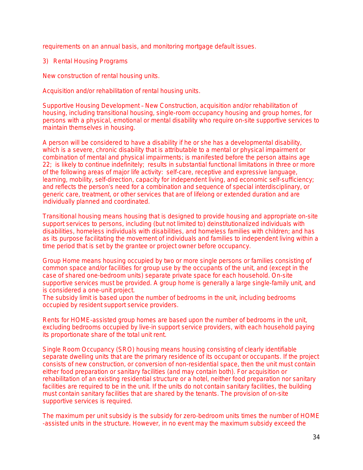requirements on an annual basis, and monitoring mortgage default issues.

3) Rental Housing Programs

*New construction of rental housing units.*

*Acquisition and/or rehabilitation of rental housing units.*

*Supportive Housing Development* – New Construction, acquisition and/or rehabilitation of housing, including transitional housing, single-room occupancy housing and group homes, for persons with a physical, emotional or mental disability who require on-site supportive services to maintain themselves in housing.

A person will be considered to have a disability if he or she has a developmental disability, which is a severe, chronic disability that is attributable to a mental or physical impairment or combination of mental and physical impairments; is manifested before the person attains age 22; is likely to continue indefinitely; results in substantial functional limitations in three or more of the following areas of major life activity: self-care, receptive and expressive language, learning, mobility, self-direction, capacity for independent living, and economic self-sufficiency; and reflects the person's need for a combination and sequence of special interdisciplinary, or generic care, treatment, or other services that are of lifelong or extended duration and are individually planned and coordinated.

*Transitional housing* means housing that is designed to provide housing and appropriate on-site support services to persons, including (but not limited to) deinstitutionalized individuals with disabilities, homeless individuals with disabilities, and homeless families with children; and has as its purpose facilitating the movement of individuals and families to independent living within a time period that is set by the grantee or project owner before occupancy.

*Group Home* means housing occupied by two or more single persons or families consisting of common space and/or facilities for group use by the occupants of the unit, and (except in the case of shared one-bedroom units) separate private space for each household. On-site supportive services must be provided. A group home is generally a large single-family unit, and is considered a one-unit project.

The subsidy limit is based upon the number of bedrooms in the unit, including bedrooms occupied by resident support service providers.

Rents for HOME-assisted group homes are based upon the number of bedrooms in the unit, excluding bedrooms occupied by live-in support service providers, with each household paying its proportionate share of the total unit rent.

*Single Room Occupancy (SRO)* housing means housing consisting of clearly identifiable separate dwelling units that are the primary residence of its occupant or occupants. If the project consists of new construction, or conversion of non-residential space, then the unit must contain either food preparation or sanitary facilities (and may contain both). For acquisition or rehabilitation of an existing residential structure or a hotel, neither food preparation nor sanitary facilities are required to be in the unit. If the units do not contain sanitary facilities, the building must contain sanitary facilities that are shared by the tenants. The provision of on-site supportive services is required.

The maximum per unit subsidy is the subsidy for zero-bedroom units times the number of HOME -assisted units in the structure. However, in no event may the maximum subsidy exceed the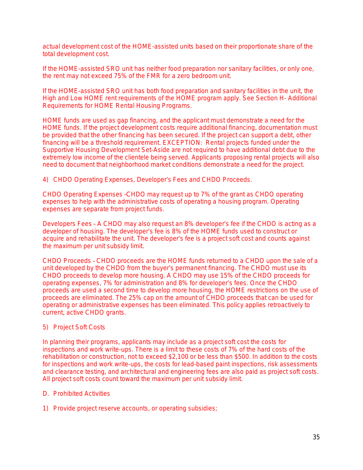actual development cost of the HOME-assisted units based on their proportionate share of the total development cost.

If the HOME-assisted SRO unit has neither food preparation nor sanitary facilities, or only one, the rent may not exceed 75% of the FMR for a zero bedroom unit.

If the HOME-assisted SRO unit has both food preparation and sanitary facilities in the unit, the High and Low HOME rent requirements of the HOME program apply. See *Section H- Additional Requirements for HOME Rental Housing Programs*.

HOME funds are used as gap financing, and the applicant must demonstrate a need for the HOME funds. If the project development costs require additional financing, documentation must be provided that the other financing has been secured. If the project can support a debt, other financing will be a threshold requirement. EXCEPTION: Rental projects funded under the Supportive Housing Development Set-Aside are not required to have additional debt due to the extremely low income of the clientele being served. Applicants proposing rental projects will also need to document that neighborhood market conditions demonstrate a need for the project.

4) CHDO Operating Expenses, Developer's Fees and CHDO Proceeds.

*CHDO Operating Expenses* –CHDO may request up to 7% of the grant as CHDO operating expenses to help with the administrative costs of operating a housing program. Operating expenses are separate from project funds.

*Developers Fee*s – A CHDO may also request an 8% developer's fee if the CHDO is acting as a developer of housing. The developer's fee is 8% of the HOME funds used to construct or acquire and rehabilitate the unit. The developer's fee is a project soft cost and counts against the maximum per unit subsidy limit.

*CHDO Proceeds* – CHDO proceeds are the HOME funds returned to a CHDO upon the sale of a unit developed by the CHDO from the buyer's permanent financing. The CHDO must use its CHDO proceeds to develop more housing. A CHDO may use 15% of the CHDO proceeds for operating expenses, 7% for administration and 8% for developer's fees. Once the CHDO proceeds are used a second time to develop more housing, the HOME restrictions on the use of proceeds are eliminated. The 25% cap on the amount of CHDO proceeds that can be used for operating or administrative expenses has been eliminated. This policy applies retroactively to current, active CHDO grants.

#### 5) Project Soft Costs

In planning their programs, applicants may include as a project soft cost the costs for inspections and work write-ups. There is a limit to these costs of 7% of the hard costs of the rehabilitation or construction, not to exceed \$2,100 or be less than \$500. In addition to the costs for inspections and work write-ups, the costs for lead-based paint inspections, risk assessments and clearance testing, and architectural and engineering fees are also paid as project soft costs. All project soft costs count toward the maximum per unit subsidy limit.

#### D. Prohibited Activities

1) Provide project reserve accounts, or operating subsidies;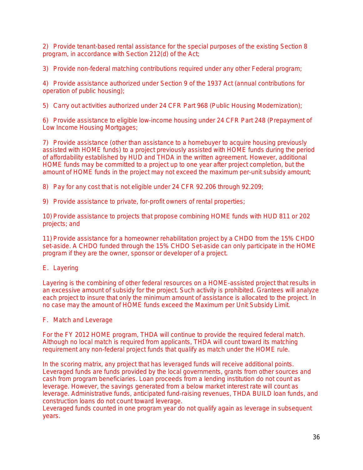2) Provide tenant-based rental assistance for the special purposes of the existing Section 8 program, in accordance with Section 212(d) of the Act;

3) Provide non-federal matching contributions required under any other Federal program;

4) Provide assistance authorized under Section 9 of the 1937 Act (annual contributions for operation of public housing);

5) Carry out activities authorized under 24 CFR Part 968 (Public Housing Modernization);

6) Provide assistance to eligible low-income housing under 24 CFR Part 248 (Prepayment of Low Income Housing Mortgages;

7) Provide assistance (other than assistance to a homebuyer to acquire housing previously assisted with HOME funds) to a project previously assisted with HOME funds during the period of affordability established by HUD and THDA in the written agreement. However, additional HOME funds may be committed to a project up to one year after project completion, but the amount of HOME funds in the project may not exceed the maximum per-unit subsidy amount;

8) Pay for any cost that is not eligible under 24 CFR 92.206 through 92.209;

9) Provide assistance to private, for-profit owners of rental properties;

10) Provide assistance to projects that propose combining HOME funds with HUD 811 or 202 projects; and

11) Provide assistance for a homeowner rehabilitation project by a CHDO from the 15% CHDO set-aside. A CHDO funded through the 15% CHDO Set-aside can only participate in the HOME program if they are the owner, sponsor or developer of a project.

#### E. Layering

Layering is the combining of other federal resources on a HOME-assisted project that results in an excessive amount of subsidy for the project. Such activity is prohibited. Grantees will analyze each project to insure that only the minimum amount of assistance is allocated to the project. In no case may the amount of HOME funds exceed the Maximum per Unit Subsidy Limit.

#### F. Match and Leverage

For the FY 2012 HOME program, THDA will continue to provide the required federal match. Although no local match is required from applicants, THDA will count toward its matching requirement any non-federal project funds that qualify as match under the HOME rule.

In the scoring matrix, any project that has leveraged funds will receive additional points. Leveraged funds are funds provided by the local governments, grants from other sources and cash from program beneficiaries. Loan proceeds from a lending institution do not count as leverage. However, the savings generated from a below market interest rate will count as leverage. Administrative funds, *anticipated* fund-raising revenues, THDA BUILD loan funds, and construction loans do not count toward leverage.

Leveraged funds counted in one program year do not qualify again as leverage in subsequent years.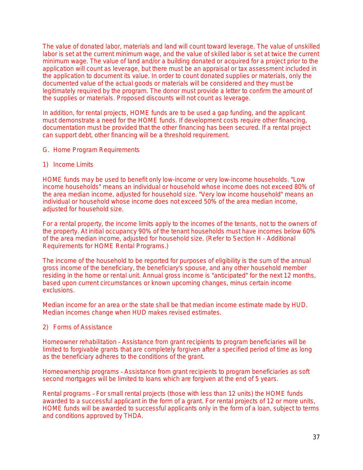The value of donated labor, materials and land will count toward leverage. The value of unskilled labor is set at the current minimum wage, and the value of skilled labor is set at twice the current minimum wage. The value of land and/or a building donated or acquired for a project prior to the application will count as leverage, but there must be an appraisal or tax assessment included in the application to document its value. In order to count donated supplies or materials, only the documented value of the actual goods or materials will be considered and they must be legitimately required by the program. The donor must provide a letter to confirm the amount of the supplies or materials. Proposed discounts will not count as leverage.

In addition, for rental projects, HOME funds are to be used a gap funding, and the applicant must demonstrate a need for the HOME funds. If development costs require other financing, documentation must be provided that the other financing has been secured. If a rental project can support debt, other financing will be a threshold requirement.

- G. Home Program Requirements
- 1) Income Limits

HOME funds may be used to benefit only low-income or very low-income households. "Low income households" means an individual or household whose income does not exceed 80% of the area median income, adjusted for household size. "Very low income household" means an individual or household whose income does not exceed 50% of the area median income, adjusted for household size.

For a rental property, the income limits apply to the incomes of the tenants, not to the owners of the property. At initial occupancy 90% of the tenant households must have incomes below 60% of the area median income, adjusted for household size. (Refer to *Section H - Additional Requirements for HOME Rental Programs*.)

The income of the household to be reported for purposes of eligibility is the sum of the annual gross income of the beneficiary, the beneficiary's spouse, and any other household member residing in the home or rental unit. Annual gross income is "anticipated" for the next 12 months, based upon current circumstances or known upcoming changes, minus certain income exclusions.

Median income for an area or the state shall be that median income estimate made by HUD. Median incomes change when HUD makes revised estimates.

#### 2) Forms of Assistance

*Homeowner rehabilitation* – Assistance from grant recipients to program beneficiaries will be limited to forgivable grants that are completely forgiven after a specified period of time as long as the beneficiary adheres to the conditions of the grant.

*Homeownership programs* – Assistance from grant recipients to program beneficiaries as soft second mortgages will be limited to loans which are forgiven at the end of 5 years.

*Rental programs* – For small rental projects (those with less than 12 units) the HOME funds awarded to a successful applicant in the form of a grant. For rental projects of 12 or more units, HOME funds will be awarded to successful applicants only in the form of a loan, subject to terms and conditions approved by THDA.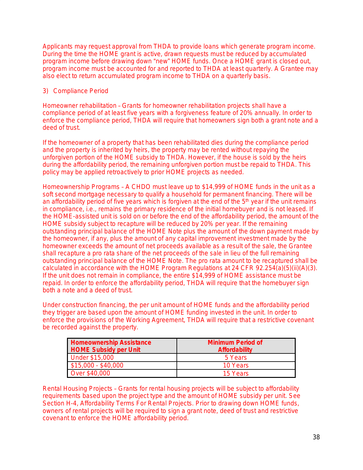Applicants may request approval from THDA to provide loans which generate program income. During the time the HOME grant is active, drawn requests must be reduced by accumulated program income before drawing down "new" HOME funds. Once a HOME grant is closed out, program income must be accounted for and reported to THDA at least quarterly. A Grantee may also elect to return accumulated program income to THDA on a quarterly basis.

### 3) Compliance Period

*Homeowner rehabilitation* – Grants for homeowner rehabilitation projects shall have a compliance period of at least five years with a forgiveness feature of 20% annually. In order to enforce the compliance period, THDA will require that homeowners sign both a grant note and a deed of trust.

If the homeowner of a property that has been rehabilitated dies during the compliance period and the property is inherited by heirs, the property may be rented without repaying the unforgiven portion of the HOME subsidy to THDA. However, if the house is sold by the heirs during the affordability period, the remaining unforgiven portion must be repaid to THDA. This policy may be applied retroactively to prior HOME projects as needed.

*Homeownership Programs* – A CHDO must leave up to \$14,999 of HOME funds in the unit as a soft second mortgage necessary to qualify a household for permanent financing. There will be an affordability period of five years which is forgiven at the end of the 5<sup>th</sup> year if the unit remains in compliance, i.e., remains the primary residence of the initial homebuyer and is not leased. If the HOME-assisted unit is sold on or before the end of the affordability period, the amount of the HOME subsidy subject to recapture will be reduced by 20% per year. If the remaining outstanding principal balance of the HOME Note plus the amount of the down payment made by the homeowner, if any, plus the amount of any capital improvement investment made by the homeowner exceeds the amount of net proceeds available as a result of the sale, the Grantee shall recapture a pro rata share of the net proceeds of the sale in lieu of the full remaining outstanding principal balance of the HOME Note. The pro rata amount to be recaptured shall be calculated in accordance with the HOME Program Regulations at 24 CFR 92.254(a)(5)(ii)(A)(3). If the unit does not remain in compliance, the entire \$14,999 of HOME assistance must be repaid. In order to enforce the affordability period, THDA will require that the homebuyer sign both a note and a deed of trust.

Under construction financing, the per unit amount of HOME funds and the affordability period they trigger are based upon the amount of HOME funding invested in the unit. In order to enforce the provisions of the Working Agreement, THDA will require that a restrictive covenant be recorded against the property.

| <b>Homeownership Assistance</b><br><b>HOME Subsidy per Unit</b> | Minimum Period of<br><b>Affordability</b> |  |
|-----------------------------------------------------------------|-------------------------------------------|--|
| Under \$15,000                                                  | 5 Years                                   |  |
| $$15,000 - $40,000$                                             | 10 Years                                  |  |
| Over \$40,000                                                   | 15 Years                                  |  |

*Rental Housing Projects* – Grants for rental housing projects will be subject to affordability requirements based upon the project type and the amount of HOME subsidy per unit. See *Section H-4, Affordability Terms For Rental Projects*. Prior to drawing down HOME funds, owners of rental projects will be required to sign a grant note, deed of trust and restrictive covenant to enforce the HOME affordability period.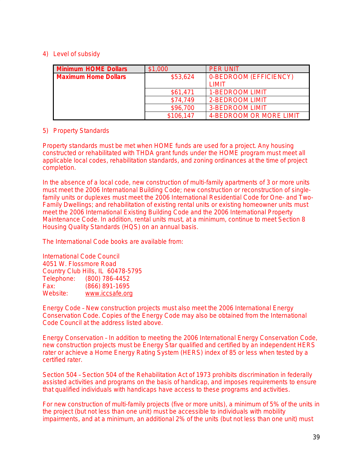### 4) Level of subsidy

| <b>Minimum HOME Dollars</b> | \$1,000   | <b>PER UNIT</b>         |
|-----------------------------|-----------|-------------------------|
| <b>Maximum Home Dollars</b> | \$53,624  | 0-BEDROOM (EFFICIENCY)  |
|                             |           | T IMIT                  |
|                             | \$61,471  | 1-BEDROOM LIMIT         |
|                             | \$74.749  | 2-BEDROOM LIMIT         |
|                             | \$96,700  | <b>3-BEDROOM LIMIT</b>  |
|                             | \$106,147 | 4-BEDROOM OR MORE LIMIT |

### 5) Property Standards

Property standards must be met when HOME funds are used for a project. Any housing constructed or rehabilitated with THDA grant funds under the HOME program must meet all applicable local codes, rehabilitation standards, and zoning ordinances at the time of project completion.

In the absence of a local code, new construction of multi-family apartments of 3 or more units must meet the 2006 International Building Code; new construction or reconstruction of singlefamily units or duplexes must meet the 2006 International Residential Code for One- and Two-Family Dwellings; and rehabilitation of existing rental units or existing homeowner units must meet the 2006 International Existing Building Code and the 2006 International Property Maintenance Code. In addition, rental units must, at a minimum, continue to meet Section 8 Housing Quality Standards (HQS) on an annual basis.

The International Code books are available from:

International Code Council 4051 W. Flossmore Road Country Club Hills, IL 60478-5795 Telephone: (800) 786-4452 Fax: (866) 891-1695 [www.iccsafe.org](http://www.iccsafe.org)

*Energy Code* – New construction projects must also meet the 2006 International Energy Conservation Code. Copies of the Energy Code may also be obtained from the International Code Council at the address listed above.

*Energy Conservation* – In addition to meeting the 2006 International Energy Conservation Code, new construction projects must be Energy Star qualified and certified by an independent HERS rater or achieve a Home Energy Rating System (HERS) index of 85 or less when tested by a certified rater.

*Section 504* – Section 504 of the Rehabilitation Act of 1973 prohibits discrimination in federally assisted activities and programs on the basis of handicap, and imposes requirements to ensure that qualified individuals with handicaps have access to these programs and activities.

For new construction of multi-family projects (five or more units), a minimum of 5% of the units in the project (but not less than one unit) must be accessible to individuals with mobility impairments, and at a minimum, an additional 2% of the units (but not less than one unit) must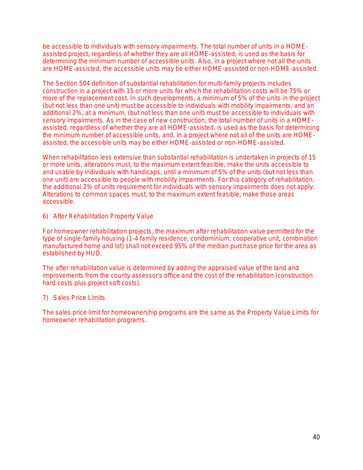be accessible to individuals with sensory impairments. The total number of units in a HOMEassisted project, regardless of whether they are all HOME-assisted, is used as the basis for determining the minimum number of accessible units. Also, in a project where not all the units are HOME-assisted, the accessible units may be either HOME-assisted or non-HOME-assisted.

The Section 504 definition of substantial rehabilitation for multi-family projects includes construction in a project with 15 or more units for which the rehabilitation costs will be 75% or more of the replacement cost. In such developments, a minimum of 5% of the units in the project (but not less than one unit) must be accessible to individuals with mobility impairments, and an additional 2%, at a minimum, (but not less than one unit) must be accessible to individuals with sensory impairments. As in the case of new construction, the total number of units in a HOMEassisted, regardless of whether they are all HOME-assisted, is used as the basis for determining the minimum number of accessible units, and, in a project where not all of the units are HOMEassisted, the accessible units may be either HOME-assisted or non-HOME-assisted.

When rehabilitation less extensive than substantial rehabilitation is undertaken in projects of 15 or more units, alterations must, to the maximum extent feasible, make the units accessible to and usable by individuals with handicaps, until a minimum of 5% of the units (but not less than one unit) are accessible to people with mobility impairments. For this category of rehabilitation, the additional 2% of units requirement for individuals with sensory impairments does not apply. Alterations to common spaces must, to the maximum extent feasible, make those areas accessible.

6) After Rehabilitation Property Value

F*or homeowner rehabilitation projects*, the maximum after rehabilitation value permitted for the type of single-family housing (1-4 family residence, condominium, cooperative unit, combination manufactured home and lot) shall not exceed 95% of the median purchase price for the area as established by HUD.

The after rehabilitation value is determined by adding the appraised value of the land and improvements from the county assessor's office and the cost of the rehabilitation (construction hard costs plus project soft costs).

#### 7) Sales Price Limits

The sales price limit for homeownership programs are the same as the Property Value Limits for homeowner rehabilitation programs.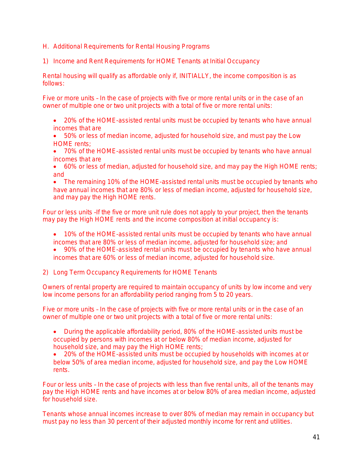- H. Additional Requirements for Rental Housing Programs
- 1) Income and Rent Requirements for HOME Tenants at Initial Occupancy

Rental housing will qualify as affordable only if, INITIALLY, the income composition is as follows:

*Five or more units* – In the case of projects with five or more rental units or in the case of an owner of multiple one or two unit projects with a total of five or more rental units:

- 20% of the HOME-assisted rental units must be occupied by tenants who have annual incomes that are
- 50% or less of median income, adjusted for household size, and must pay the Low HOME rents;
- 70% of the HOME-assisted rental units must be occupied by tenants who have annual incomes that are
- 60% or less of median, adjusted for household size, and may pay the High HOME rents; and

• The remaining 10% of the HOME-assisted rental units must be occupied by tenants who have annual incomes that are 80% or less of median income, adjusted for household size. and may pay the High HOME rents.

*Four or less units* –If the five or more unit rule does not apply to your project, then the tenants may pay the High HOME rents and the income composition *at initial occupancy is:*

- 10% of the HOME-assisted rental units must be occupied by tenants who have annual incomes that are 80% or less of median income, adjusted for household size; and
- 90% of the HOME-assisted rental units must be occupied by tenants who have annual incomes that are 60% or less of median income, adjusted for household size.
- 2) Long Term Occupancy Requirements for HOME Tenants

Owners of rental property are required to maintain occupancy of units by low income and very low income persons for an affordability period ranging from 5 to 20 years.

*Five or more units* – In the case of projects with five or more rental units or in the case of an owner of multiple one or two unit projects with a total of five or more rental units:

- During the applicable affordability period, 80% of the HOME-assisted units must be occupied by persons with incomes at or below 80% of median income, adjusted for household size, and may pay the High HOME rents;
- 20% of the HOME-assisted units must be occupied by households with incomes at or below 50% of area median income, adjusted for household size, and pay the Low HOME rents.

*Four or less units* – In the case of projects with less than five rental units, all of the tenants may pay the High HOME rents and have incomes at or below 80% of area median income, adjusted for household size.

Tenants whose annual incomes increase to over 80% of median may remain in occupancy but must pay no less than 30 percent of their adjusted monthly income for rent and utilities.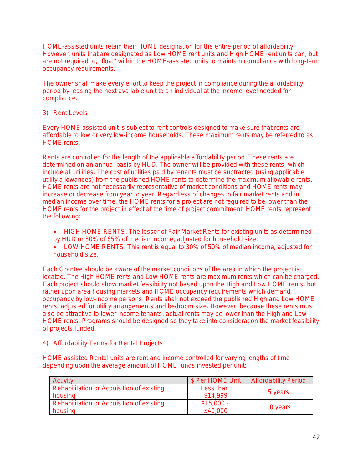HOME-assisted units retain their HOME designation for the entire period of affordability. However, units that are designated as Low HOME rent units and High HOME rent units can, but are not required to, "float" within the HOME-assisted units to maintain compliance with long-term occupancy requirements.

The owner shall make every effort to keep the project in compliance during the affordability period by leasing the next available unit to an individual at the income level needed for compliance.

#### 3) Rent Levels

Every HOME assisted unit is subject to rent controls designed to make sure that rents are affordable to low or very low-income households. These maximum rents may be referred to as HOME rents.

Rents are controlled for the length of the applicable affordability period. These rents are determined on an annual basis by HUD. The owner will be provided with these rents, which include all utilities. *The cost of utilities paid by tenants must be subtracted (using applicable utility allowances) from the published HOME rents to determine the maximum allowable rents.*  HOME rents are not necessarily representative of market conditions and HOME rents may increase or decrease from year to year. Regardless of changes in fair market rents and in median income over time, the HOME rents for a project are not required to be lower than the HOME rents for the project in effect at the time of project commitment. HOME rents represent the following:

- *HIGH HOME RENTS.* The *lesser* of Fair Market Rents for existing units as determined by HUD *or* 30% of 65% of median income, adjusted for household size.
- *LOW HOME RENTS*. This rent is equal to 30% of 50% of median income, adjusted for household size.

Each Grantee should be aware of the market conditions of the area in which the project is located. The High HOME rents and Low HOME rents are maximum rents which can be charged. Each project should show market feasibility not based upon the High and Low HOME rents, but rather upon area housing markets and HOME occupancy requirements which demand occupancy by low-income persons. Rents shall not exceed the published High and Low HOME rents, adjusted for utility arrangements and bedroom size. However, because these rents must also be attractive to lower income tenants, actual rents may be lower than the High and Low HOME rents. Programs should be designed so they take into consideration the market feasibility of projects funded.

#### 4) Affordability Terms for Rental Projects

HOME assisted Rental units are rent and income controlled for varying lengths of time depending upon the average amount of HOME funds invested per unit:

| <b>Activity</b>                           | \$ Per HOME Unit | <b>Affordability Period</b> |  |
|-------------------------------------------|------------------|-----------------------------|--|
| Rehabilitation or Acquisition of existing | Less than        |                             |  |
| housing                                   | \$14.999         | 5 years                     |  |
| Rehabilitation or Acquisition of existing | $$15,000 -$      |                             |  |
| housing                                   | \$40,000         | 10 years                    |  |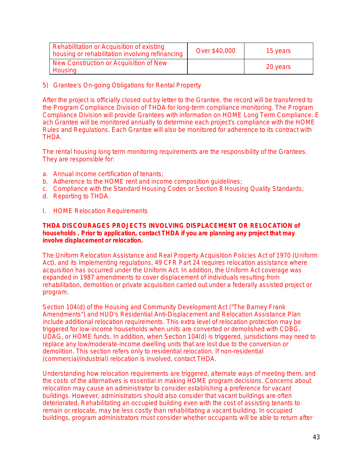| Rehabilitation or Acquisition of existing<br>housing or rehabilitation involving refinancing | Over \$40,000 | 15 years |
|----------------------------------------------------------------------------------------------|---------------|----------|
| New Construction or Acquisition of New<br>Housing                                            |               | 20 years |

5) Grantee's On-going Obligations for Rental Property

After the project is officially closed out by letter to the Grantee, the record will be transferred to the Program Compliance Division of THDA for long-term compliance monitoring. The Program Compliance Division will provide Grantees with information on HOME Long Term Compliance. E ach Grantee will be monitored annually to determine each project's compliance with the HOME Rules and Regulations. Each Grantee will also be monitored for adherence to its contract with THDA.

The rental housing long term monitoring requirements are the responsibility of the Grantees. They are responsible for:

- a. Annual income certification of tenants;
- b. Adherence to the HOME rent and income composition guidelines;
- c. Compliance with the Standard Housing Codes or Section 8 Housing Quality Standards;
- d. Reporting to THDA.
- I. HOME Relocation Requirements

#### *THDA DISCOURAGES PROJECTS INVOLVING DISPLACEMENT OR RELOCATION of households . Prior to application, contact THDA if you are planning any project that may involve displacement or relocation.*

The Uniform Relocation Assistance and Real Property Acquisition Policies Act of 1970 (Uniform Act), and its implementing regulations, 49 CFR Part 24 requires relocation assistance where acquisition has occurred under the Uniform Act. In addition, the Uniform Act coverage was expanded in 1987 amendments to cover displacement of individuals resulting from rehabilitation, demolition or private acquisition carried out under a federally assisted project or program.

Section 104(d) of the Housing and Community Development Act ("The Barney Frank Amendments") and HUD's Residential Anti-Displacement and Relocation Assistance Plan include additional relocation requirements. This extra level of relocation protection may be triggered for low-income households when units are converted or demolished with CDBG, UDAG, or HOME funds. In addition, when Section 104(d) is triggered, jurisdictions may need to replace any low/moderate-income dwelling units that are lost due to the conversion or demolition. This section refers only to residential relocation. If non-residential (commercial/industrial) relocation is involved, contact THDA.

Understanding how relocation requirements are triggered, alternate ways of meeting them, and the costs of the alternatives is essential in making HOME program decisions. Concerns about relocation may cause an administrator to consider establishing a preference for vacant buildings. However, administrators should also consider that vacant buildings are often deteriorated. Rehabilitating an occupied building even with the cost of assisting tenants to remain or relocate, may be less costly than rehabilitating a vacant building. In occupied buildings, program administrators must consider whether occupants will be able to return after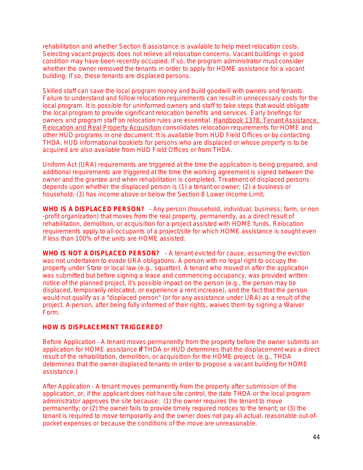rehabilitation and whether Section 8 assistance is available to help meet relocation costs. Selecting vacant projects does not relieve all relocation concerns. Vacant buildings in good condition may have been recently occupied. If so, the program administrator must consider whether the owner removed the tenants in order to apply for HOME assistance for a vacant building. If so, these tenants are displaced persons.

Skilled staff can save the local program money and build goodwill with owners and tenants. Failure to understand and follow relocation requirements can result in unnecessary costs for the local program. It is possible for uninformed owners and staff to take steps that would obligate the local program to provide significant relocation benefits and services. Early briefings for owners and program staff on relocation rules are essential. Handbook 1378, Tenant Assistance, Relocation and Real Property Acquisition consolidates relocation requirements for HOME and other HUD programs in one document. It is available from HUD Field Offices or by contacting THDA. HUD informational booklets for persons who are displaced or whose property is to be acquired are also available from HUD Field Offices or from THDA.

Uniform Act (URA) requirements are triggered at the time the application is being prepared, and additional requirements are triggered at the time the working agreement is signed between the owner and the grantee and when rehabilitation is completed. Treatment of displaced persons depends upon whether the displaced person is (1) a tenant or owner; (2) a business or household; (3) has income above or below the Section 8 Lower Income Limit.

**WHO IS A DISPLACED PERSON?** – Any person (household, individual, business, farm, or non -profit organization) that moves from the real property, permanently, as a direct result of rehabilitation, demolition, or acquisition for a project assisted with HOME funds. Relocation requirements apply to all occupants of a project/site for which HOME assistance is sought even if less than 100% of the units are HOME assisted.

**WHO IS NOT A DISPLACED PERSON?** – A tenant evicted for cause, assuming the eviction was not undertaken to evade URA obligations. A person with no legal right to occupy the property under State or local law (e.g., squatter). A tenant who moved in after the application was submitted but before signing a lease and commencing occupancy, was provided written notice of the planned project, it's possible impact on the person (e.g., the person may be displaced, temporarily relocated, or experience a rent increase), and the fact that the person would not qualify as a "displaced person" (or for any assistance under URA) as a result of the project. A person, after being fully informed of their rights, waives them by signing a Waiver Form.

#### **HOW IS DISPLACEMENT TRIGGERED?**

*Before Application* – A tenant moves permanently from the property before the owner submits an application for HOME assistance **if** THDA or HUD determines that the displacement was a direct result of the rehabilitation, demolition, or acquisition for the HOME project. (e.g., THDA determines that the owner displaced tenants in order to propose a vacant building for HOME assistance.)

*After Application* – A tenant moves permanently from the property after submission of the application, or, if the applicant does not have site control, the date THDA or the local program administrator approves the site because: (1) the owner requires the tenant to move permanently; or (2) the owner fails to provide timely required notices to the tenant; or (3) the tenant is required to move temporarily and the owner does not pay all actual, reasonable out-ofpocket expenses or because the conditions of the move are unreasonable.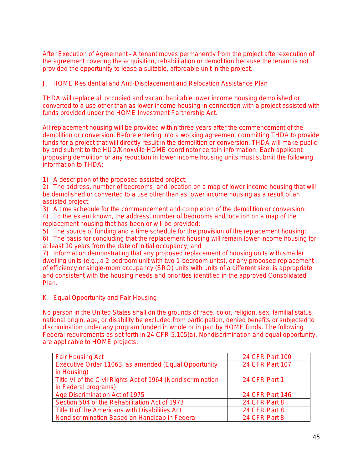*After Execution of Agreement* – A tenant moves permanently from the project after execution of the agreement covering the acquisition, rehabilitation or demolition because the tenant is not provided the opportunity to lease a suitable, affordable unit in the project.

J. HOME Residential and Anti-Displacement and Relocation Assistance Plan

THDA will replace all occupied and vacant habitable lower income housing demolished or converted to a use other than as lower income housing in connection with a project assisted with funds provided under the HOME Investment Partnership Act.

All replacement housing will be provided within three years after the commencement of the demolition or conversion. Before entering into a working agreement committing THDA to provide funds for a project that will directly result in the demolition or conversion, THDA will make public by and submit to the HUD/Knoxville HOME coordinator certain information. Each applicant proposing demolition or any reduction in lower income housing units must submit the following information to THDA:

1) A description of the proposed assisted project;

2) The address, number of bedrooms, and location on a map of lower income housing that will be demolished or converted to a use other than as lower income housing as a result of an assisted project;

3) A time schedule for the commencement and completion of the demolition or conversion; 4) To the extent known, the address, number of bedrooms and location on a map of the replacement housing that has been or will be provided;

5) The source of funding and a time schedule for the provision of the replacement housing;

6) The basis for concluding that the replacement housing will remain lower income housing for at least 10 years from the date of initial occupancy; and

7) Information demonstrating that any proposed replacement of housing units with smaller dwelling units (e.g., a 2-bedroom unit with two 1-bedroom units), or any proposed replacement of efficiency or single-room occupancy (SRO) units with units of a different size, is appropriate and consistent with the housing needs and priorities identified in the approved Consolidated Plan.

K. Equal Opportunity and Fair Housing

No person in the United States shall on the grounds of race, color, religion, sex, familial status, national origin, age, or disability be excluded from participation, denied benefits or subjected to discrimination under any program funded in whole or in part by HOME funds. The following Federal requirements as set forth in 24 CFR 5.105(a), Nondiscrimination and equal opportunity, are applicable to HOME projects:

| <b>Fair Housing Act</b>                                     | 24 CFR Part 100        |
|-------------------------------------------------------------|------------------------|
| Executive Order 11063, as amended (Equal Opportunity        | 24 CFR Part 107        |
| in Housing)                                                 |                        |
| Title VI of the Civil Rights Act of 1964 (Nondiscrimination | 24 CFR Part 1          |
| in Federal programs)                                        |                        |
| Age Discrimination Act of 1975                              | <b>24 CFR Part 146</b> |
| Section 504 of the Rehabilitation Act of 1973               | 24 CFR Part 8          |
| Title II of the Americans with Disabilities Act             | 24 CFR Part 8          |
| Nondiscrimination Based on Handicap in Federal              | 24 CFR Part 8          |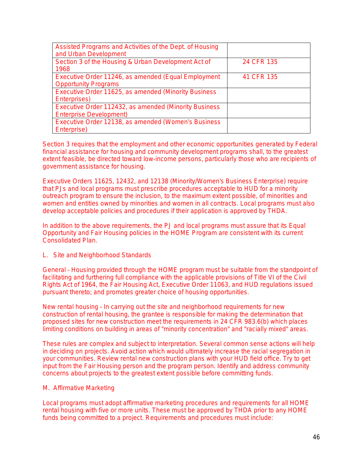| Assisted Programs and Activities of the Dept. of Housing<br>and Urban Development       |            |
|-----------------------------------------------------------------------------------------|------------|
| Section 3 of the Housing & Urban Development Act of<br>1968                             | 24 CFR 135 |
| Executive Order 11246, as amended (Equal Employment<br><b>Opportunity Programs</b>      | 41 CFR 135 |
| Executive Order 11625, as amended (Minority Business<br>Enterprises)                    |            |
| Executive Order 112432, as amended (Minority Business<br><b>Enterprise Development)</b> |            |
| Executive Order 12138, as amended (Women's Business<br>Enterprise)                      |            |

Section 3 requires that the employment and other economic opportunities generated by Federal financial assistance for housing and community development programs shall, to the greatest extent feasible, be directed toward low-income persons, particularly those who are recipients of government assistance for housing.

Executive Orders 11625, 12432, and 12138 (Minority/Women's Business Enterprise) require that PJs and local programs must prescribe procedures acceptable to HUD for a minority outreach program to ensure the inclusion, to the maximum extent possible, of minorities and women and entities owned by minorities and women in all contracts. Local programs must also develop acceptable policies and procedures if their application is approved by THDA.

In addition to the above requirements, the PJ and local programs must assure that its Equal Opportunity and Fair Housing policies in the HOME Program are consistent with its current Consolidated Plan.

#### L. Site and Neighborhood Standards

*General* – Housing provided through the HOME program must be suitable from the standpoint of facilitating and furthering full compliance with the applicable provisions of Title VI of the Civil Rights Act of 1964, the Fair Housing Act, Executive Order 11063, and HUD regulations issued pursuant thereto; and promotes greater choice of housing opportunities.

*New rental housing* – In carrying out the site and neighborhood requirements for new construction of rental housing, the grantee is responsible for making the determination that proposed sites for new construction meet the requirements in 24 CFR 983.6(b) which places limiting conditions on building in areas of "minority concentration" and "racially mixed" areas.

These rules are complex and subject to interpretation. Several common sense actions will help in deciding on projects. Avoid action which would ultimately increase the racial segregation in your communities. Review rental new construction plans with your HUD field office. Try to get input from the Fair Housing person and the program person. Identify and address community concerns about projects to the greatest extent possible before committing funds.

#### M. Affirmative Marketing

Local programs must adopt affirmative marketing procedures and requirements for all HOME rental housing with five or more units. These must be approved by THDA prior to any HOME funds being committed to a project. Requirements and procedures must include: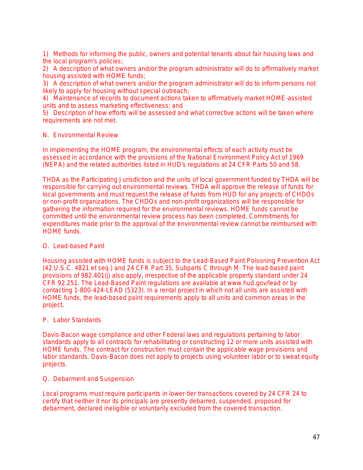1) Methods for informing the public, owners and potential tenants about fair housing laws and the local program's policies;

2) A description of what owners and/or the program administrator will do to affirmatively market housing assisted with HOME funds;

3) A description of what owners and/or the program administrator will do to inform persons not likely to apply for housing without special outreach;

4) Maintenance of records to document actions taken to affirmatively market HOME-assisted units and to assess marketing effectiveness; and

5) Description of how efforts will be assessed and what corrective actions will be taken where requirements are not met.

#### N. Environmental Review

In implementing the HOME program, the environmental effects of each activity must be assessed in accordance with the provisions of the National Environment Policy Act of 1969 (NEPA) and the related authorities listed in HUD's regulations at 24 CFR Parts 50 and 58.

THDA as the Participating Jurisdiction and the units of local government funded by THDA will be responsible for carrying out environmental reviews. THDA will approve the release of funds for local governments and must request the release of funds from HUD for any projects of CHDOs or non-profit organizations. The CHDOs and non-profit organizations will be responsible for gathering the information required for the environmental reviews. HOME funds cannot be committed until the environmental review process has been completed. Commitments for expenditures made prior to the approval of the environmental review cannot be reimbursed with HOME funds.

#### O. Lead-based Paint

Housing assisted with HOME funds is subject to the Lead-Based Paint Poisoning Prevention Act (42 U.S.C. 4821 et seq.) and 24 CFR Part 35, Subparts C through M. The lead-based paint provisions of 982.401(j) also apply, irrespective of the applicable property standard under 24 CFR 92.251. The Lead-Based Paint regulations are available at www.hud.gov/lead or by contacting 1-800-424-LEAD (5323). In a rental project in which not all units are assisted with HOME funds, the lead-based paint requirements apply to all units and common areas in the project.

#### P. Labor Standards

Davis-Bacon wage compliance and other Federal laws and regulations pertaining to labor standards apply to all contracts for rehabilitating or constructing 12 or more units assisted with HOME funds. The contract for construction must contain the applicable wage provisions and labor standards. Davis-Bacon does not apply to projects using volunteer labor or to sweat equity projects.

#### Q. Debarment and Suspension

Local programs must require participants in lower-tier transactions covered by 24 CFR 24 to certify that neither it nor its principals are presently debarred, suspended, proposed for debarment, declared ineligible or voluntarily excluded from the covered transaction.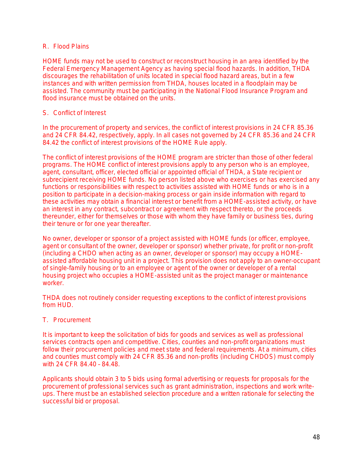#### R. Flood Plains

*HOME funds may not be used to construct or reconstruct housing* in an area identified by the Federal Emergency Management Agency as having special flood hazards. In addition, THDA discourages the rehabilitation of units located in special flood hazard areas, but in a few instances and with written permission from THDA, houses located in a floodplain may be assisted. The community must be participating in the National Flood Insurance Program and flood insurance must be obtained on the units.

#### S. Conflict of Interest

In the procurement of property and services, the conflict of interest provisions in 24 CFR 85.36 and 24 CFR 84.42, respectively, apply. In all cases not governed by 24 CFR 85.36 and 24 CFR 84.42 the conflict of interest provisions of the HOME Rule apply.

The conflict of interest provisions of the HOME program are stricter than those of other federal programs. The HOME conflict of interest provisions apply to any person who is an employee, agent, consultant, officer, elected official or appointed official of THDA, a State recipient or subrecipient receiving HOME funds. No person listed above who exercises or has exercised any functions or responsibilities with respect to activities assisted with HOME funds or who is in a position to participate in a decision-making process or gain inside information with regard to these activities may obtain a financial interest or benefit from a HOME-assisted activity, or have an interest in any contract, subcontract or agreement with respect thereto, or the proceeds thereunder, either for themselves or those with whom they have family or business ties, during their tenure or for one year thereafter.

No owner, developer or sponsor of a project assisted with HOME funds (or officer, employee, agent or consultant of the owner, developer or sponsor) whether private, for profit or non-profit (including a CHDO when acting as an owner, developer or sponsor) may occupy a HOMEassisted affordable housing unit in a project. This provision does not apply to an owner-occupant of single-family housing or to an employee or agent of the owner or developer of a rental housing project who occupies a HOME-assisted unit as the project manager or maintenance worker.

THDA does not routinely consider requesting exceptions to the conflict of interest provisions from HUD.

#### T. Procurement

It is important to keep the solicitation of bids for goods and services as well as professional services contracts open and competitive. Cities, counties and non-profit organizations must follow their procurement policies and meet state and federal requirements. At a minimum, cities and counties must comply with 24 CFR 85.36 and non-profits (including CHDOS) must comply with 24 CFR 84.40 – 84.48.

Applicants should obtain 3 to 5 bids using formal advertising or requests for proposals for the procurement of professional services such as grant administration, inspections and work writeups. There must be an established selection procedure and a written rationale for selecting the successful bid or proposal.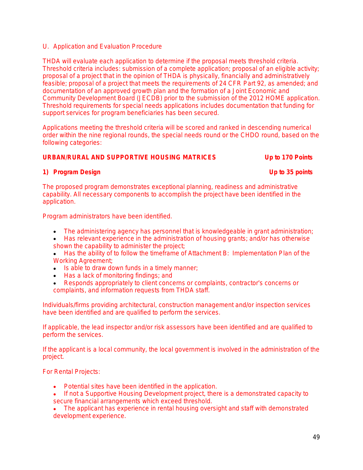#### U. Application and Evaluation Procedure

THDA will evaluate each application to determine if the proposal meets threshold criteria. Threshold criteria includes: submission of a complete application; proposal of an eligible activity; proposal of a project that in the opinion of THDA is physically, financially and administratively feasible; proposal of a project that meets the requirements of 24 CFR Part 92, as amended; and documentation of an approved growth plan and the formation of a Joint Economic and Community Development Board (JECDB) prior to the submission of the 2012 HOME application. Threshold requirements for special needs applications includes documentation that funding for support services for program beneficiaries has been secured.

Applications meeting the threshold criteria will be scored and ranked in descending numerical order within the nine regional rounds, the special needs round or the CHDO round, based on the following categories:

#### *URBAN/RURAL AND SUPPORTIVE HOUSING MATRICES Up to 170 Points*

#### **1) Program Design Up to 35 points**

The proposed program demonstrates exceptional planning, readiness and administrative capability. All necessary components to accomplish the project have been identified in the application.

Program administrators have been identified.

- The administering agency has personnel that is knowledgeable in grant administration;
- Has relevant experience in the administration of housing grants; and/or has otherwise shown the capability to administer the project;
- Has the ability of to follow the timeframe of Attachment B: Implementation Plan of the Working Agreement;
- Is able to draw down funds in a timely manner;
- Has a lack of monitoring findings; and
- Responds appropriately to client concerns or complaints, contractor's concerns or complaints, and information requests from THDA staff.

Individuals/firms providing architectural, construction management and/or inspection services have been identified and are qualified to perform the services.

If applicable, the lead inspector and/or risk assessors have been identified and are qualified to perform the services.

If the applicant is a local community, the local government is involved in the administration of the project.

For Rental Projects:

- Potential sites have been identified in the application.
- If not a Supportive Housing Development project, there is a demonstrated capacity to secure financial arrangements which exceed threshold.
- The applicant has experience in rental housing oversight and staff with demonstrated development experience.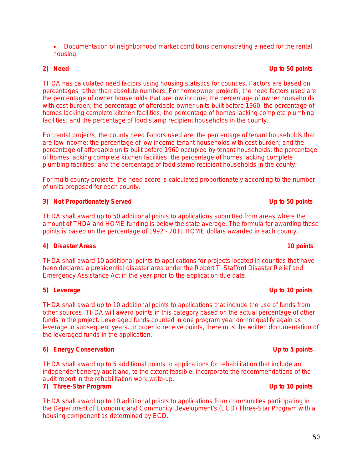#### Documentation of neighborhood market conditions demonstrating a need for the rental housing.

THDA has calculated need factors using housing statistics for counties. Factors are based on percentages rather than absolute numbers. For homeowner projects, the need factors used are the percentage of owner households that are low income; the percentage of owner households with cost burden; the percentage of affordable owner units built before 1960; the percentage of homes lacking complete kitchen facilities; the percentage of homes lacking complete plumbing facilities; and the percentage of food stamp recipient households in the county.

For rental projects, the county need factors used are; the percentage of tenant households that are low income; the percentage of low income tenant households with cost burden; and the percentage of affordable units built before 1960 occupied by tenant households; the percentage of homes lacking complete kitchen facilities; the percentage of homes lacking complete plumbing facilities; and the percentage of food stamp recipient households in the county.

For multi-county projects, the need score is calculated proportionately according to the number of units proposed for each county.

## **3) Not Proportionately Served Up to 50 points**

THDA shall award up to 50 additional points to applications submitted from areas where the amount of THDA and HOME funding is below the state average. The formula for awarding these points is based on the percentage of 1992 - 2011 HOME dollars awarded in each county.

# **4) Disaster Areas 10 points**

THDA shall award 10 additional points to applications for projects located in counties that have been declared a presidential disaster area under the Robert T. Stafford Disaster Relief and Emergency Assistance Act in the year prior to the application due date.

### **5) Leverage Up to 10 points**

THDA shall award up to 10 additional points to applications that include the use of funds from other sources. THDA will award points in this category based on the actual percentage of other funds in the project. Leveraged funds counted in one program year do not qualify again as leverage in subsequent years. In order to receive points, there must be written documentation of the leveraged funds in the application.

# **6) Energy Conservation Up to 5 points**

THDA shall award up to 5 additional points to applications for rehabilitation that include an independent energy audit and, to the extent feasible, incorporate the recommendations of the audit report in the rehabilitation work write-up.

### **7) Three-Star Program Up to 10 points**

THDA shall award up to 10 additional points to applications from communities participating in the Department of Economic and Community Development's (ECD) Three-Star Program with a housing component as determined by ECD.

#### **2) Need Up to 50 points**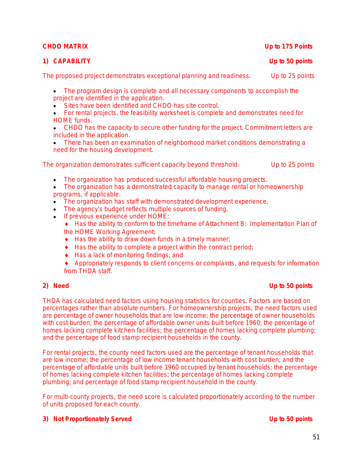### **1) CAPABILITY Up to 50 points**

The proposed project demonstrates exceptional planning and readiness. Up to 25 points

- The program design is complete and all necessary components to accomplish the project are identified in the application.
- Sites have been identified and CHDO has site control.
- For rental projects, the feasibility worksheet is complete and demonstrates need for HOME funds.
- CHDO has the capacity to secure other funding for the project. Commitment letters are included in the application.
- There has been an examination of neighborhood market conditions demonstrating a need for the housing development.

The organization demonstrates sufficient capacity beyond threshold. Up to 25 points

- The organization has produced successful affordable housing projects.
- The organization has a demonstrated capacity to manage rental or homeownership programs, if applicable.
- The organization has staff with demonstrated development experience.
- The agency's budget reflects multiple sources of funding.
- If previous experience under HOME:
	- Has the ability to conform to the timeframe of Attachment B: Implementation Plan of the HOME Working Agreement;
	- $\bullet$  Has the ability to draw down funds in a timely manner;
	- $\triangle$  Has the ability to complete a project within the contract period;
	- ◆ Has a lack of monitoring findings; and

 Appropriately responds to client concerns or complaints, and requests for information from THDA staff.

# **2) Need Up to 50 points**

THDA has calculated need factors using housing statistics for counties. Factors are based on percentages rather than absolute numbers. For homeownership projects, the need factors used are percentage of owner households that are low income; the percentage of owner households with cost burden; the percentage of affordable owner units built before 1960; the percentage of homes lacking complete kitchen facilities; the percentage of homes lacking complete plumbing; and the percentage of food stamp recipient households in the county.

For rental projects, the county need factors used are the percentage of tenant households that are low income; the percentage of low income tenant households with cost burden; and the percentage of affordable units built before 1960 occupied by tenant households; the percentage of homes lacking complete kitchen facilities; the percentage of homes lacking complete plumbing; and percentage of food stamp recipient household in the county.

For multi-county projects, the need score is calculated proportionately according to the number of units proposed for each county.

#### **3) Not Proportionately Served Up to 50 points**

### *CHDO MATRIX Up to 175 Points*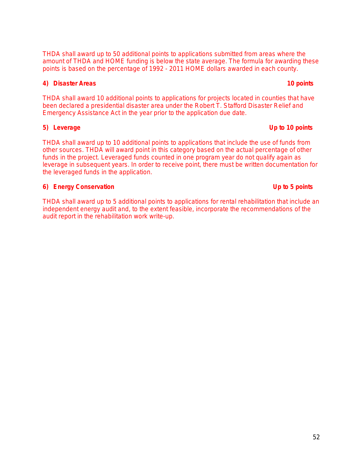THDA shall award up to 50 additional points to applications submitted from areas where the amount of THDA and HOME funding is below the state average. The formula for awarding these points is based on the percentage of 1992 - 2011 HOME dollars awarded in each county.

#### **4) Disaster Areas 10 points**

THDA shall award 10 additional points to applications for projects located in counties that have been declared a presidential disaster area under the Robert T. Stafford Disaster Relief and Emergency Assistance Act in the year prior to the application due date.

#### **5) Leverage Up to 10 points**

THDA shall award up to 10 additional points to applications that include the use of funds from other sources. THDA will award point in this category based on the actual percentage of other funds in the project. Leveraged funds counted in one program year do not qualify again as leverage in subsequent years. In order to receive point, there must be written documentation for the leveraged funds in the application.

#### **6) Energy Conservation Up to 5 points**

THDA shall award up to 5 additional points to applications for rental rehabilitation that include an independent energy audit and, to the extent feasible, incorporate the recommendations of the audit report in the rehabilitation work write-up.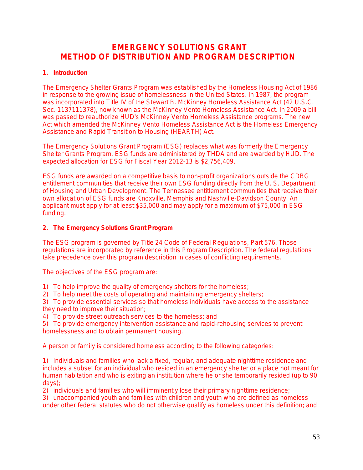# **EMERGENCY SOLUTIONS GRANT METHOD OF DISTRIBUTION AND PROGRAM DESCRIPTION**

#### **1. Introduction**

The Emergency Shelter Grants Program was established by the Homeless Housing Act of 1986 in response to the growing issue of homelessness in the United States. In 1987, the program was incorporated into Title IV of the Stewart B. McKinney Homeless Assistance Act (42 U.S.C. Sec. 1137111378), now known as the McKinney Vento Homeless Assistance Act. In 2009 a bill was passed to reauthorize HUD's McKinney Vento Homeless Assistance programs. The new Act which amended the McKinney Vento Homeless Assistance Act is the Homeless Emergency Assistance and Rapid Transition to Housing (HEARTH) Act.

The Emergency Solutions Grant Program (ESG) replaces what was formerly the Emergency Shelter Grants Program. ESG funds are administered by THDA and are awarded by HUD. The expected allocation for ESG for Fiscal Year 2012-13 is \$2,756,409.

ESG funds are awarded on a competitive basis to non-profit organizations outside the CDBG entitlement communities that receive their own ESG funding directly from the U. S. Department of Housing and Urban Development. The Tennessee entitlement communities that receive their own allocation of ESG funds are Knoxville, Memphis and Nashville-Davidson County. An applicant must apply for at least \$35,000 and may apply for a maximum of \$75,000 in ESG funding.

#### **2. The Emergency Solutions Grant Program**

The ESG program is governed by Title 24 Code of Federal Regulations, Part 576. Those regulations are incorporated by reference in this Program Description. The federal regulations take precedence over this program description in cases of conflicting requirements.

The objectives of the ESG program are:

1) To help improve the quality of emergency shelters for the homeless;

2) To help meet the costs of operating and maintaining emergency shelters;

3) To provide essential services so that homeless individuals have access to the assistance they need to improve their situation;

4) To provide street outreach services to the homeless; and

5) To provide emergency intervention assistance and rapid-rehousing services to prevent homelessness and to obtain permanent housing.

A person or family is considered homeless according to the following categories:

1) Individuals and families who lack a fixed, regular, and adequate nighttime residence and includes a subset for an individual who resided in an emergency shelter or a place not meant for human habitation and who is exiting an institution where he or she temporarily resided (up to 90 days);

2) individuals and families who will imminently lose their primary nighttime residence;

3) unaccompanied youth and families with children and youth who are defined as homeless under other federal statutes who do not otherwise qualify as homeless under this definition; and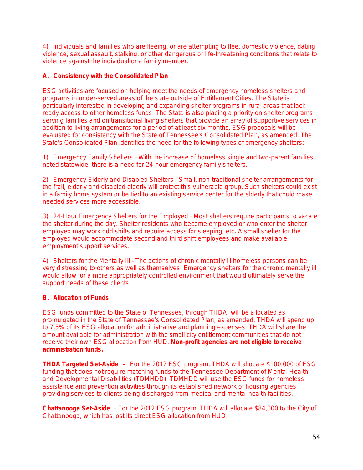4) individuals and families who are fleeing, or are attempting to flee, domestic violence, dating violence, sexual assault, stalking, or other dangerous or life-threatening conditions that relate to violence against the individual or a family member.

### **A. Consistency with the Consolidated Plan**

ESG activities are focused on helping meet the needs of emergency homeless shelters and programs in under-served areas of the state outside of Entitlement Cities. The State is particularly interested in developing and expanding shelter programs in rural areas that lack ready access to other homeless funds. The State is also placing a priority on shelter programs serving families and on transitional living shelters that provide an array of supportive services in addition to living arrangements for a period of at least six months. ESG proposals will be evaluated for consistency with the State of Tennessee's Consolidated Plan, as amended. The State's Consolidated Plan identifies the need for the following types of emergency shelters:

1) Emergency Family Shelters – With the increase of homeless single and two-parent families noted statewide, there is a need for 24-hour emergency family shelters.

2) Emergency Elderly and Disabled Shelters - Small, non-traditional shelter arrangements for the frail, elderly and disabled elderly will protect this vulnerable group. Such shelters could exist in a family home system or be tied to an existing service center for the elderly that could make needed services more accessible.

3) 24-Hour Emergency Shelters for the Employed – Most shelters require participants to vacate the shelter during the day. Shelter residents who become employed or who enter the shelter employed may work odd shifts and require access for sleeping, etc. A small shelter for the employed would accommodate second and third shift employees and make available employment support services.

4) Shelters for the Mentally Ill – The actions of chronic mentally ill homeless persons can be very distressing to others as well as themselves. Emergency shelters for the chronic mentally ill would allow for a more appropriately controlled environment that would ultimately serve the support needs of these clients.

#### **B. Allocation of Funds**

ESG funds committed to the State of Tennessee, through THDA, will be allocated as promulgated in the State of Tennessee's Consolidated Plan, as amended. THDA will spend up to 7.5% of its ESG allocation for administrative and planning expenses. THDA will share the amount available for administration with the small city entitlement communities that do not receive their own ESG allocation from HUD. **Non-profit agencies are not eligible to receive administration funds.**

**THDA Targeted Set-Aside** – For the 2012 ESG program, THDA will allocate \$100,000 of ESG funding that does not require matching funds to the Tennessee Department of Mental Health and Developmental Disabilities (TDMHDD). TDMHDD will use the ESG funds for homeless assistance and prevention activities through its established network of housing agencies providing services to clients being discharged from medical and mental health facilities.

**Chattanooga Set-Aside** – For the 2012 ESG program, THDA will allocate \$84,000 to the City of Chattanooga, which has lost its direct ESG allocation from HUD.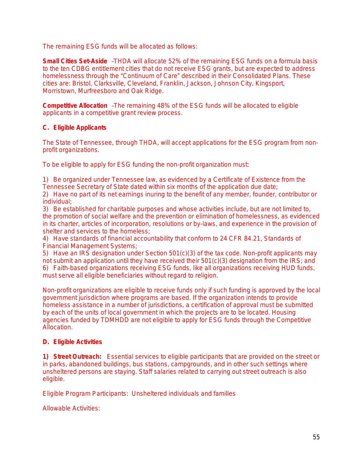The remaining ESG funds will be allocated as follows:

**Small Cities Set-Aside** –THDA will allocate 52% of the remaining ESG funds on a formula basis to the ten CDBG entitlement cities that do not receive ESG grants, but are expected to address homelessness through the "Continuum of Care" described in their Consolidated Plans. These cities are: Bristol, Clarksville, Cleveland, Franklin, Jackson, Johnson City, Kingsport, Morristown, Murfreesboro and Oak Ridge.

**Competitive Allocation** –The remaining 48% of the ESG funds will be allocated to eligible applicants in a competitive grant review process.

### **C. Eligible Applicants**

The State of Tennessee, through THDA, will accept applications for the ESG program from nonprofit organizations.

To be eligible to apply for ESG funding the non-profit organization must:

1) Be organized under Tennessee law, as evidenced by a Certificate of Existence from the Tennessee Secretary of State dated within six months of the application due date;

2) Have no part of its net earnings inuring to the benefit of any member, founder, contributor or individual;

3) Be established for charitable purposes and whose activities include, but are not limited to, the promotion of social welfare and the prevention or elimination of homelessness, as evidenced in its charter, articles of incorporation, resolutions or by-laws, and experience in the provision of shelter and services to the homeless;

4) Have standards of financial accountability that conform to 24 CFR 84.21, Standards of Financial Management Systems;

5) Have an IRS designation under Section 501(c)(3) of the tax code. Non-profit applicants may not submit an application until they have received their 501(c)(3) designation from the IRS; and 6) Faith-based organizations receiving ESG funds, like all organizations receiving HUD funds,

must serve all eligible beneficiaries without regard to religion.

Non-profit organizations are eligible to receive funds only if such funding is approved by the local government jurisdiction where programs are based. If the organization intends to provide homeless assistance in a number of jurisdictions, a certification of approval must be submitted by each of the units of local government in which the projects are to be located. Housing agencies funded by TDMHDD are not eligible to apply for ESG funds through the Competitive Allocation.

#### **D. Eligible Activities**

**1)** *Street Outreach:*Essential services to eligible participants that are provided on the street or in parks, abandoned buildings, bus stations, campgrounds, and in other such settings where unsheltered persons are staying. Staff salaries related to carrying out street outreach is also eligible.

*Eligible Program Participants:* Unsheltered individuals and families

*Allowable Activities:*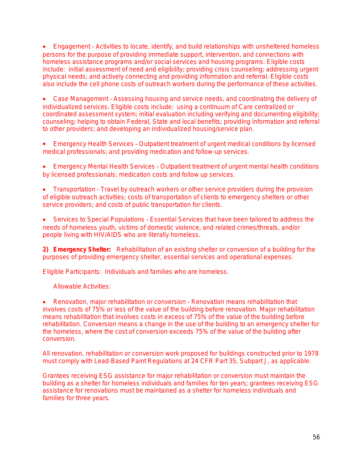Engagement – Activities to locate, identify, and build relationships with unsheltered homeless persons for the purpose of providing immediate support, intervention, and connections with homeless assistance programs and/or social services and housing programs. Eligible costs include: initial assessment of need and eligibility; providing crisis counseling; addressing urgent physical needs; and actively connecting and providing information and referral. Eligible costs also include the cell phone costs of outreach workers during the performance of these activities.

 Case Management – Assessing housing and service needs, and coordinating the delivery of individualized services. Eligible costs include: using a continuum of Care centralized or coordinated assessment system; initial evaluation including verifying and documenting eligibility; counseling; helping to obtain Federal, State and local benefits; providing information and referral to other providers; and developing an individualized housing/service plan.

 Emergency Health Services – Outpatient treatment of urgent medical conditions by licensed medical professionals; and providing medication and follow-up services.

 Emergency Mental Health Services – Outpatient treatment of urgent mental health conditions by licensed professionals; medication costs and follow up services.

• Transportation - Travel by outreach workers or other service providers during the provision of eligible outreach activities; costs of transportation of clients to emergency shelters or other service providers; and costs of public transportation for clients.

 Services to Special Populations – Essential Services that have been tailored to address the needs of *homeless youth, victims of domestic violence, and related crimes/threats, and/or people living with HIV/AIDS* who are literally homeless.

**2)** *Emergency Shelter:*Rehabilitation of an existing shelter or conversion of a building for the purposes of providing emergency shelter, essential services and operational expenses.

*Eligible Participants*: Individuals and families who are homeless.

*Allowable Activities*:

 Renovation, major rehabilitation or conversion – Renovation means rehabilitation that involves costs of 75% or less of the value of the building before renovation. Major rehabilitation means rehabilitation that involves costs in excess of 75% of the value of the building before rehabilitation. Conversion means a change in the use of the building to an emergency shelter for the homeless, where the cost of conversion exceeds 75% of the value of the building after conversion.

All renovation, rehabilitation or conversion work proposed for buildings constructed prior to 1978 must comply with Lead-Based Paint Regulations at 24 CFR Part 35, Subpart J, as applicable.

Grantees receiving ESG assistance for major rehabilitation or conversion must maintain the building as a shelter for homeless individuals and families for ten years; grantees receiving ESG assistance for renovations must be maintained as a shelter for homeless individuals and families for three years.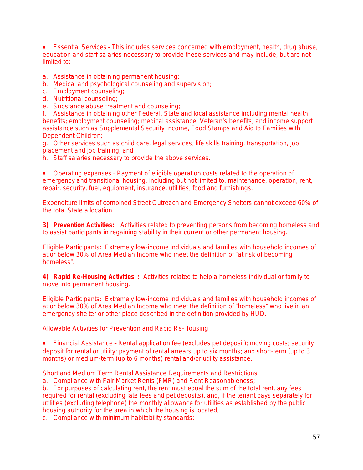Essential Services – This includes services concerned with employment, health, drug abuse, education and staff salaries necessary to provide these services and may include, but are not limited to:

- a. Assistance in obtaining permanent housing;
- b. Medical and psychological counseling and supervision;
- c. Employment counseling;
- d. Nutritional counseling;
- e. Substance abuse treatment and counseling;

f. Assistance in obtaining other Federal, State and local assistance including mental health benefits; employment counseling; medical assistance; Veteran's benefits; and income support assistance such as Supplemental Security Income, Food Stamps and Aid to Families with Dependent Children;

g. Other services such as child care, legal services, life skills training, transportation, job placement and job training; and

h. Staff salaries necessary to provide the above services.

 Operating expenses – Payment of eligible operation costs related to the operation of emergency and transitional housing, including but not limited to, maintenance, operation, rent, repair, security, fuel, equipment, insurance, utilities, food and furnishings.

Expenditure limits of combined Street Outreach and Emergency Shelters cannot exceed 60% of the total State allocation.

**3)** *Prevention Activities:*Activities related to preventing persons from becoming homeless and to assist participants in regaining stability in their current or other permanent housing.

*Eligible Participants:* Extremely low-income individuals and families with household incomes of at or below 30% of Area Median Income who meet the definition of "at risk of becoming homeless".

**4)** *Rapid Re-Housing Activities* **:** Activities related to help a homeless individual or family to move into permanent housing.

*Eligible Participants:* Extremely low-income individuals and families with household incomes of at or below 30% of Area Median Income who meet the definition of "homeless" who live in an emergency shelter or other place described in the definition provided by HUD.

*Allowable Activities for Prevention and Rapid Re-Housing:*

 Financial Assistance – Rental application fee (excludes pet deposit); moving costs; security deposit for rental or utility; payment of rental arrears up to six months; and short-term (up to 3 months) or medium-term (up to 6 months) rental and/or utility assistance.

Short and Medium Term Rental Assistance Requirements and Restrictions

a. Compliance with Fair Market Rents (FMR) and Rent Reasonableness;

b. For purposes of calculating rent, the rent must equal the sum of the total rent, any fees required for rental (excluding late fees and pet deposits), and, if the tenant pays separately for utilities (excluding telephone) the monthly allowance for utilities as established by the public housing authority for the area in which the housing is located;

c. Compliance with minimum habitability standards;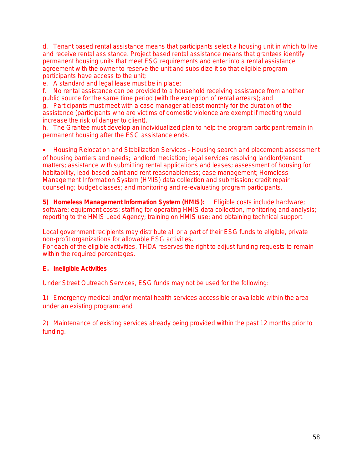d. Tenant based rental assistance means that participants select a housing unit in which to live and receive rental assistance. Project based rental assistance means that grantees identify permanent housing units that meet ESG requirements and enter into a rental assistance agreement with the owner to reserve the unit and subsidize it so that eligible program participants have access to the unit;

e. A standard and legal lease must be in place;

f. No rental assistance can be provided to a household receiving assistance from another public source for the same time period (with the exception of rental arrears); and g. Participants must meet with a case manager at least monthly for the duration of the assistance (participants who are victims of domestic violence are exempt if meeting would

increase the risk of danger to client).

h. The Grantee must develop an individualized plan to help the program participant remain in permanent housing after the ESG assistance ends.

 Housing Relocation and Stabilization Services – Housing search and placement; assessment of housing barriers and needs; landlord mediation; legal services resolving landlord/tenant matters; assistance with submitting rental applications and leases; assessment of housing for habitability, lead-based paint and rent reasonableness; case management; Homeless Management Information System (HMIS) data collection and submission; credit repair counseling; budget classes; and monitoring and re-evaluating program participants.

**5)** *Homeless Management Information System (HMIS):* Eligible costs include hardware; software; equipment costs; staffing for operating HMIS data collection, monitoring and analysis; reporting to the HMIS Lead Agency; training on HMIS use; and obtaining technical support.

Local government recipients may distribute all or a part of their ESG funds to eligible, private non-profit organizations for allowable ESG activities.

For each of the eligible activities, THDA reserves the right to adjust funding requests to remain within the required percentages.

### **E. Ineligible Activities**

Under Street Outreach Services, ESG funds may not be used for the following:

1) Emergency medical and/or mental health services accessible or available within the area under an existing program; and

2) Maintenance of existing services already being provided within the past 12 months prior to funding.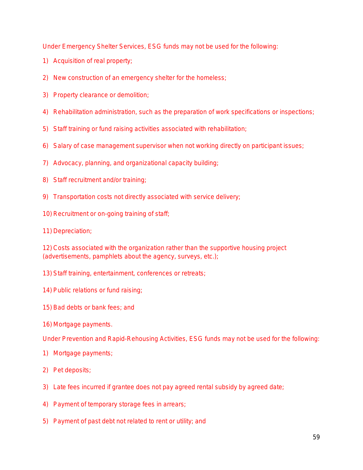Under Emergency Shelter Services, ESG funds may not be used for the following:

- 1) Acquisition of real property;
- 2) New construction of an emergency shelter for the homeless;
- 3) Property clearance or demolition;
- 4) Rehabilitation administration, such as the preparation of work specifications or inspections;
- 5) Staff training or fund raising activities associated with rehabilitation;
- 6) Salary of case management supervisor when not working directly on participant issues;
- 7) Advocacy, planning, and organizational capacity building;
- 8) Staff recruitment and/or training;
- 9) Transportation costs not directly associated with service delivery;
- 10) Recruitment or on-going training of staff;
- 11) Depreciation;

12) Costs associated with the organization rather than the supportive housing project (advertisements, pamphlets about the agency, surveys, etc.);

- 13) Staff training, entertainment, conferences or retreats;
- 14) Public relations or fund raising;
- 15) Bad debts or bank fees; and
- 16) Mortgage payments.

Under Prevention and Rapid-Rehousing Activities, ESG funds may not be used for the following:

- 1) Mortgage payments;
- 2) Pet deposits;
- 3) Late fees incurred if grantee does not pay agreed rental subsidy by agreed date;
- 4) Payment of temporary storage fees in arrears;
- 5) Payment of past debt not related to rent or utility; and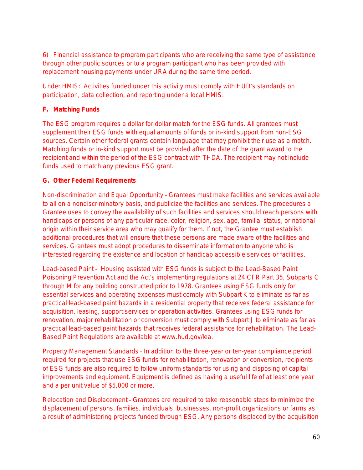6) Financial assistance to program participants who are receiving the same type of assistance through other public sources or to a program participant who has been provided with replacement housing payments under URA during the same time period.

Under HMIS: Activities funded under this activity must comply with HUD's standards on participation, data collection, and reporting under a local HMIS.

### **F. Matching Funds**

The ESG program requires a dollar for dollar match for the ESG funds. All grantees must supplement their ESG funds with equal amounts of funds or in-kind support from non-ESG sources. Certain other federal grants contain language that may prohibit their use as a match. Matching funds or in-kind support must be provided after the date of the grant award to the recipient and within the period of the ESG contract with THDA. The recipient may not include funds used to match any previous ESG grant.

### **G. Other Federal Requirements**

*Non-discrimination and Equal Opportunity* – Grantees must make facilities and services available to all on a nondiscriminatory basis, and publicize the facilities and services. The procedures a Grantee uses to convey the availability of such facilities and services should reach persons with handicaps or persons of any particular race, color, religion, sex, age, familial status, or national origin within their service area who may qualify for them. If not, the Grantee must establish additional procedures that will ensure that these persons are made aware of the facilities and services. Grantees must adopt procedures to disseminate information to anyone who is interested regarding the existence and location of handicap accessible services or facilities.

*Lead-based Paint* – Housing assisted with ESG funds is subject to the Lead-Based Paint Poisoning Prevention Act and the Act's implementing regulations at 24 CFR Part 35, Subparts C through M for any building constructed prior to 1978. Grantees using ESG funds only for essential services and operating expenses must comply with Subpart K to eliminate as far as practical lead-based paint hazards in a residential property that receives federal assistance for acquisition, leasing, support services or operation activities. Grantees using ESG funds for renovation, major rehabilitation or conversion must comply with Subpart J to eliminate as far as practical lead-based paint hazards that receives federal assistance for rehabilitation. The Lead-Based Paint Regulations are available at [www.hud.gov/lea.](http://www.hud.gov/lea)

*Property Management Standards* – In addition to the three-year or ten-year compliance period required for projects that use ESG funds for rehabilitation, renovation or conversion, recipients of ESG funds are also required to follow uniform standards for using and disposing of capital improvements and equipment. Equipment is defined as having a useful life of at least one year and a per unit value of \$5,000 or more.

*Relocation and Displacement* – Grantees are required to take reasonable steps to minimize the displacement of persons, families, individuals, businesses, non-profit organizations or farms as a result of administering projects funded through ESG. Any persons displaced by the acquisition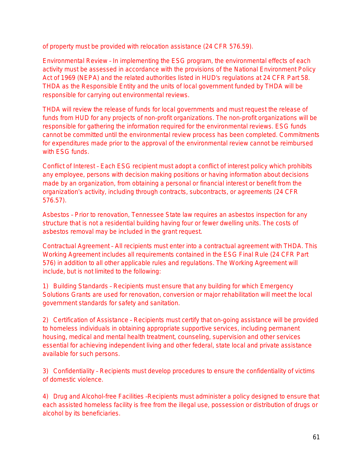of property must be provided with relocation assistance (24 CFR 576.59).

*Environmental Review* – In implementing the ESG program, the environmental effects of each activity must be assessed in accordance with the provisions of the National Environment Policy Act of 1969 (NEPA) and the related authorities listed in HUD's regulations at 24 CFR Part 58. THDA as the Responsible Entity and the units of local government funded by THDA will be responsible for carrying out environmental reviews.

THDA will review the release of funds for local governments and must request the release of funds from HUD for any projects of non-profit organizations. The non-profit organizations will be responsible for gathering the information required for the environmental reviews. ESG funds cannot be committed until the environmental review process has been completed. Commitments for expenditures made prior to the approval of the environmental review cannot be reimbursed with ESG funds.

*Conflict of Interest* – Each ESG recipient must adopt a conflict of interest policy which prohibits any employee, persons with decision making positions or having information about decisions made by an organization, from obtaining a personal or financial interest or benefit from the organization's activity, including through contracts, subcontracts, or agreements (24 CFR 576.57).

*Asbestos* – Prior to renovation, Tennessee State law requires an asbestos inspection for any structure that is not a residential building having four or fewer dwelling units. The costs of asbestos removal may be included in the grant request.

*Contractual Agreement* – All recipients must enter into a contractual agreement with THDA. This Working Agreement includes all requirements contained in the ESG Final Rule (24 CFR Part 576) in addition to all other applicable rules and regulations. The Working Agreement will include, but is not limited to the following:

1) *Building Standards* – Recipients must ensure that any building for which Emergency Solutions Grants are used for renovation, conversion or major rehabilitation will meet the local government standards for safety and sanitation.

2) *Certification of Assistance* – Recipients must certify that on-going assistance will be provided to homeless individuals in obtaining appropriate supportive services, including permanent housing, medical and mental health treatment, counseling, supervision and other services essential for achieving independent living and other federal, state local and private assistance available for such persons.

3) *Confidentiality* – Recipients must develop procedures to ensure the confidentiality of victims of domestic violence.

4) *Drug and Alcohol-free Facilities* –Recipients must administer a policy designed to ensure that each assisted homeless facility is free from the illegal use, possession or distribution of drugs or alcohol by its beneficiaries.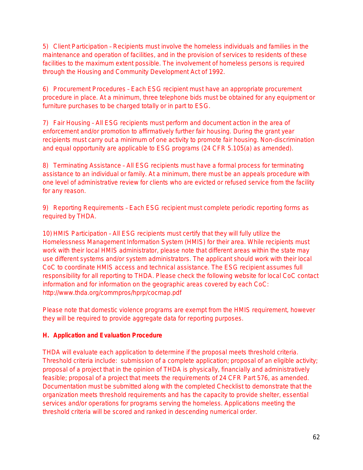5) *Client Participation* – Recipients must involve the homeless individuals and families in the maintenance and operation of facilities, and in the provision of services to residents of these facilities to the maximum extent possible. The involvement of homeless persons is required through the Housing and Community Development Act of 1992.

6) *Procurement Procedures* – Each ESG recipient must have an appropriate procurement procedure in place. At a minimum, three telephone bids must be obtained for any equipment or furniture purchases to be charged totally or in part to ESG.

7) *Fair Housing* – All ESG recipients must perform and document action in the area of enforcement and/or promotion to affirmatively further fair housing. During the grant year recipients must carry out a minimum of one activity to promote fair housing. Non-discrimination and equal opportunity are applicable to ESG programs (24 CFR 5.105(a) as amended).

8) *Terminating Assistance* – All ESG recipients must have a formal process for terminating assistance to an individual or family. At a minimum, there must be an appeals procedure with one level of administrative review for clients who are evicted or refused service from the facility for any reason.

9) *Reporting Requirements* – Each ESG recipient must complete periodic reporting forms as required by THDA.

10) *HMIS Participation* – All ESG recipients must certify that they will fully utilize the Homelessness Management Information System (HMIS) for their area. While recipients must work with their local HMIS administrator, please note that different areas within the state may use different systems and/or system administrators. The applicant should work with their local CoC to coordinate HMIS access and technical assistance. The ESG recipient assumes full responsibility for all reporting to THDA. Please check the following website for local CoC contact information and for information on the geographic areas covered by each CoC: http://www.thda.org/commpros/hprp/cocmap.pdf

Please note that domestic violence programs are exempt from the HMIS requirement, however they will be required to provide aggregate data for reporting purposes.

### **H. Application and Evaluation Procedure**

THDA will evaluate each application to determine if the proposal meets threshold criteria. Threshold criteria include: submission of a complete application; proposal of an eligible activity; proposal of a project that in the opinion of THDA is physically, financially and administratively feasible; proposal of a project that meets the requirements of 24 CFR Part 576, as amended. Documentation must be submitted along with the completed Checklist to demonstrate that the organization meets threshold requirements and has the capacity to provide shelter, essential services and/or operations for programs serving the homeless. Applications meeting the threshold criteria will be scored and ranked in descending numerical order.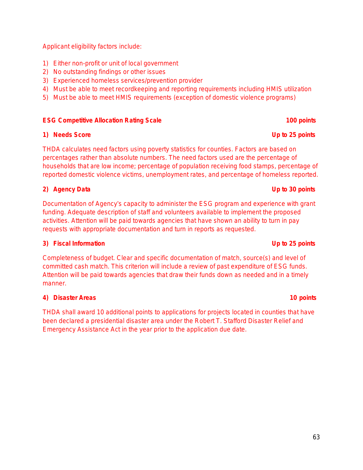Applicant eligibility factors include:

- 1) Either non-profit or unit of local government
- 2) No outstanding findings or other issues
- 3) Experienced homeless services/prevention provider
- 4) Must be able to meet recordkeeping and reporting requirements including HMIS utilization
- 5) Must be able to meet HMIS requirements (exception of domestic violence programs)

#### **ESG Competitive Allocation Rating Scale 100 points 100 points**

#### **1) Needs Score Up to 25 points**

THDA calculates need factors using poverty statistics for counties. Factors are based on percentages rather than absolute numbers. The need factors used are the percentage of households that are low income; percentage of population receiving food stamps, percentage of reported domestic violence victims, unemployment rates, and percentage of homeless reported.

### **2) Agency Data Up to 30 points**

Documentation of Agency's capacity to administer the ESG program and experience with grant funding. Adequate description of staff and volunteers available to implement the proposed activities. *Attention will be paid towards agencies that have shown an ability to turn in pay requests with appropriate documentation and turn in reports as requested.*

#### **3) Fiscal Information Up to 25 points**

Completeness of budget. Clear and specific documentation of match, source(s) and level of committed cash match. This criterion will include a review of past expenditure of ESG funds. *Attention will be paid towards agencies that draw their funds down as needed and in a timely manner.*

#### **4) Disaster Areas 10 points**

THDA shall award 10 additional points to applications for projects located in counties that have been declared a presidential disaster area under the Robert T. Stafford Disaster Relief and Emergency Assistance Act in the year prior to the application due date.

#### 63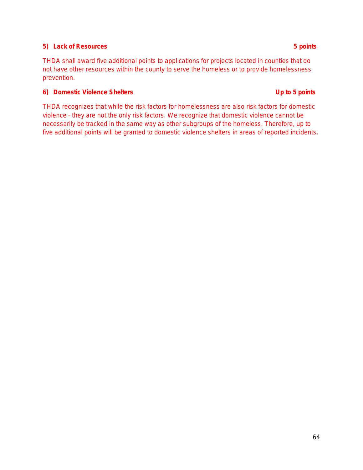### **5) Lack of Resources 5 points**

THDA shall award five additional points to applications for projects located in counties that do not have other resources within the county to serve the homeless or to provide homelessness prevention.

### **6) Domestic Violence Shelters Up to 5 points**

THDA recognizes that while the risk factors for homelessness are also risk factors for domestic violence – they are not the only risk factors. We recognize that domestic violence cannot be necessarily be tracked in the same way as other subgroups of the homeless. Therefore, up to five additional points will be granted to domestic violence shelters in areas of reported incidents.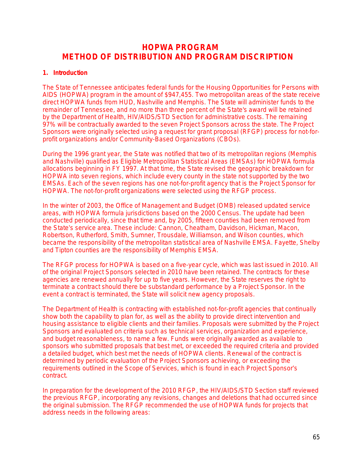# **HOPWA PROGRAM METHOD OF DISTRIBUTION AND PROGRAM DISCRIPTION**

#### **1. Introduction**

The State of Tennessee anticipates federal funds for the Housing Opportunities for Persons with AIDS (HOPWA) program in the amount of \$947,455. Two metropolitan areas of the state receive direct HOPWA funds from HUD, Nashville and Memphis. The State will administer funds to the remainder of Tennessee, and no more than three percent of the State's award will be retained by the Department of Health, HIV/AIDS/STD Section for administrative costs. The remaining 97% will be contractually awarded to the seven Project Sponsors across the state. The Project Sponsors were originally selected using a request for grant proposal (RFGP) process for not-forprofit organizations and/or Community-Based Organizations (CBOs).

During the 1996 grant year, the State was notified that two of its metropolitan regions (Memphis and Nashville) qualified as Eligible Metropolitan Statistical Areas (EMSAs) for HOPWA formula allocations beginning in FY 1997. At that time, the State revised the geographic breakdown for HOPWA into seven regions, which include every county in the state not supported by the two EMSAs. Each of the seven regions has one not-for-profit agency that is the Project Sponsor for HOPWA. The not-for-profit organizations were selected using the RFGP process.

In the winter of 2003, the Office of Management and Budget (OMB) released updated service areas, with HOPWA formula jurisdictions based on the 2000 Census. The update had been conducted periodically, since that time and, by 2005, fifteen counties had been removed from the State's service area. These include: Cannon, Cheatham, Davidson, Hickman, Macon, Robertson, Rutherford, Smith, Sumner, Trousdale, Williamson, and Wilson counties, which became the responsibility of the metropolitan statistical area of Nashville EMSA. Fayette, Shelby and Tipton counties are the responsibility of Memphis EMSA.

The RFGP process for HOPWA is based on a five-year cycle, which was last issued in 2010. All of the original Project Sponsors selected in 2010 have been retained. The contracts for these agencies are renewed annually for up to five years. However, the State reserves the right to terminate a contract should there be substandard performance by a Project Sponsor. In the event a contract is terminated, the State will solicit new agency proposals.

The Department of Health is contracting with established not-for-profit agencies that continually show both the capability to plan for, as well as the ability to provide direct intervention and housing assistance to eligible clients and their families. Proposals were submitted by the Project Sponsors and evaluated on criteria such as technical services, organization and experience, and budget reasonableness, to name a few. Funds were originally awarded as available to sponsors who submitted proposals that best met, or exceeded the required criteria and provided a detailed budget, which best met the needs of HOPWA clients. Renewal of the contract is determined by periodic evaluation of the Project Sponsors achieving, or exceeding the requirements outlined in the Scope of Services, which is found in each Project Sponsor's contract.

In preparation for the development of the 2010 RFGP, the HIV/AIDS/STD Section staff reviewed the previous RFGP, incorporating any revisions, changes and deletions that had occurred since the original submission. The RFGP recommended the use of HOPWA funds for projects that address needs in the following areas: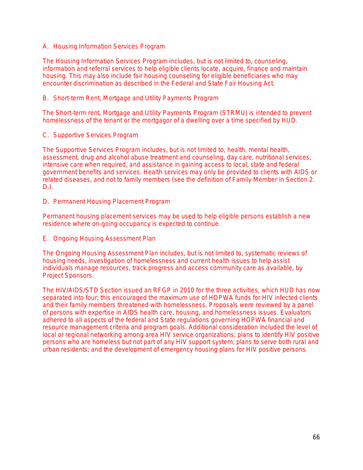A. Housing Information Services Program

The Housing Information Services Program includes, but is not limited to, counseling, information and referral services to help eligible clients locate, acquire, finance and maintain housing. This may also include fair housing counseling for eligible beneficiaries who may encounter discrimination as described in the Federal and State Fair Housing Act.

B. Short-term Rent, Mortgage and Utility Payments Program

The Short-term rent, Mortgage and Utility Payments Program (STRMU) is intended to prevent homelessness of the tenant or the mortgagor of a dwelling over a time specified by HUD.

C. Supportive Services Program

The Supportive Services Program includes, but is not limited to, health, mental health, assessment, drug and alcohol abuse treatment and counseling, day care, nutritional services, intensive care when required, and assistance in gaining access to local, state and federal government benefits and services. Health services may only be provided to clients with AIDS or related diseases, and not to family members (see the definition of Family Member in Section 2. D.).

D. Permanent Housing Placement Program

Permanent housing placement services may be used to help eligible persons establish a new residence where on-going occupancy is expected to continue.

E. Ongoing Housing Assessment Plan

The Ongoing Housing Assessment Plan includes, but is not limited to, systematic reviews of housing needs, investigation of homelessness and current health issues to help assist individuals manage resources, track progress and access community care as available, by Project Sponsors.

The HIV/AIDS/STD Section issued an RFGP in 2010 for the three activities, which HUD has now separated into four; this encouraged the maximum use of HOPWA funds for HIV infected clients and their family members threatened with homelessness. Proposals were reviewed by a panel of persons with expertise in AIDS health care, housing, and homelessness issues. Evaluators adhered to all aspects of the federal and State regulations governing HOPWA financial and resource management criteria and program goals. Additional consideration included the level of local or regional networking among area HIV service organizations; plans to identify HIV positive persons who are homeless but not part of any HIV support system; plans to serve both rural and urban residents; and the development of emergency housing plans for HIV positive persons.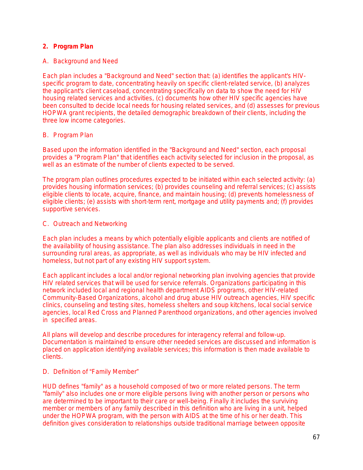#### **2. Program Plan**

#### A. Background and Need

Each plan includes a "Background and Need" section that: (a) identifies the applicant's HIVspecific program to date, concentrating heavily on specific client-related service, (b) analyzes the applicant's client caseload, concentrating specifically on data to show the need for HIV housing related services and activities, (c) documents how other HIV specific agencies have been consulted to decide local needs for housing related services, and (d) assesses for previous HOPWA grant recipients, the detailed demographic breakdown of their clients, including the three low income categories.

#### B. Program Plan

Based upon the information identified in the "Background and Need" section, each proposal provides a "Program Plan" that identifies each activity selected for inclusion in the proposal, as well as an estimate of the number of clients expected to be served.

The program plan outlines procedures expected to be initiated within each selected activity: (a) provides housing information services; (b) provides counseling and referral services; (c) assists eligible clients to locate, acquire, finance, and maintain housing; (d) prevents homelessness of eligible clients; (e) assists with short-term rent, mortgage and utility payments and; (f) provides supportive services.

#### C. Outreach and Networking

Each plan includes a means by which potentially eligible applicants and clients are notified of the availability of housing assistance. The plan also addresses individuals in need in the surrounding rural areas, as appropriate, as well as individuals who may be HIV infected and homeless, but not part of any existing HIV support system.

Each applicant includes a local and/or regional networking plan involving agencies that provide HIV related services that will be used for service referrals. Organizations participating in this network included local and regional health department AIDS programs, other HIV-related Community-Based Organizations, alcohol and drug abuse HIV outreach agencies, HIV specific clinics, counseling and testing sites, homeless shelters and soup kitchens, local social service agencies, local Red Cross and Planned Parenthood organizations, and other agencies involved in specified areas.

All plans will develop and describe procedures for interagency referral and follow-up. Documentation is maintained to ensure other needed services are discussed and information is placed on application identifying available services; this information is then made available to clients.

#### D. Definition of "Family Member"

HUD defines "family" as a household composed of two or more related persons. The term "family" also includes one or more *eligible* persons living with another person or persons who are determined to be important to their care or well-being. Finally it includes the surviving member or members of any family described in this definition who are living in a unit, helped under the HOPWA program, with the person with AIDS at the time of his or her death. This definition gives consideration to relationships outside traditional marriage between opposite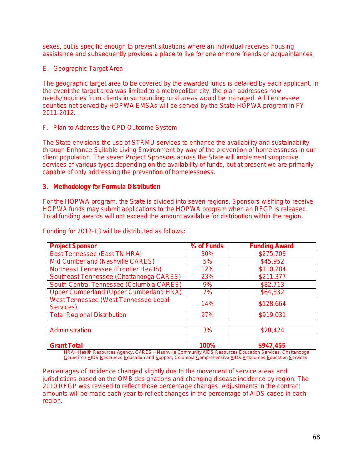sexes, but is specific enough to prevent situations where an individual receives housing assistance and subsequently provides a place to live for one or more friends or acquaintances.

E. Geographic Target Area

The geographic target area to be covered by the awarded funds is detailed by each applicant. In the event the target area was limited to a metropolitan city, the plan addresses how needs/inquiries from clients in surrounding rural areas would be managed. All Tennessee counties not served by HOPWA EMSAs will be served by the State HOPWA program in FY 2011-2012.

F. Plan to Address the CPD Outcome System

The State envisions the use of STRMU services to enhance the availability and sustainability through Enhance Suitable Living Environment by way of the prevention of homelessness in our client population. The seven Project Sponsors across the State will implement supportive services of various types depending on the availability of funds, but at present we are primarily capable of only addressing the prevention of homelessness.

#### **3. Methodology for Formula Distribution**

For the HOPWA program, the State is divided into seven regions. Sponsors wishing to receive HOPWA funds may submit applications to the HOPWA program when an RFGP is released. Total funding awards will not exceed the amount available for distribution within the region.

| <b>Project Sponsor</b>                            | % of Funds | <b>Funding Award</b> |
|---------------------------------------------------|------------|----------------------|
| East Tennessee (East TN HRA)                      | 30%        | \$275,709            |
| Mid Cumberland (Nashville CARES)                  | 5%         | \$45,952             |
| Northeast Tennessee (Frontier Health)             | 12%        | \$110,284            |
| Southeast Tennessee (Chattanooga CARES)           | 23%        | \$211,377            |
| South Central Tennessee (Columbia CARES)          | 9%         | \$82,713             |
| Upper Cumberland (Upper Cumberland HRA)           | 7%         | \$64,332             |
| West Tennessee (West Tennessee Legal<br>Services) | 14%        | \$128,664            |
| <b>Total Regional Distribution</b>                | 97%        | \$919,031            |
|                                                   |            |                      |
| Administration                                    | 3%         | \$28,424             |
|                                                   |            |                      |
| <b>Grant Total</b>                                | 100%       | \$947,455            |

Funding for 2012-13 will be distributed as follows:

*HRA= Health Resources Agency, CARES = Nashville Community AIDS Resources Education Services, Chattanooga Council on AIDS Resources Education and Support, Columbia Comprehensive AIDS Resources Education Services*

Percentages of incidence changed slightly due to the movement of service areas and jurisdictions based on the OMB designations and changing disease incidence by region. The 2010 RFGP was revised to reflect those percentage changes. Adjustments in the contract amounts will be made each year to reflect changes in the percentage of AIDS cases in each region.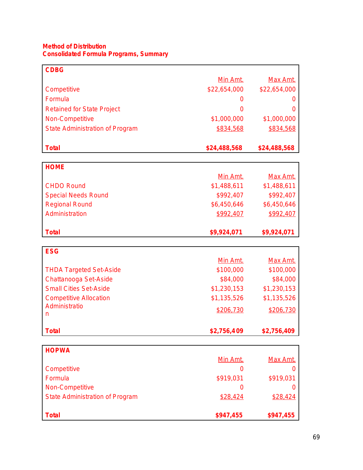#### **Method of Distribution Consolidated Formula Programs, Summary**

| <b>CDBG</b>                            |                  |              |
|----------------------------------------|------------------|--------------|
|                                        | Min Amt.         | Max Amt.     |
| Competitive                            | \$22,654,000     | \$22,654,000 |
| Formula                                | $\left( \right)$ |              |
| <b>Retained for State Project</b>      | ∩                |              |
| Non-Competitive                        | \$1,000,000      | \$1,000,000  |
| <b>State Administration of Program</b> | \$834,568        | \$834,568    |
| <b>Total</b>                           | \$24,488,568     | \$24,488,568 |
|                                        |                  |              |
| <b>HOME</b>                            |                  |              |
|                                        | Min Amt.         | Max Amt.     |
| <b>CHDO Round</b>                      | \$1,488,611      | \$1,488,611  |
| <b>Special Needs Round</b>             | \$992,407        | \$992,407    |
| <b>Regional Round</b>                  | \$6,450,646      | \$6,450,646  |
| Administration                         | \$992,407        | \$992,407    |
| <b>Total</b>                           | \$9,924,071      | \$9,924,071  |
| <b>ESG</b>                             |                  |              |
|                                        | Min Amt.         | Max Amt.     |
| <b>THDA Targeted Set-Aside</b>         | \$100,000        | \$100,000    |
| Chattanooga Set-Aside                  | \$84,000         | \$84,000     |
| <b>Small Cities Set-Aside</b>          | \$1,230,153      | \$1,230,153  |
| <b>Competitive Allocation</b>          | \$1,135,526      | \$1,135,526  |
| Administratio                          | \$206,730        | \$206,730    |
| n                                      |                  |              |

| <b>HOPWA</b>                           |           |           |
|----------------------------------------|-----------|-----------|
|                                        | Min Amt.  | Max Amt.  |
| Competitive                            | O         |           |
| Formula                                | \$919,031 | \$919,031 |
| Non-Competitive                        | O         |           |
| <b>State Administration of Program</b> | \$28,424  | \$28,424  |
|                                        |           |           |
| <b>Total</b>                           | \$947,455 | \$947,455 |

**Total \$2,756,409 \$2,756,409**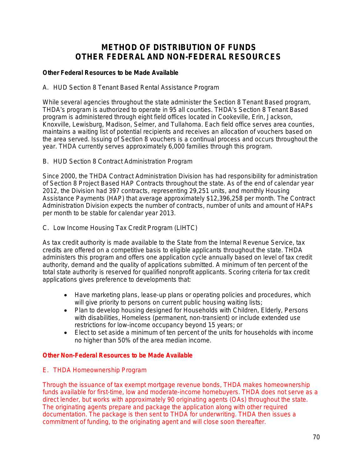# **METHOD OF DISTRIBUTION OF FUNDS OTHER FEDERAL AND NON-FEDERAL RESOURCES**

### *Other Federal Resources to be Made Available*

A. HUD Section 8 Tenant Based Rental Assistance Program

While several agencies throughout the state administer the Section 8 Tenant Based program, THDA's program is authorized to operate in 95 all counties. THDA's Section 8 Tenant Based program is administered through eight field offices located in Cookeville, Erin, Jackson, Knoxville, Lewisburg, Madison, Selmer, and Tullahoma. Each field office serves area counties, maintains a waiting list of potential recipients and receives an allocation of vouchers based on the area served. Issuing of Section 8 vouchers is a continual process and occurs throughout the year. THDA currently serves approximately 6,000 families through this program.

### B. HUD Section 8 Contract Administration Program

Since 2000, the THDA Contract Administration Division has had responsibility for administration of Section 8 Project Based HAP Contracts throughout the state. As of the end of calendar year 2012, the Division had 397 contracts, representing 29,251 units, and monthly Housing Assistance Payments (HAP) that average approximately \$12,396,258 per month. The Contract Administration Division expects the number of contracts, number of units and amount of HAPs per month to be stable for calendar year 2013.

### C. Low Income Housing Tax Credit Program (LIHTC)

As tax credit authority is made available to the State from the Internal Revenue Service, tax credits are offered on a competitive basis to eligible applicants throughout the state. THDA administers this program and offers one application cycle annually based on level of tax credit authority, demand and the quality of applications submitted. A minimum of ten percent of the total state authority is reserved for qualified nonprofit applicants. Scoring criteria for tax credit applications gives preference to developments that:

- Have marketing plans, lease-up plans or operating policies and procedures, which will give priority to persons on current public housing waiting lists;
- Plan to develop housing designed for Households with Children, Elderly, Persons with disabilities, Homeless (permanent, non-transient) or include extended use restrictions for low-income occupancy beyond 15 years; or
- Elect to set aside a minimum of ten percent of the units for households with income no higher than 50% of the area median income.

#### *Other Non-Federal Resources to be Made Available*

#### E. THDA Homeownership Program

Through the issuance of tax exempt mortgage revenue bonds, THDA makes homeownership funds available for first-time, low and moderate-income homebuyers. THDA does not serve as a direct lender, but works with approximately 90 originating agents (OAs) throughout the state. The originating agents prepare and package the application along with other required documentation. The package is then sent to THDA for underwriting. THDA then issues a commitment of funding, to the originating agent and will close soon thereafter.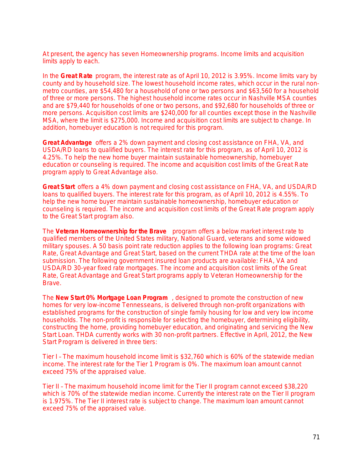At present, the agency has seven Homeownership programs. Income limits and acquisition limits apply to each.

In the **Great Rate** program, the interest rate as of April 10, 2012 is 3.95%. Income limits vary by county and by household size. The lowest household income rates, which occur in the rural nonmetro counties, are \$54,480 for a household of one or two persons and \$63,560 for a household of three or more persons. The highest household income rates occur in Nashville MSA counties and are \$79,440 for households of one or two persons, and \$92,680 for households of three or more persons. Acquisition cost limits are \$240,000 for all counties except those in the Nashville MSA, where the limit is \$275,000. Income and acquisition cost limits are *subject to change*. In addition, homebuyer education is not required for this program.

**Great Advantage** offers a 2% down payment and closing cost assistance on FHA, VA, and USDA/RD loans to qualified buyers. The interest rate for this program, as of April 10, 2012 is 4.25%. To help the new home buyer maintain sustainable homeownership, homebuyer education or counseling is required. The income and acquisition cost limits of the Great Rate program apply to Great Advantage also.

**Great Start** offers a 4% down payment and closing cost assistance on FHA, VA, and USDA/RD loans to qualified buyers. The interest rate for this program, as of April 10, 2012 is 4.55%. To help the new home buyer maintain sustainable homeownership, homebuyer education or counseling is required. The income and acquisition cost limits of the Great Rate program apply to the Great Start program also.

The **Veteran Homeownership for the Brave** program offers a below market interest rate to qualified members of the United States military, National Guard, veterans and some widowed military spouses. A 50 basis point rate reduction applies to the following loan programs: Great Rate, Great Advantage and Great Start, based on the current THDA rate at the time of the loan submission. The following government insured loan products are available: FHA, VA and USDA/RD 30-year fixed rate mortgages. The income and acquisition cost limits of the Great Rate, Great Advantage and Great Start programs apply to Veteran Homeownership for the Brave.

The **New Start 0% Mortgage Loan Program** , designed to promote the construction of new homes for very low-income Tennesseans, is delivered through non-profit organizations with established programs for the construction of single family housing for low and very low income households. The non-profit is responsible for selecting the homebuyer, determining eligibility, constructing the home, providing homebuyer education, and originating and servicing the New Start Loan. THDA currently works with 30 non-profit partners. Effective in April, 2012, the New Start Program is delivered in three tiers:

Tier I – The maximum household income limit is \$32,760 which is 60% of the statewide median income. The interest rate for the Tier 1 Program is 0%. The maximum loan amount cannot exceed 75% of the appraised value.

Tier II – The maximum household income limit for the Tier II program cannot exceed \$38,220 which is 70% of the statewide median income. Currently the interest rate on the Tier II program is 1.975%. The Tier II interest rate is subject to change. The maximum loan amount cannot exceed 75% of the appraised value.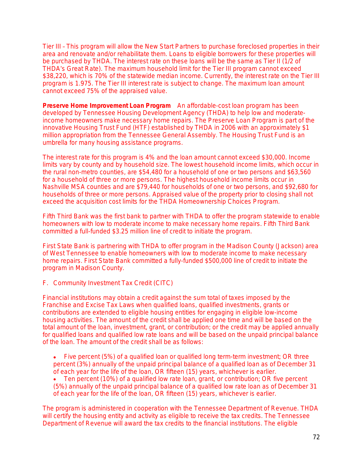Tier III – This program will allow the New Start Partners to purchase foreclosed properties in their area and renovate and/or rehabilitate them. Loans to eligible borrowers for these properties will be purchased by THDA. The interest rate on these loans will be the same as Tier II (1/2 of THDA's Great Rate). The maximum household limit for the Tier III program cannot exceed \$38,220, which is 70% of the statewide median income. Currently, the interest rate on the Tier III program is 1.975. The Tier III interest rate is subject to change. The maximum loan amount cannot exceed 75% of the appraised value.

**Preserve Home Improvement Loan Program** An affordable-cost loan program has been developed by Tennessee Housing Development Agency (THDA) to help low and moderateincome homeowners make necessary home repairs. The Preserve Loan Program is part of the innovative Housing Trust Fund (HTF) established by THDA in 2006 with an approximately \$1 million appropriation from the Tennessee General Assembly. The Housing Trust Fund is an umbrella for many housing assistance programs.

The interest rate for this program is 4% and the loan amount cannot exceed \$30,000. Income limits vary by county and by household size. The lowest household income limits, which occur in the rural non-metro counties, are \$54,480 for a household of one or two persons and \$63,560 for a household of three or more persons. The highest household income limits occur in Nashville MSA counties and are \$79,440 for households of one or two persons, and \$92,680 for households of three or more persons. Appraised value of the property prior to closing shall not exceed the acquisition cost limits for the THDA Homeownership Choices Program.

Fifth Third Bank was the first bank to partner with THDA to offer the program statewide to enable homeowners with low to moderate income to make necessary home repairs. Fifth Third Bank committed a full-funded \$3.25 million line of credit to initiate the program.

First State Bank is partnering with THDA to offer program in the Madison County (Jackson) area of West Tennessee to enable homeowners with low to moderate income to make necessary home repairs. First State Bank committed a fully-funded \$500,000 line of credit to initiate the program in Madison County.

#### F. Community Investment Tax Credit (CITC)

Financial institutions may obtain a credit against the sum total of taxes imposed by the Franchise and Excise Tax Laws when qualified loans, qualified investments, grants or contributions are extended to eligible housing entities for engaging in eligible low-income housing activities. The amount of the credit shall be applied one time and will be based on the total amount of the loan, investment, grant, or contribution; or the credit may be applied annually for qualified loans and qualified low rate loans and will be based on the unpaid principal balance of the loan. The amount of the credit shall be as follows:

 Five percent (5%) of a qualified loan or qualified long term-term investment; *OR* three percent (3%) annually of the unpaid principal balance of a qualified loan as of December 31 of each year for the life of the loan, *OR* fifteen (15) years, whichever is earlier.

 Ten percent (10%) of a qualified low rate loan, grant, or contribution; *OR* five percent (5%) annually of the unpaid principal balance of a qualified low rate loan as of December 31 of each year for the life of the loan, *OR* fifteen (15) years, whichever is earlier.

The program is administered in cooperation with the Tennessee Department of Revenue. THDA will certify the housing entity and activity as eligible to receive the tax credits. The Tennessee Department of Revenue will award the tax credits to the financial institutions. The eligible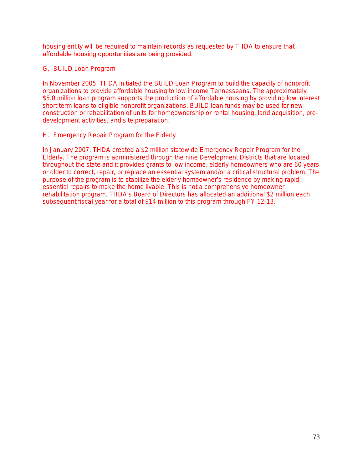housing entity will be required to maintain records as requested by THDA to ensure that affordable housing opportunities are being provided.

## G. BUILD Loan Program

In November 2005, THDA initiated the BUILD Loan Program to build the capacity of nonprofit organizations to provide affordable housing to low income Tennesseans. The approximately \$5.0 million loan program supports the production of affordable housing by providing low interest short term loans to eligible nonprofit organizations. BUILD loan funds may be used for new construction or rehabilitation of units for homeownership or rental housing, land acquisition, predevelopment activities, and site preparation.

## H. Emergency Repair Program for the Elderly

In January 2007, THDA created a \$2 million statewide Emergency Repair Program for the Elderly. The program is administered through the nine Development Districts that are located throughout the state and it provides grants to low income, elderly homeowners who are 60 years or older to correct, repair, or replace an essential system and/or a critical structural problem. The purpose of the program is to stabilize the elderly homeowner's residence by making rapid, essential repairs to make the home livable. This is not a comprehensive homeowner rehabilitation program. THDA's Board of Directors has allocated an additional \$2 million each subsequent fiscal year for a total of \$14 million to this program through FY 12-13.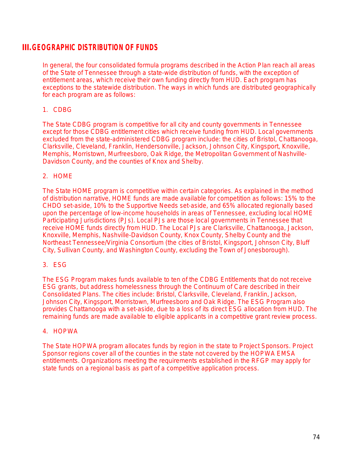## **III.GEOGRAPHIC DISTRIBUTION OF FUNDS**

In general, the four consolidated formula programs described in the Action Plan reach all areas of the State of Tennessee through a state-wide distribution of funds, with the exception of entitlement areas, which receive their own funding directly from HUD. Each program has exceptions to the statewide distribution. The ways in which funds are distributed geographically for each program are as follows:

## 1. CDBG

The State CDBG program is competitive for all city and county governments in Tennessee except for those CDBG entitlement cities which receive funding from HUD. Local governments excluded from the state-administered CDBG program include: the cities of Bristol, Chattanooga, Clarksville, Cleveland, Franklin, Hendersonville, Jackson, Johnson City, Kingsport, Knoxville, Memphis, Morristown, Murfreesboro, Oak Ridge, the Metropolitan Government of Nashville-Davidson County, and the counties of Knox and Shelby.

## 2. HOME

The State HOME program is competitive within certain categories. As explained in the method of distribution narrative, HOME funds are made available for competition as follows: 15% to the CHDO set-aside, 10% to the Supportive Needs set-aside, and 65% allocated regionally based upon the percentage of low-income households in areas of Tennessee, excluding local HOME Participating Jurisdictions (PJs). Local PJs are those local governments in Tennessee that receive HOME funds directly from HUD. The Local PJs are Clarksville, Chattanooga, Jackson, Knoxville, Memphis, Nashville-Davidson County, Knox County, Shelby County and the Northeast Tennessee/Virginia Consortium (the cities of Bristol, Kingsport, Johnson City, Bluff City, Sullivan County, and Washington County, excluding the Town of Jonesborough).

## 3. ESG

The ESG Program makes funds available to ten of the CDBG Entitlements that do not receive ESG grants, but address homelessness through the Continuum of Care described in their Consolidated Plans. The cities include: Bristol, Clarksville, Cleveland, Franklin, Jackson, Johnson City, Kingsport, Morristown, Murfreesboro and Oak Ridge. The ESG Program also provides Chattanooga with a set-aside, due to a loss of its direct ESG allocation from HUD. The remaining funds are made available to eligible applicants in a competitive grant review process.

## 4. HOPWA

The State HOPWA program allocates funds by region in the state to Project Sponsors. Project Sponsor regions cover all of the counties in the state not covered by the HOPWA EMSA entitlements. Organizations meeting the requirements established in the RFGP may apply for state funds on a regional basis as part of a competitive application process.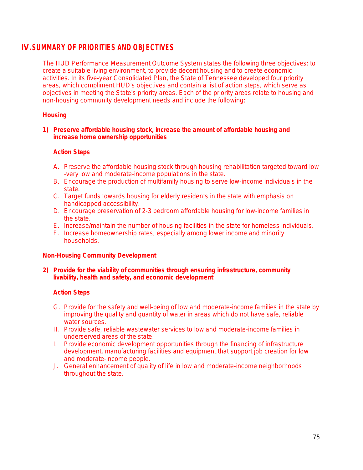## **IV.SUMMARY OF PRIORITIES AND OBJECTIVES**

The HUD Performance Measurement Outcome System states the following three objectives: to create a suitable living environment, to provide decent housing and to create economic activities. In its five-year Consolidated Plan, the State of Tennessee developed four priority areas, which compliment HUD's objectives and contain a list of action steps, which serve as objectives in meeting the State's priority areas. Each of the priority areas relate to housing and non-housing community development needs and include the following:

## **Housing**

#### **1) Preserve affordable housing stock, increase the amount of affordable housing and increase home ownership opportunities**

## **Action Steps**

- A. Preserve the affordable housing stock through housing rehabilitation targeted toward low -very low and moderate-income populations in the state.
- B. Encourage the production of multifamily housing to serve low-income individuals in the state.
- C. Target funds towards housing for elderly residents in the state with emphasis on handicapped accessibility.
- D. Encourage preservation of 2-3 bedroom affordable housing for low-income families in the state.
- E. Increase/maintain the number of housing facilities in the state for homeless individuals.
- F. Increase homeownership rates, especially among lower income and minority households.

## **Non-Housing Community Development**

## **2) Provide for the viability of communities through ensuring infrastructure, community livability, health and safety, and economic development**

## **Action Steps**

- G. Provide for the safety and well-being of low and moderate-income families in the state by improving the quality and quantity of water in areas which do not have safe, reliable water sources.
- H. Provide safe, reliable wastewater services to low and moderate-income families in underserved areas of the state.
- I. Provide economic development opportunities through the financing of infrastructure development, manufacturing facilities and equipment that support job creation for low and moderate-income people.
- J. General enhancement of quality of life in low and moderate-income neighborhoods throughout the state.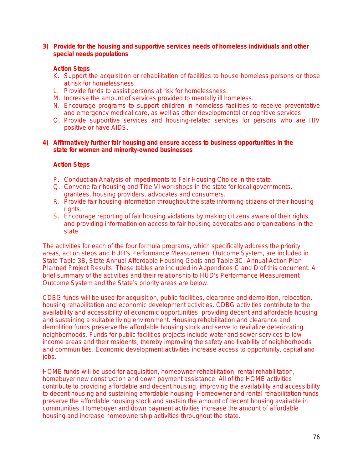#### **3) Provide for the housing and supportive services needs of homeless individuals and other special needs populations**

#### **Action Steps**

- K. Support the acquisition or rehabilitation of facilities to house homeless persons or those at risk for homelessness.
- L. Provide funds to assist persons at risk for homelessness.
- M. Increase the amount of services provided to mentally ill homeless.
- N. Encourage programs to support children in homeless facilities to receive preventative and emergency medical care, as well as other developmental or cognitive services.
- O. Provide supportive services and housing-related services for persons who are HIV positive or have AIDS.

#### **4) Affirmatively further fair housing and ensure access to business opportunities in the state for women and minority-owned businesses**

#### **Action Steps**

- P. Conduct an Analysis of Impediments to Fair Housing Choice in the state.
- Q. Convene fair housing and Title VI workshops in the state for local governments, grantees, housing providers, advocates and consumers.
- R. Provide fair housing information throughout the state informing citizens of their housing rights.
- S. Encourage reporting of fair housing violations by making citizens aware of their rights and providing information on access to fair housing advocates and organizations in the state.

The activities for each of the four formula programs, which specifically address the priority areas, action steps and HUD's Performance Measurement Outcome System, are included in State Table 3B, State Annual Affordable Housing Goals and Table 3C, Annual Action Plan Planned Project Results. These tables are included in Appendices C and D of this document. A brief summary of the activities and their relationship to HUD's Performance Measurement Outcome System and the State's priority areas are below.

CDBG funds will be used for acquisition, public facilities, clearance and demolition, relocation, housing rehabilitation and economic development activities. CDBG activities contribute to the availability and accessibility of economic opportunities, providing decent and affordable housing and sustaining a suitable living environment. Housing rehabilitation and clearance and demolition funds preserve the affordable housing stock and serve to revitalize deteriorating neighborhoods. Funds for public facilities projects include water and sewer services to lowincome areas and their residents, thereby improving the safety and livability of neighborhoods and communities. Economic development activities increase access to opportunity, capital and jobs.

HOME funds will be used for acquisition, homeowner rehabilitation, rental rehabilitation, homebuyer new construction and down payment assistance. All of the HOME activities contribute to providing affordable and decent housing, improving the availability and accessibility to decent housing and sustaining affordable housing. Homeowner and rental rehabilitation funds preserve the affordable housing stock and sustain the amount of decent housing available in communities. Homebuyer and down payment activities increase the amount of affordable housing and increase homeownership activities throughout the state.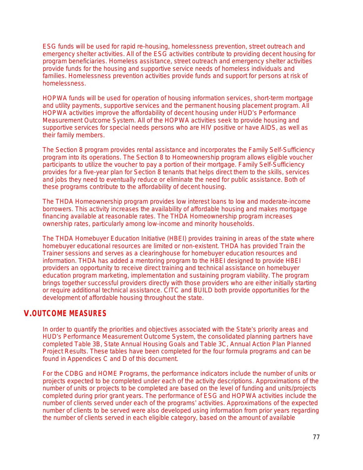ESG funds will be used for rapid re-housing, homelessness prevention, street outreach and emergency shelter activities. All of the ESG activities contribute to providing decent housing for program beneficiaries. Homeless assistance, street outreach and emergency shelter activities provide funds for the housing and supportive service needs of homeless individuals and families. Homelessness prevention activities provide funds and support for persons at risk of homelessness.

HOPWA funds will be used for operation of housing information services, short-term mortgage and utility payments, supportive services and the permanent housing placement program. All HOPWA activities improve the affordability of decent housing under HUD's Performance Measurement Outcome System. All of the HOPWA activities seek to provide housing and supportive services for special needs persons who are HIV positive or have AIDS, as well as their family members.

The Section 8 program provides rental assistance and incorporates the Family Self-Sufficiency program into its operations. The Section 8 to Homeownership program allows eligible voucher participants to utilize the voucher to pay a portion of their mortgage. Family Self-Sufficiency provides for a five-year plan for Section 8 tenants that helps direct them to the skills, services and jobs they need to eventually reduce or eliminate the need for public assistance. Both of these programs contribute to the affordability of decent housing.

The THDA Homeownership program provides low interest loans to low and moderate-income borrowers. This activity increases the availability of affordable housing and makes mortgage financing available at reasonable rates. The THDA Homeownership program increases ownership rates, particularly among low-income and minority households.

The THDA Homebuyer Education Initiative (HBEI) provides training in areas of the state where homebuyer educational resources are limited or non-existent. THDA has provided Train the Trainer sessions and serves as a clearinghouse for homebuyer education resources and information. THDA has added a mentoring program to the HBEI designed to provide HBEI providers an opportunity to receive direct training and technical assistance on homebuyer education program marketing, implementation and sustaining program viability. The program brings together successful providers directly with those providers who are either initially starting or require additional technical assistance. CITC and BUILD both provide opportunities for the development of affordable housing throughout the state.

# **V.OUTCOME MEASURES**

In order to quantify the priorities and objectives associated with the State's priority areas and HUD's Performance Measurement Outcome System, the consolidated planning partners have completed Table 3B, State Annual Housing Goals and Table 3C, Annual Action Plan Planned Project Results. These tables have been completed for the four formula programs and can be found in Appendices C and D of this document.

For the CDBG and HOME Programs, the performance indicators include the number of units or projects expected to be completed under each of the activity descriptions. Approximations of the number of units or projects to be completed are based on the level of funding and units/projects completed during prior grant years. The performance of ESG and HOPWA activities include the number of clients served under each of the programs' activities. Approximations of the expected number of clients to be served were also developed using information from prior years regarding the number of clients served in each eligible category, based on the amount of available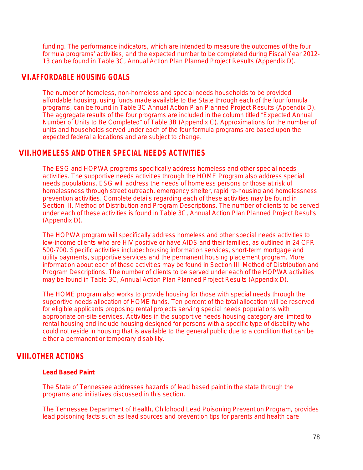funding. The performance indicators, which are intended to measure the outcomes of the four formula programs' activities, and the expected number to be completed during Fiscal Year 2012- 13 can be found in Table 3C, Annual Action Plan Planned Project Results (Appendix D).

## **VI.AFFORDABLE HOUSING GOALS**

The number of homeless, non-homeless and special needs households to be provided affordable housing, using funds made available to the State through each of the four formula programs, can be found in Table 3C Annual Action Plan Planned Project Results (Appendix D). The aggregate results of the four programs are included in the column titled "Expected Annual Number of Units to Be Completed" of Table 3B (Appendix C). Approximations for the number of units and households served under each of the four formula programs are based upon the expected federal allocations and are subject to change.

# **VII.HOMELESS AND OTHER SPECIAL NEEDS ACTIVITIES**

The ESG and HOPWA programs specifically address homeless and other special needs activities. The supportive needs activities through the HOME Program also address special needs populations. ESG will address the needs of homeless persons or those at risk of homelessness through street outreach, emergency shelter, rapid re-housing and homelessness prevention activities. Complete details regarding each of these activities may be found in Section III. Method of Distribution and Program Descriptions. The number of clients to be served under each of these activities is found in Table 3C, Annual Action Plan Planned Project Results (Appendix D).

The HOPWA program will specifically address homeless and other special needs activities to low-income clients who are HIV positive or have AIDS and their families, as outlined in 24 CFR 500-700. Specific activities include: housing information services, short-term mortgage and utility payments, supportive services and the permanent housing placement program. More information about each of these activities may be found in Section III. Method of Distribution and Program Descriptions. The number of clients to be served under each of the HOPWA activities may be found in Table 3C, Annual Action Plan Planned Project Results (Appendix D).

The HOME program also works to provide housing for those with special needs through the supportive needs allocation of HOME funds. Ten percent of the total allocation will be reserved for eligible applicants proposing rental projects serving special needs populations with appropriate on-site services. Activities in the supportive needs housing category are limited to rental housing and include housing designed for persons with a specific type of disability who could not reside in housing that is available to the general public due to a condition that can be either a permanent or temporary disability.

# **VIII.OTHER ACTIONS**

## **Lead Based Paint**

The State of Tennessee addresses hazards of lead based paint in the state through the programs and initiatives discussed in this section.

The Tennessee Department of Health, Childhood Lead Poisoning Prevention Program, provides lead poisoning facts such as lead sources and prevention tips for parents and health care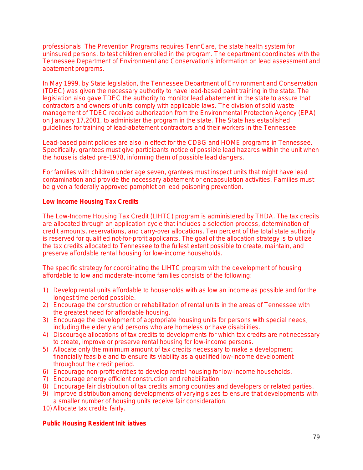professionals. The Prevention Programs requires TennCare, the state health system for uninsured persons, to test children enrolled in the program. The department coordinates with the Tennessee Department of Environment and Conservation's information on lead assessment and abatement programs.

In May 1999, by State legislation, the Tennessee Department of Environment and Conservation (TDEC) was given the necessary authority to have lead-based paint training in the state. The legislation also gave TDEC the authority to monitor lead abatement in the state to assure that contractors and owners of units comply with applicable laws. The division of solid waste management of TDEC received authorization from the Environmental Protection Agency (EPA) on January 17,2001, to administer the program in the state. The State has established guidelines for training of lead-abatement contractors and their workers in the Tennessee.

Lead-based paint policies are also in effect for the CDBG and HOME programs in Tennessee. Specifically, grantees must give participants notice of possible lead hazards within the unit when the house is dated pre-1978, informing them of possible lead dangers.

For families with children under age seven, grantees must inspect units that might have lead contamination and provide the necessary abatement or encapsulation activities. Families must be given a federally approved pamphlet on lead poisoning prevention.

## **Low Income Housing Tax Credits**

The Low-Income Housing Tax Credit (LIHTC) program is administered by THDA. The tax credits are allocated through an application cycle that includes a selection process, determination of credit amounts, reservations, and carry-over allocations. Ten percent of the total state authority is reserved for qualified not-for-profit applicants. The goal of the allocation strategy is to utilize the tax credits allocated to Tennessee to the fullest extent possible to create, maintain, and preserve affordable rental housing for low-income households.

The specific strategy for coordinating the LIHTC program with the development of housing affordable to low and moderate-income families consists of the following:

- 1) Develop rental units affordable to households with as low an income as possible and for the longest time period possible.
- 2) Encourage the construction or rehabilitation of rental units in the areas of Tennessee with the greatest need for affordable housing.
- 3) Encourage the development of appropriate housing units for persons with special needs, including the elderly and persons who are homeless or have disabilities.
- 4) Discourage allocations of tax credits to developments for which tax credits are not necessary to create, improve or preserve rental housing for low-income persons.
- 5) Allocate only the minimum amount of tax credits necessary to make a development financially feasible and to ensure its viability as a qualified low-income development throughout the credit period.
- 6) Encourage non-profit entities to develop rental housing for low-income households.
- 7) Encourage energy efficient construction and rehabilitation.
- 8) Encourage fair distribution of tax credits among counties and developers or related parties.
- 9) Improve distribution among developments of varying sizes to ensure that developments with a smaller number of housing units receive fair consideration.
- 10) Allocate tax credits fairly.

## **Public Housing Resident Init iatives**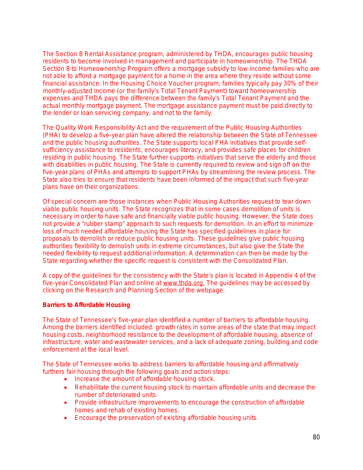The Section 8 Rental Assistance program, administered by THDA, encourages public housing residents to become involved in management and participate in homeownership. The THDA Section 8 to Homeownership Program offers a mortgage subsidy to low income families who are not able to afford a mortgage payment for a home in the area where they reside without some financial assistance. In the Housing Choice Voucher program, families typically pay 30% of their monthly-adjusted income (or the family's Total Tenant Payment) toward homeownership expenses and THDA pays the difference between the family's Total Tenant Payment and the actual monthly mortgage payment. The mortgage assistance payment must be paid directly to the lender or loan servicing company, and not to the family.

The Quality Work Responsibility Act and the requirement of the Public Housing Authorities (PHA) to develop a five-year plan have altered the relationship between the State of Tennessee and the public housing authorities. The State supports local PHA initiatives that provide selfsufficiency assistance to residents, encourages literacy, and provides safe places for children residing in public housing. The State further supports initiatives that serve the elderly and those with disabilities in public housing. The State is currently required to review and sign off on the five-year plans of PHAs and attempts to support PHAs by streamlining the review process. The State also tries to ensure that residents have been informed of the impact that such five-year plans have on their organizations.

Of special concern are those instances when Public Housing Authorities request to tear down viable public housing units. The State recognizes that in some cases demolition of units is necessary in order to have safe and financially viable public housing. However, the State does not provide a "rubber stamp" approach to such requests for demolition. In an effort to minimize loss of much needed affordable housing the State has specified guidelines in place for proposals to demolish or reduce public housing units. These guidelines give public housing authorities flexibility to demolish units in extreme circumstances, but also give the State the needed flexibility to request additional information. A determination can then be made by the State regarding whether the specific request is consistent with the Consolidated Plan.

A copy of the guidelines for the consistency with the State's plan is located in Appendix 4 of the five-year Consolidated Plan and online at [www.thda.org](http://www.thda.org). The guidelines may be accessed by clicking on the Research and Planning Section of the webpage.

#### **Barriers to Affordable Housing**

The State of Tennessee's five-year plan identified a number of barriers to affordable housing. Among the barriers identified included: growth rates in some areas of the state that may impact housing costs, neighborhood resistance to the development of affordable housing, absence of infrastructure, water and wastewater services, and a lack of adequate zoning, building and code enforcement at the local level.

The State of Tennessee works to address barriers to affordable housing and affirmatively furthers fair housing through the following goals and action steps:

- Increase the amount of affordable housing stock.
- Rehabilitate the current housing stock to maintain affordable units and decrease the number of deteriorated units.
- Provide infrastructure improvements to encourage the construction of affordable homes and rehab of existing homes.
- Encourage the preservation of existing affordable housing units.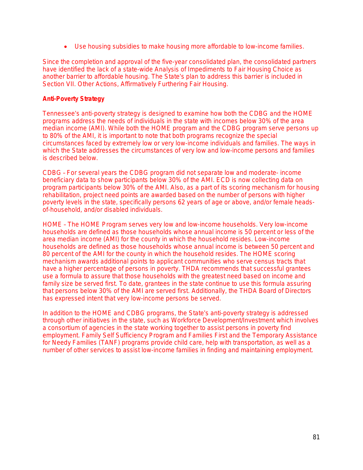Use housing subsidies to make housing more affordable to low-income families.

Since the completion and approval of the five-year consolidated plan, the consolidated partners have identified the lack of a state-wide Analysis of Impediments to Fair Housing Choice as another barrier to affordable housing. The State's plan to address this barrier is included in Section VII. Other Actions, Affirmatively Furthering Fair Housing.

#### **Anti-Poverty Strategy**

Tennessee's anti-poverty strategy is designed to examine how both the CDBG and the HOME programs address the needs of individuals in the state with incomes below 30% of the area median income (AMI). While both the HOME program and the CDBG program serve persons up to 80% of the AMI, it is important to note that both programs recognize the special circumstances faced by extremely low or very low-income individuals and families. The ways in which the State addresses the circumstances of very low and low-income persons and families is described below.

CDBG – For several years the CDBG program did not separate low and moderate- income beneficiary data to show participants below 30% of the AMI. ECD is now collecting data on program participants below 30% of the AMI. Also, as a part of its scoring mechanism for housing rehabilitation, project need points are awarded based on the number of persons with higher poverty levels in the state, specifically persons 62 years of age or above, and/or female headsof-household, and/or disabled individuals.

HOME – The HOME Program serves very low and low-income households. Very low-income households are defined as those households whose annual income is 50 percent or less of the area median income (AMI) for the county in which the household resides. Low-income households are defined as those households whose annual income is between 50 percent and 80 percent of the AMI for the county in which the household resides. The HOME scoring mechanism awards additional points to applicant communities who serve census tracts that have a higher percentage of persons in poverty. THDA recommends that successful grantees use a formula to assure that those households with the greatest need based on income and family size be served first. To date, grantees in the state continue to use this formula assuring that persons below 30% of the AMI are served first. Additionally, the THDA Board of Directors has expressed intent that very low-income persons be served.

In addition to the HOME and CDBG programs, the State's anti-poverty strategy is addressed through other initiatives in the state, such as Workforce Development/Investment which involves a consortium of agencies in the state working together to assist persons in poverty find employment. Family Self Sufficiency Program and Families First and the Temporary Assistance for Needy Families (TANF) programs provide child care, help with transportation, as well as a number of other services to assist low-income families in finding and maintaining employment.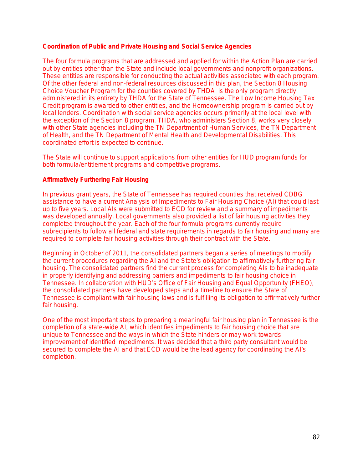#### **Coordination of Public and Private Housing and Social Service Agencies**

The four formula programs that are addressed and applied for within the Action Plan are carried out by entities other than the State and include local governments and nonprofit organizations. These entities are responsible for conducting the actual activities associated with each program. Of the other federal and non-federal resources discussed in this plan, the Section 8 Housing Choice Voucher Program for the counties covered by THDA is the only program directly administered in its entirety by THDA for the State of Tennessee. The Low Income Housing Tax Credit program is awarded to other entities, and the Homeownership program is carried out by local lenders. Coordination with social service agencies occurs primarily at the local level with the exception of the Section 8 program. THDA, who administers Section 8, works very closely with other State agencies including the TN Department of Human Services, the TN Department of Health, and the TN Department of Mental Health and Developmental Disabilities. This coordinated effort is expected to continue.

The State will continue to support applications from other entities for HUD program funds for both formula/entitlement programs and competitive programs.

#### **Affirmatively Furthering Fair Housing**

In previous grant years, the State of Tennessee has required counties that received CDBG assistance to have a current Analysis of Impediments to Fair Housing Choice (AI) that could last up to five years. Local AIs were submitted to ECD for review and a summary of impediments was developed annually. Local governments also provided a list of fair housing activities they completed throughout the year. Each of the four formula programs currently require subrecipients to follow all federal and state requirements in regards to fair housing and many are required to complete fair housing activities through their contract with the State.

Beginning in October of 2011, the consolidated partners began a series of meetings to modify the current procedures regarding the AI and the State's obligation to affirmatively furthering fair housing. The consolidated partners find the current process for completing AIs to be inadequate in properly identifying and addressing barriers and impediments to fair housing choice in Tennessee. In collaboration with HUD's Office of Fair Housing and Equal Opportunity (FHEO), the consolidated partners have developed steps and a timeline to ensure the State of Tennessee is compliant with fair housing laws and is fulfilling its obligation to affirmatively further fair housing.

One of the most important steps to preparing a meaningful fair housing plan in Tennessee is the completion of a state-wide AI, which identifies impediments to fair housing choice that are unique to Tennessee and the ways in which the State hinders or may work towards improvement of identified impediments. It was decided that a third party consultant would be secured to complete the AI and that ECD would be the lead agency for coordinating the AI's completion.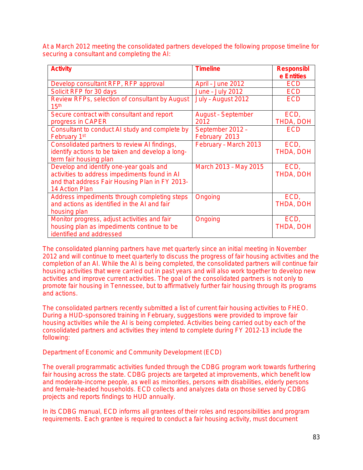At a March 2012 meeting the consolidated partners developed the following propose timeline for securing a consultant and completing the AI:

| <b>Activity</b>                                                    | <b>Timeline</b>           | <b>Responsibl</b> |
|--------------------------------------------------------------------|---------------------------|-------------------|
|                                                                    |                           | e Entities        |
| Develop consultant RFP, RFP approval                               | April - June 2012         | <b>ECD</b>        |
| Solicit RFP for 30 days                                            | June - July 2012          | <b>ECD</b>        |
| Review RFPs, selection of consultant by August<br>15 <sup>th</sup> | July - August 2012        | <b>ECD</b>        |
| Secure contract with consultant and report                         | <b>August - September</b> | ECD,              |
| progress in CAPER                                                  | 2012                      | THDA, DOH         |
| Consultant to conduct AI study and complete by                     | September 2012 -          | <b>ECD</b>        |
| February 1st                                                       | February 2013             |                   |
| Consolidated partners to review AI findings,                       | February - March 2013     | ECD,              |
| identify actions to be taken and develop a long-                   |                           | THDA, DOH         |
| term fair housing plan                                             |                           |                   |
| Develop and identify one-year goals and                            | March 2013 - May 2015     | ECD,              |
| activities to address impediments found in AI                      |                           | THDA, DOH         |
| and that address Fair Housing Plan in FY 2013-                     |                           |                   |
| 14 Action Plan                                                     |                           |                   |
| Address impediments through completing steps                       | Ongoing                   | ECD,              |
| and actions as identified in the AI and fair                       |                           | THDA, DOH         |
| housing plan                                                       |                           |                   |
| Monitor progress, adjust activities and fair                       | Ongoing                   | ECD.              |
| housing plan as impediments continue to be                         |                           | THDA, DOH         |
| identified and addressed                                           |                           |                   |

The consolidated planning partners have met quarterly since an initial meeting in November 2012 and will continue to meet quarterly to discuss the progress of fair housing activities and the completion of an AI. While the AI is being completed, the consolidated partners will continue fair housing activities that were carried out in past years and will also work together to develop new activities and improve current activities. The goal of the consolidated partners is not only to promote fair housing in Tennessee, but to affirmatively further fair housing through its programs and actions.

The consolidated partners recently submitted a list of current fair housing activities to FHEO. During a HUD-sponsored training in February, suggestions were provided to improve fair housing activities while the AI is being completed. Activities being carried out by each of the consolidated partners and activities they intend to complete during FY 2012-13 include the following:

Department of Economic and Community Development (ECD)

The overall programmatic activities funded through the CDBG program work towards furthering fair housing across the state. CDBG projects are targeted at improvements, which benefit low and moderate-income people, as well as minorities, persons with disabilities, elderly persons and female-headed households. ECD collects and analyzes data on those served by CDBG projects and reports findings to HUD annually.

In its CDBG manual, ECD informs all grantees of their roles and responsibilities and program requirements. Each grantee is required to conduct a fair housing activity, must document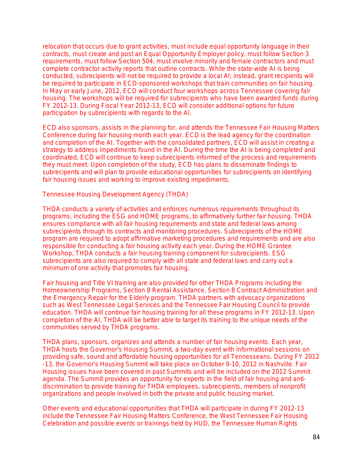relocation that occurs due to grant activities, must include equal opportunity language in their contracts, must create and post an Equal Opportunity Employer policy, must follow Section 3 requirements, must follow Section 504, must involve minority and female contractors and must complete contractor activity reports that outline contracts. While the state-wide AI is being conducted, subrecipients will not be required to provide a local AI; instead, grant recipients will be required to participate in ECD-sponsored workshops that train communities on fair housing. In May or early June, 2012, ECD will conduct four workshops across Tennessee covering fair housing. The workshops will be required for subrecipients who have been awarded funds during FY 2012-13. During Fiscal Year 2012-13, ECD will consider additional options for future participation by subrecipients with regards to the AI.

ECD also sponsors, assists in the planning for, and attends the Tennessee Fair Housing Matters Conference during fair housing month each year. ECD is the lead agency for the coordination and completion of the AI. Together with the consolidated partners, ECD will assist in creating a strategy to address impediments found in the AI. During the time the AI is being completed and coordinated, ECD will continue to keep subrecipients informed of the process and requirements they must meet. Upon completion of the study, ECD has plans to disseminate findings to subrecipents and will plan to provide educational opportunities for subrecipients on identifying fair housing issues and working to improve existing impediments.

Tennessee Housing Development Agency (THDA)

THDA conducts a variety of activities and enforces numerous requirements throughout its programs, including the ESG and HOME programs, to affirmatively further fair housing. THDA ensures compliance with all fair housing requirements and state and federal laws among subrecipients through its contracts and monitoring procedures. Subrecipients of the HOME program are required to adopt affirmative marketing procedures and requirements and are also responsible for conducting a fair housing activity each year. During the HOME Grantee Workshop, THDA conducts a fair housing training component for subrecipients. ESG subrecipients are also required to comply with all state and federal laws and carry out a minimum of one activity that promotes fair housing.

Fair housing and Title VI training are also provided for other THDA Programs including the Homeownership Programs, Section 8 Rental Assistance, Section 8 Contract Administration and the Emergency Repair for the Elderly program. THDA partners with advocacy organizations such as West Tennessee Legal Services and the Tennessee Fair Housing Council to provide education. THDA will continue fair housing training for all these programs in FY 2012-13. Upon completion of the AI, THDA will be better able to target its training to the unique needs of the communities served by THDA programs.

THDA plans, sponsors, organizes and attends a number of fair housing events. Each year, THDA hosts the Governor's Housing Summit, a two-day event with informational sessions on providing safe, sound and affordable housing opportunities for all Tennesseans. During FY 2012 -13, the Governor's Housing Summit will take place on October 9-10, 2012 in Nashville. Fair Housing issues have been covered in past Summits and will be included on the 2012 Summit agenda. The Summit provides an opportunity for experts in the field of fair housing and antidiscrimination to provide training for THDA employees, subrecipients, members of nonprofit organizations and people involved in both the private and public housing market.

Other events and educational opportunities that THDA will participate in during FY 2012-13 include the Tennessee Fair Housing Matters Conference, the West Tennessee Fair Housing Celebration and possible events or trainings held by HUD, the Tennessee Human Rights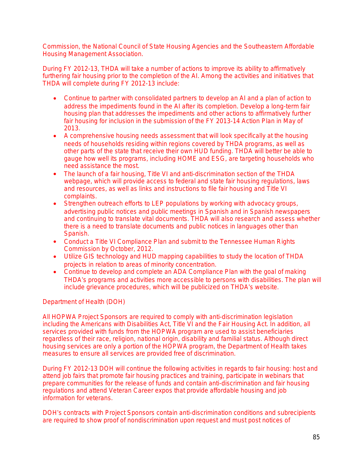Commission, the National Council of State Housing Agencies and the Southeastern Affordable Housing Management Association.

During FY 2012-13, THDA will take a number of actions to improve its ability to affirmatively furthering fair housing prior to the completion of the AI. Among the activities and initiatives that THDA will complete during FY 2012-13 include:

- Continue to partner with consolidated partners to develop an AI and a plan of action to address the impediments found in the AI after its completion. Develop a long-term fair housing plan that addresses the impediments and other actions to affirmatively further fair housing for inclusion in the submission of the FY 2013-14 Action Plan in May of 2013.
- A comprehensive housing needs assessment that will look specifically at the housing needs of households residing within regions covered by THDA programs, as well as other parts of the state that receive their own HUD funding. THDA will better be able to gauge how well its programs, including HOME and ESG, are targeting households who need assistance the most.
- The launch of a fair housing, Title VI and anti-discrimination section of the THDA webpage, which will provide access to federal and state fair housing regulations, laws and resources, as well as links and instructions to file fair housing and Title VI complaints.
- Strengthen outreach efforts to LEP populations by working with advocacy groups, advertising public notices and public meetings in Spanish and in Spanish newspapers and continuing to translate vital documents. THDA will also research and assess whether there is a need to translate documents and public notices in languages other than Spanish.
- Conduct a Title VI Compliance Plan and submit to the Tennessee Human Rights Commission by October, 2012.
- Utilize GIS technology and HUD mapping capabilities to study the location of THDA projects in relation to areas of minority concentration.
- Continue to develop and complete an ADA Compliance Plan with the goal of making THDA's programs and activities more accessible to persons with disabilities. The plan will include grievance procedures, which will be publicized on THDA's website.

## Department of Health (DOH)

All HOPWA Project Sponsors are required to comply with anti-discrimination legislation including the Americans with Disabilities Act, Title VI and the Fair Housing Act. In addition, all services provided with funds from the HOPWA program are used to assist beneficiaries regardless of their race, religion, national origin, disability and familial status. Although direct housing services are only a portion of the HOPWA program, the Department of Health takes measures to ensure all services are provided free of discrimination.

During FY 2012-13 DOH will continue the following activities in regards to fair housing: host and attend job fairs that promote fair housing practices and training, participate in webinars that prepare communities for the release of funds and contain anti-discrimination and fair housing regulations and attend Veteran Career expos that provide affordable housing and job information for veterans.

DOH's contracts with Project Sponsors contain anti-discrimination conditions and subrecipients are required to show proof of nondiscrimination upon request and must post notices of